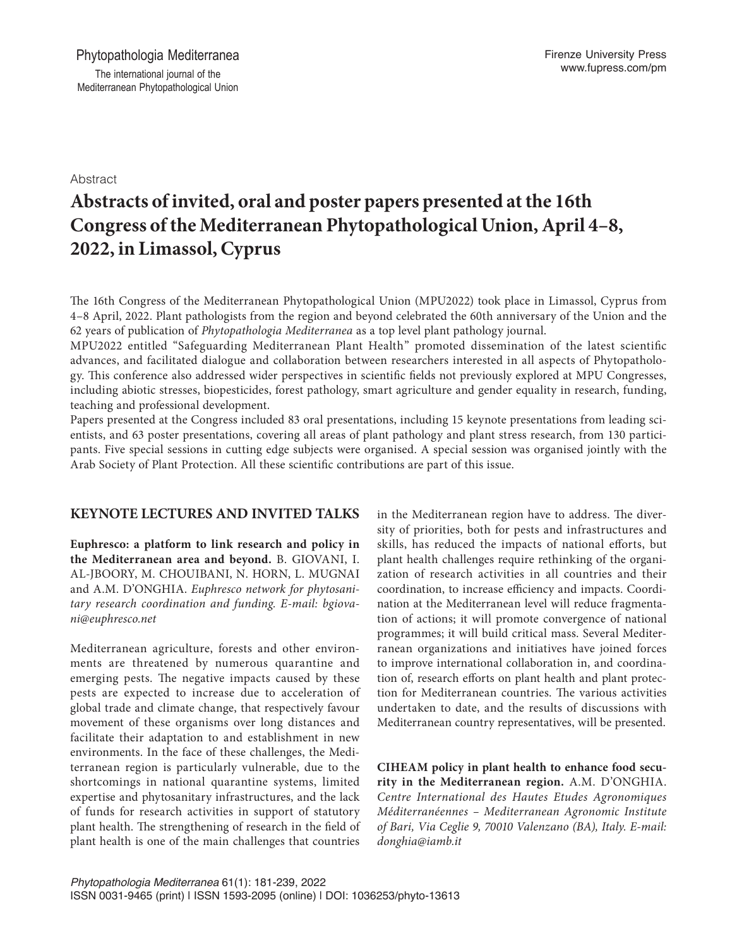Abstract

# **Abstracts of invited, oral and poster papers presented at the 16th Congress of the Mediterranean Phytopathological Union, April 4–8, 2022, in Limassol, Cyprus**

The 16th Congress of the Mediterranean Phytopathological Union (MPU2022) took place in Limassol, Cyprus from 4–8 April, 2022. Plant pathologists from the region and beyond celebrated the 60th anniversary of the Union and the 62 years of publication of *Phytopathologia Mediterranea* as a top level plant pathology journal.

MPU2022 entitled "Safeguarding Mediterranean Plant Health" promoted dissemination of the latest scientific advances, and facilitated dialogue and collaboration between researchers interested in all aspects of Phytopathology. This conference also addressed wider perspectives in scientific fields not previously explored at MPU Congresses, including abiotic stresses, biopesticides, forest pathology, smart agriculture and gender equality in research, funding, teaching and professional development.

Papers presented at the Congress included 83 oral presentations, including 15 keynote presentations from leading scientists, and 63 poster presentations, covering all areas of plant pathology and plant stress research, from 130 participants. Five special sessions in cutting edge subjects were organised. A special session was organised jointly with the Arab Society of Plant Protection. All these scientific contributions are part of this issue.

# **KEYNOTE LECTURES AND INVITED TALKS**

**Euphresco: a platform to link research and policy in the Mediterranean area and beyond.** B. GIOVANI, I. AL-JBOORY, M. CHOUIBANI, N. HORN, L. MUGNAI and A.M. D'ONGHIA. *Euphresco network for phytosanitary research coordination and funding. E-mail: bgiovani@euphresco.net*

Mediterranean agriculture, forests and other environments are threatened by numerous quarantine and emerging pests. The negative impacts caused by these pests are expected to increase due to acceleration of global trade and climate change, that respectively favour movement of these organisms over long distances and facilitate their adaptation to and establishment in new environments. In the face of these challenges, the Mediterranean region is particularly vulnerable, due to the shortcomings in national quarantine systems, limited expertise and phytosanitary infrastructures, and the lack of funds for research activities in support of statutory plant health. The strengthening of research in the field of plant health is one of the main challenges that countries

in the Mediterranean region have to address. The diversity of priorities, both for pests and infrastructures and skills, has reduced the impacts of national efforts, but plant health challenges require rethinking of the organization of research activities in all countries and their coordination, to increase efficiency and impacts. Coordination at the Mediterranean level will reduce fragmentation of actions; it will promote convergence of national programmes; it will build critical mass. Several Mediterranean organizations and initiatives have joined forces to improve international collaboration in, and coordination of, research efforts on plant health and plant protection for Mediterranean countries. The various activities undertaken to date, and the results of discussions with Mediterranean country representatives, will be presented.

**CIHEAM policy in plant health to enhance food security in the Mediterranean region.** A.M. D'ONGHIA. *Centre International des Hautes Etudes Agronomiques Méditerranéennes – Mediterranean Agronomic Institute of Bari, Via Ceglie 9, 70010 Valenzano (BA), Italy. E-mail: [donghia@iamb.it](mailto:donghia@iamb.it)*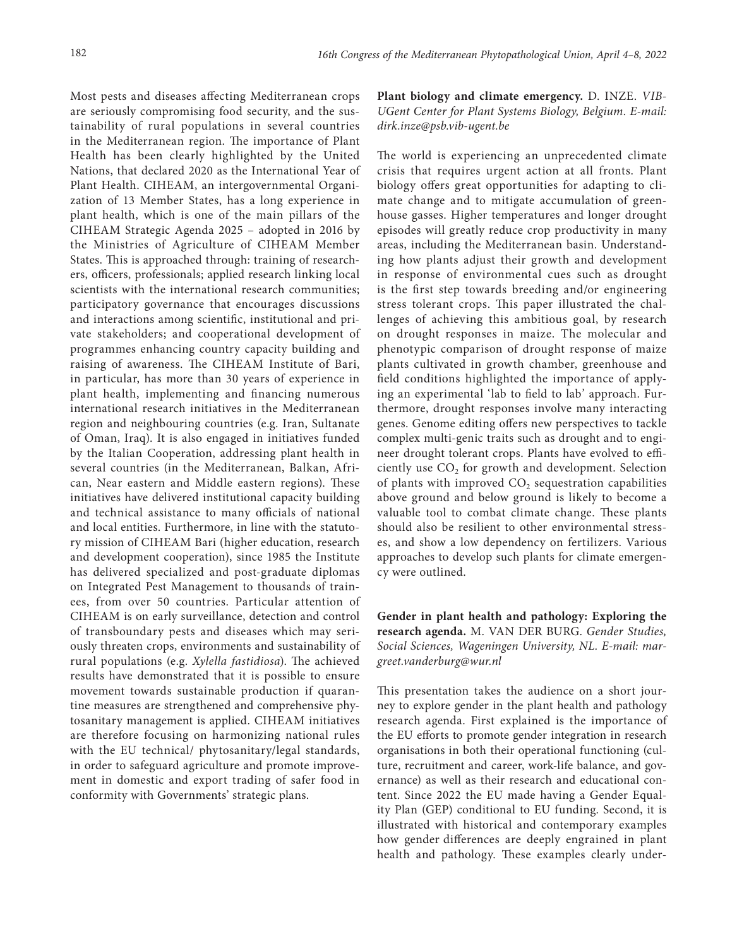Most pests and diseases affecting Mediterranean crops are seriously compromising food security, and the sustainability of rural populations in several countries in the Mediterranean region. The importance of Plant Health has been clearly highlighted by the United Nations, that declared 2020 as the International Year of Plant Health. CIHEAM, an intergovernmental Organization of 13 Member States, has a long experience in plant health, which is one of the main pillars of the CIHEAM Strategic Agenda 2025 – adopted in 2016 by the Ministries of Agriculture of CIHEAM Member States. This is approached through: training of researchers, officers, professionals; applied research linking local scientists with the international research communities; participatory governance that encourages discussions and interactions among scientific, institutional and private stakeholders; and cooperational development of programmes enhancing country capacity building and raising of awareness. The CIHEAM Institute of Bari, in particular, has more than 30 years of experience in plant health, implementing and financing numerous international research initiatives in the Mediterranean region and neighbouring countries (e.g. Iran, Sultanate of Oman, Iraq). It is also engaged in initiatives funded by the Italian Cooperation, addressing plant health in several countries (in the Mediterranean, Balkan, African, Near eastern and Middle eastern regions). These initiatives have delivered institutional capacity building and technical assistance to many officials of national and local entities. Furthermore, in line with the statutory mission of CIHEAM Bari (higher education, research and development cooperation), since 1985 the Institute has delivered specialized and post-graduate diplomas on Integrated Pest Management to thousands of trainees, from over 50 countries. Particular attention of CIHEAM is on early surveillance, detection and control of transboundary pests and diseases which may seriously threaten crops, environments and sustainability of rural populations (e.g. *Xylella fastidiosa*). The achieved results have demonstrated that it is possible to ensure movement towards sustainable production if quarantine measures are strengthened and comprehensive phytosanitary management is applied. CIHEAM initiatives are therefore focusing on harmonizing national rules with the EU technical/ phytosanitary/legal standards, in order to safeguard agriculture and promote improvement in domestic and export trading of safer food in conformity with Governments' strategic plans.

**Plant biology and climate emergency.** D. INZE. *VIB-UGent Center for Plant Systems Biology, Belgium. E-mail: dirk.inze@psb.vib-ugent.be*

The world is experiencing an unprecedented climate crisis that requires urgent action at all fronts. Plant biology offers great opportunities for adapting to climate change and to mitigate accumulation of greenhouse gasses. Higher temperatures and longer drought episodes will greatly reduce crop productivity in many areas, including the Mediterranean basin. Understanding how plants adjust their growth and development in response of environmental cues such as drought is the first step towards breeding and/or engineering stress tolerant crops. This paper illustrated the challenges of achieving this ambitious goal, by research on drought responses in maize. The molecular and phenotypic comparison of drought response of maize plants cultivated in growth chamber, greenhouse and field conditions highlighted the importance of applying an experimental 'lab to field to lab' approach. Furthermore, drought responses involve many interacting genes. Genome editing offers new perspectives to tackle complex multi-genic traits such as drought and to engineer drought tolerant crops. Plants have evolved to efficiently use  $CO<sub>2</sub>$  for growth and development. Selection of plants with improved  $CO<sub>2</sub>$  sequestration capabilities above ground and below ground is likely to become a valuable tool to combat climate change. These plants should also be resilient to other environmental stresses, and show a low dependency on fertilizers. Various approaches to develop such plants for climate emergency were outlined.

**Gender in plant health and pathology: Exploring the research agenda.** M. VAN DER BURG. *Gender Studies, Social Sciences, Wageningen University, NL. E-mail: [mar](mailto:margreet.vanderburg@wur.nl)[greet.vanderburg@wur.nl](mailto:margreet.vanderburg@wur.nl)*

This presentation takes the audience on a short journey to explore gender in the plant health and pathology research agenda. First explained is the importance of the EU efforts to promote gender integration in research organisations in both their operational functioning (culture, recruitment and career, work-life balance, and governance) as well as their research and educational content. Since 2022 the EU made having a Gender Equality Plan (GEP) conditional to EU funding. Second, it is illustrated with historical and contemporary examples how gender differences are deeply engrained in plant health and pathology. These examples clearly under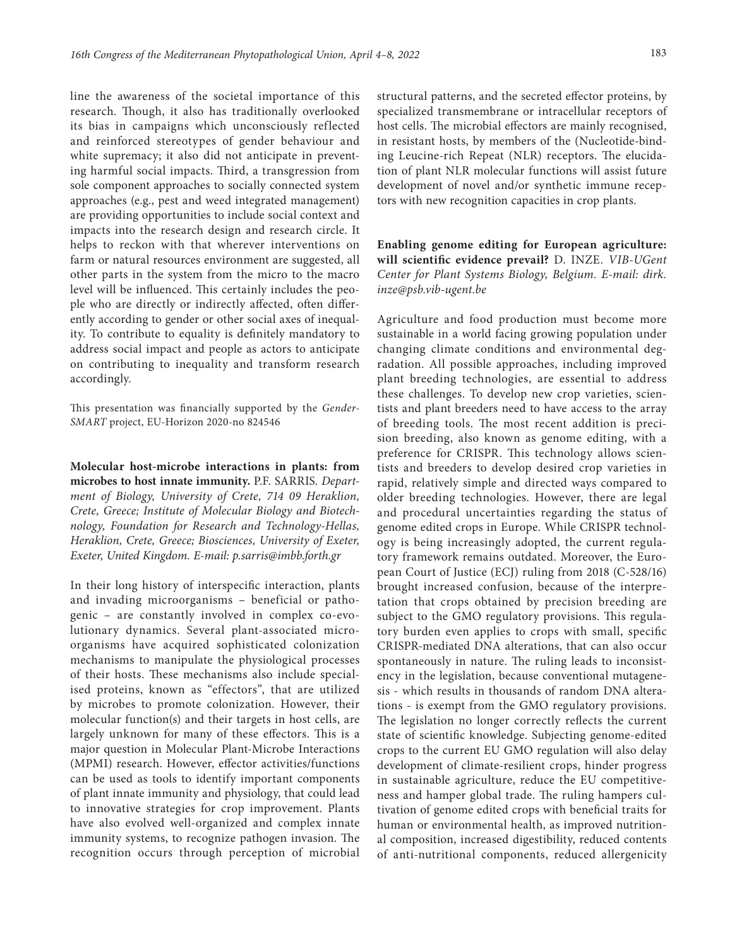line the awareness of the societal importance of this research. Though, it also has traditionally overlooked its bias in campaigns which unconsciously reflected and reinforced stereotypes of gender behaviour and white supremacy; it also did not anticipate in preventing harmful social impacts. Third, a transgression from sole component approaches to socially connected system approaches (e.g., pest and weed integrated management) are providing opportunities to include social context and impacts into the research design and research circle. It helps to reckon with that wherever interventions on farm or natural resources environment are suggested, all other parts in the system from the micro to the macro level will be influenced. This certainly includes the people who are directly or indirectly affected, often differently according to gender or other social axes of inequality. To contribute to equality is definitely mandatory to address social impact and people as actors to anticipate on contributing to inequality and transform research accordingly.

This presentation was financially supported by the *[Gender-](https://www.wur.nl/en/project/Gender-SMART-1.htm)[SMART](https://www.wur.nl/en/project/Gender-SMART-1.htm)* project, EU-Horizon 2020-no 824546

**Molecular host-microbe interactions in plants: from microbes to host innate immunity.** P.F. SARRIS. *Department of Biology, University of Crete, 714 09 Heraklion, Crete, Greece; Institute of Molecular Biology and Biotechnology, Foundation for Research and Technology-Hellas, Heraklion, Crete, Greece; Biosciences, University of Exeter, Exeter, United Kingdom. E-mail: p.sarris@imbb.forth.gr*

In their long history of interspecific interaction, plants and invading microorganisms – beneficial or pathogenic – are constantly involved in complex co-evolutionary dynamics. Several plant-associated microorganisms have acquired sophisticated colonization mechanisms to manipulate the physiological processes of their hosts. These mechanisms also include specialised proteins, known as "effectors", that are utilized by microbes to promote colonization. However, their molecular function(s) and their targets in host cells, are largely unknown for many of these effectors. This is a major question in Molecular Plant-Microbe Interactions (MPMI) research. However, effector activities/functions can be used as tools to identify important components of plant innate immunity and physiology, that could lead to innovative strategies for crop improvement. Plants have also evolved well-organized and complex innate immunity systems, to recognize pathogen invasion. The recognition occurs through perception of microbial

structural patterns, and the secreted effector proteins, by specialized transmembrane or intracellular receptors of host cells. The microbial effectors are mainly recognised, in resistant hosts, by members of the (Nucleotide-binding Leucine-rich Repeat (NLR) receptors. The elucidation of plant NLR molecular functions will assist future development of novel and/or synthetic immune receptors with new recognition capacities in crop plants.

**Enabling genome editing for European agriculture: will scientific evidence prevail?** D. INZE. *VIB-UGent Center for Plant Systems Biology, Belgium. E-mail: dirk. inze@psb.vib-ugent.be*

Agriculture and food production must become more sustainable in a world facing growing population under changing climate conditions and environmental degradation. All possible approaches, including improved plant breeding technologies, are essential to address these challenges. To develop new crop varieties, scientists and plant breeders need to have access to the array of breeding tools. The most recent addition is precision breeding, also known as genome editing, with a preference for CRISPR. This technology allows scientists and breeders to develop desired crop varieties in rapid, relatively simple and directed ways compared to older breeding technologies. However, there are legal and procedural uncertainties regarding the status of genome edited crops in Europe. While CRISPR technology is being increasingly adopted, the current regulatory framework remains outdated. Moreover, the European Court of Justice (ECJ) ruling from 2018 (C-528/16) brought increased confusion, because of the interpretation that crops obtained by precision breeding are subject to the GMO regulatory provisions. This regulatory burden even applies to crops with small, specific CRISPR-mediated DNA alterations, that can also occur spontaneously in nature. The ruling leads to inconsistency in the legislation, because conventional mutagenesis - which results in thousands of random DNA alterations - is exempt from the GMO regulatory provisions. The legislation no longer correctly reflects the current state of scientific knowledge. Subjecting genome-edited crops to the current EU GMO regulation will also delay development of climate-resilient crops, hinder progress in sustainable agriculture, reduce the EU competitiveness and hamper global trade. The ruling hampers cultivation of genome edited crops with beneficial traits for human or environmental health, as improved nutritional composition, increased digestibility, reduced contents of anti-nutritional components, reduced allergenicity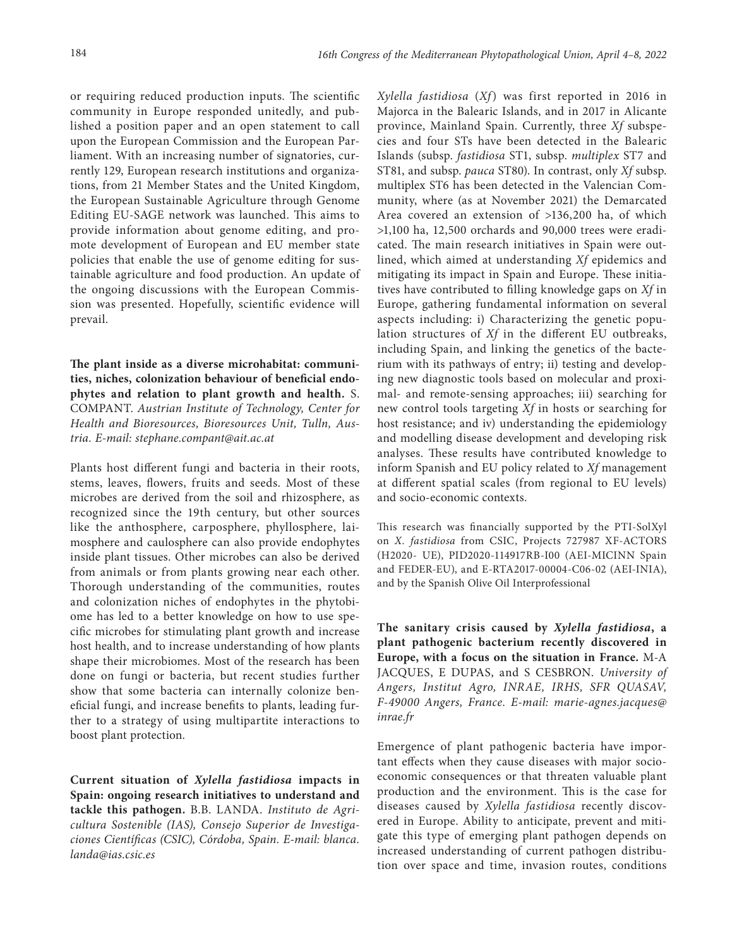or requiring reduced production inputs. The scientific community in Europe responded unitedly, and published a position paper and an open statement to call upon the European Commission and the European Parliament. With an increasing number of signatories, currently 129, European research institutions and organizations, from 21 Member States and the United Kingdom, the European Sustainable Agriculture through Genome Editing EU-SAGE network was launched. This aims to provide information about genome editing, and promote development of European and EU member state policies that enable the use of genome editing for sustainable agriculture and food production. An update of the ongoing discussions with the European Commission was presented. Hopefully, scientific evidence will prevail.

**The plant inside as a diverse microhabitat: communities, niches, colonization behaviour of beneficial endophytes and relation to plant growth and health.** S. COMPANT. *Austrian Institute of Technology, Center for Health and Bioresources, Bioresources Unit, Tulln, Austria. E-mail: [stephane.compant@ait.ac.at](mailto:stephane.compant@ait.ac.at)*

Plants host different fungi and bacteria in their roots, stems, leaves, flowers, fruits and seeds. Most of these microbes are derived from the soil and rhizosphere, as recognized since the 19th century, but other sources like the anthosphere, carposphere, phyllosphere, laimosphere and caulosphere can also provide endophytes inside plant tissues. Other microbes can also be derived from animals or from plants growing near each other. Thorough understanding of the communities, routes and colonization niches of endophytes in the phytobiome has led to a better knowledge on how to use specific microbes for stimulating plant growth and increase host health, and to increase understanding of how plants shape their microbiomes. Most of the research has been done on fungi or bacteria, but recent studies further show that some bacteria can internally colonize beneficial fungi, and increase benefits to plants, leading further to a strategy of using multipartite interactions to boost plant protection.

**Current situation of** *Xylella fastidiosa* **impacts in Spain: ongoing research initiatives to understand and tackle this pathogen.** B.B. LANDA. *Instituto de Agricultura Sostenible (IAS), Consejo Superior de Investigaciones Científicas (CSIC), Córdoba, Spain. E-mail: [blanca.](mailto:blanca.landa@ias.csic.es) [landa@ias.csic.es](mailto:blanca.landa@ias.csic.es)*

*Xylella fastidiosa* (*Xf*) was first reported in 2016 in Majorca in the Balearic Islands, and in 2017 in Alicante province, Mainland Spain. Currently, three *Xf* subspecies and four STs have been detected in the Balearic Islands (subsp. *fastidiosa* ST1, subsp. *multiplex* ST7 and ST81, and subsp. *pauca* ST80). In contrast, only *Xf* subsp. multiplex ST6 has been detected in the Valencian Community, where (as at November 2021) the Demarcated Area covered an extension of >136,200 ha, of which >1,100 ha, 12,500 orchards and 90,000 trees were eradicated. The main research initiatives in Spain were outlined, which aimed at understanding *Xf* epidemics and mitigating its impact in Spain and Europe. These initiatives have contributed to filling knowledge gaps on *Xf* in Europe, gathering fundamental information on several aspects including: i) Characterizing the genetic population structures of *Xf* in the different EU outbreaks, including Spain, and linking the genetics of the bacterium with its pathways of entry; ii) testing and developing new diagnostic tools based on molecular and proximal- and remote-sensing approaches; iii) searching for new control tools targeting *Xf* in hosts or searching for host resistance; and iv) understanding the epidemiology and modelling disease development and developing risk analyses. These results have contributed knowledge to inform Spanish and EU policy related to *Xf* management at different spatial scales (from regional to EU levels) and socio-economic contexts.

This research was financially supported by the PTI-SolXyl on *X. fastidiosa* from CSIC, Projects 727987 XF-ACTORS (H2020- UE), PID2020-114917RB-I00 (AEI-MICINN Spain and FEDER-EU), and E-RTA2017-00004-C06-02 (AEI-INIA), and by the Spanish Olive Oil Interprofessional

**The sanitary crisis caused by** *Xylella fastidiosa***, a plant pathogenic bacterium recently discovered in Europe, with a focus on the situation in France.** M-A JACQUES, E DUPAS, and S CESBRON. *University of Angers, Institut Agro, INRAE, IRHS, SFR QUASAV, F-49000 Angers, France. E-mail: [marie-agnes.jacques@](mailto:marie-agnes.jacques@inrae.fr) [inrae.fr](mailto:marie-agnes.jacques@inrae.fr)*

Emergence of plant pathogenic bacteria have important effects when they cause diseases with major socioeconomic consequences or that threaten valuable plant production and the environment. This is the case for diseases caused by *Xylella fastidiosa* recently discovered in Europe. Ability to anticipate, prevent and mitigate this type of emerging plant pathogen depends on increased understanding of current pathogen distribution over space and time, invasion routes, conditions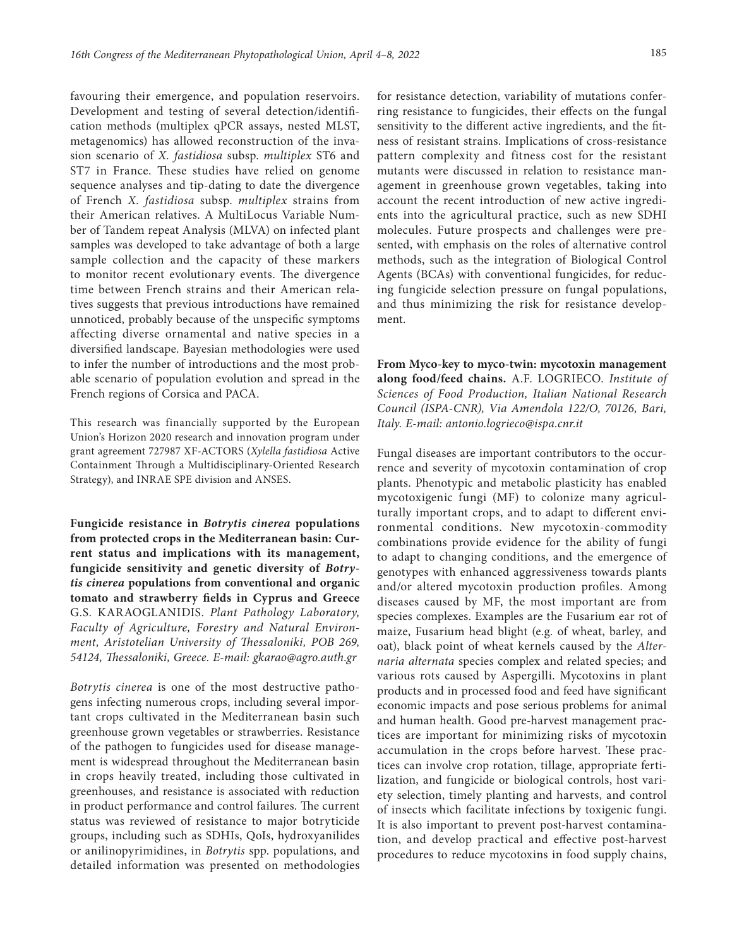favouring their emergence, and population reservoirs. Development and testing of several detection/identification methods (multiplex qPCR assays, nested MLST, metagenomics) has allowed reconstruction of the invasion scenario of *X. fastidiosa* subsp. *multiplex* ST6 and ST7 in France. These studies have relied on genome sequence analyses and tip-dating to date the divergence of French *X. fastidiosa* subsp. *multiplex* strains from their American relatives. A MultiLocus Variable Number of Tandem repeat Analysis (MLVA) on infected plant samples was developed to take advantage of both a large sample collection and the capacity of these markers to monitor recent evolutionary events. The divergence time between French strains and their American relatives suggests that previous introductions have remained unnoticed, probably because of the unspecific symptoms affecting diverse ornamental and native species in a diversified landscape. Bayesian methodologies were used to infer the number of introductions and the most probable scenario of population evolution and spread in the French regions of Corsica and PACA.

This research was financially supported by the European Union's Horizon 2020 research and innovation program under grant agreement 727987 XF-ACTORS (*Xylella fastidiosa* Active Containment Through a Multidisciplinary-Oriented Research Strategy), and INRAE SPE division and ANSES.

**Fungicide resistance in** *Botrytis cinerea* **populations from protected crops in the Mediterranean basin: Current status and implications with its management, fungicide sensitivity and genetic diversity of** *Botrytis cinerea* **populations from conventional and organic tomato and strawberry fields in Cyprus and Greece**  G.S. KARAOGLANIDIS. *Plant Pathology Laboratory, Faculty of Agriculture, Forestry and Natural Environment, Aristotelian University of Thessaloniki, POB 269, 54124, Thessaloniki, Greece. E-mail: [gkarao@agro.auth.gr](mailto:gkarao@agro.auth.gr)*

*Botrytis cinerea* is one of the most destructive pathogens infecting numerous crops, including several important crops cultivated in the Mediterranean basin such greenhouse grown vegetables or strawberries. Resistance of the pathogen to fungicides used for disease management is widespread throughout the Mediterranean basin in crops heavily treated, including those cultivated in greenhouses, and resistance is associated with reduction in product performance and control failures. The current status was reviewed of resistance to major botryticide groups, including such as SDHIs, QoIs, hydroxyanilides or anilinopyrimidines, in *Botrytis* spp. populations, and detailed information was presented on methodologies

for resistance detection, variability of mutations conferring resistance to fungicides, their effects on the fungal sensitivity to the different active ingredients, and the fitness of resistant strains. Implications of cross-resistance pattern complexity and fitness cost for the resistant mutants were discussed in relation to resistance management in greenhouse grown vegetables, taking into account the recent introduction of new active ingredients into the agricultural practice, such as new SDHI molecules. Future prospects and challenges were presented, with emphasis on the roles of alternative control methods, such as the integration of Biological Control Agents (BCAs) with conventional fungicides, for reducing fungicide selection pressure on fungal populations, and thus minimizing the risk for resistance development.

**From Myco-key to myco-twin: mycotoxin management along food/feed chains.** A.F. LOGRIECO. *Institute of Sciences of Food Production, Italian National Research Council (ISPA-CNR), Via Amendola 122/O, 70126, Bari, Italy. E-mail: antonio.logrieco@ispa.cnr.it*

Fungal diseases are important contributors to the occurrence and severity of mycotoxin contamination of crop plants. Phenotypic and metabolic plasticity has enabled mycotoxigenic fungi (MF) to colonize many agriculturally important crops, and to adapt to different environmental conditions. New mycotoxin-commodity combinations provide evidence for the ability of fungi to adapt to changing conditions, and the emergence of genotypes with enhanced aggressiveness towards plants and/or altered mycotoxin production profiles. Among diseases caused by MF, the most important are from species complexes. Examples are the Fusarium ear rot of maize, Fusarium head blight (e.g. of wheat, barley, and oat), black point of wheat kernels caused by the *Alternaria alternata* species complex and related species; and various rots caused by Aspergilli. Mycotoxins in plant products and in processed food and feed have significant economic impacts and pose serious problems for animal and human health. Good pre-harvest management practices are important for minimizing risks of mycotoxin accumulation in the crops before harvest. These practices can involve crop rotation, tillage, appropriate fertilization, and fungicide or biological controls, host variety selection, timely planting and harvests, and control of insects which facilitate infections by toxigenic fungi. It is also important to prevent post-harvest contamination, and develop practical and effective post-harvest procedures to reduce mycotoxins in food supply chains,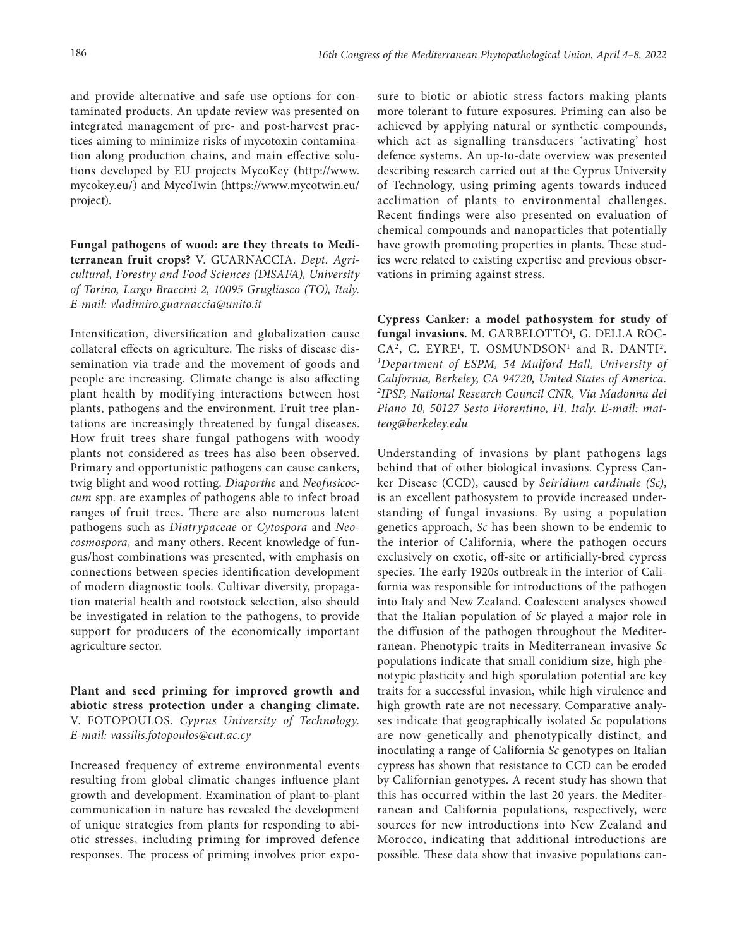and provide alternative and safe use options for contaminated products. An update review was presented on integrated management of pre- and post-harvest practices aiming to minimize risks of mycotoxin contamination along production chains, and main effective solutions developed by EU projects MycoKey (http://www. mycokey.eu/) and MycoTwin (https://www.mycotwin.eu/ project).

**Fungal pathogens of wood: are they threats to Mediterranean fruit crops?** V. GUARNACCIA. *Dept. Agricultural, Forestry and Food Sciences (DISAFA), University of Torino, Largo Braccini 2, 10095 Grugliasco (TO), Italy. E-mail: [vladimiro.guarnaccia@unito.it](mailto:vladimiro.guarnaccia@unito.it)*

Intensification, diversification and globalization cause collateral effects on agriculture. The risks of disease dissemination via trade and the movement of goods and people are increasing. Climate change is also affecting plant health by modifying interactions between host plants, pathogens and the environment. Fruit tree plantations are increasingly threatened by fungal diseases. How fruit trees share fungal pathogens with woody plants not considered as trees has also been observed. Primary and opportunistic pathogens can cause cankers, twig blight and wood rotting. *Diaporthe* and *Neofusicoccum* spp. are examples of pathogens able to infect broad ranges of fruit trees. There are also numerous latent pathogens such as *Diatrypaceae* or *Cytospora* and *Neocosmospora,* and many others. Recent knowledge of fungus/host combinations was presented, with emphasis on connections between species identification development of modern diagnostic tools. Cultivar diversity, propagation material health and rootstock selection, also should be investigated in relation to the pathogens, to provide support for producers of the economically important agriculture sector.

**Plant and seed priming for improved growth and abiotic stress protection under a changing climate.**  V. FOTOPOULOS. *Cyprus University of Technology. E-mail: vassilis.fotopoulos@cut.ac.cy*

Increased frequency of extreme environmental events resulting from global climatic changes influence plant growth and development. Examination of plant-to-plant communication in nature has revealed the development of unique strategies from plants for responding to abiotic stresses, including priming for improved defence responses. The process of priming involves prior exposure to biotic or abiotic stress factors making plants more tolerant to future exposures. Priming can also be achieved by applying natural or synthetic compounds, which act as signalling transducers 'activating' host defence systems. An up-to-date overview was presented describing research carried out at the Cyprus University of Technology, using priming agents towards induced acclimation of plants to environmental challenges. Recent findings were also presented on evaluation of chemical compounds and nanoparticles that potentially have growth promoting properties in plants. These studies were related to existing expertise and previous observations in priming against stress.

**Cypress Canker: a model pathosystem for study of**  fungal invasions. M. GARBELOTTO<sup>1</sup>, G. DELLA ROC-CA<sup>2</sup>, C. EYRE<sup>1</sup>, T. OSMUNDSON<sup>1</sup> and R. DANTI<sup>2</sup>. *1 Department of ESPM, 54 Mulford Hall, University of California, Berkeley, CA 94720, United States of America. 2 IPSP, National Research Council CNR, Via Madonna del Piano 10, 50127 Sesto Fiorentino, FI, Italy. E-mail: [mat](mailto:matteog@berkeley.edu)[teog@berkeley.edu](mailto:matteog@berkeley.edu)*

Understanding of invasions by plant pathogens lags behind that of other biological invasions. Cypress Canker Disease (CCD), caused by *Seiridium cardinale (Sc)*, is an excellent pathosystem to provide increased understanding of fungal invasions. By using a population genetics approach, *Sc* has been shown to be endemic to the interior of California, where the pathogen occurs exclusively on exotic, off-site or artificially-bred cypress species. The early 1920s outbreak in the interior of California was responsible for introductions of the pathogen into Italy and New Zealand. Coalescent analyses showed that the Italian population of *Sc* played a major role in the diffusion of the pathogen throughout the Mediterranean. Phenotypic traits in Mediterranean invasive *Sc*  populations indicate that small conidium size, high phenotypic plasticity and high sporulation potential are key traits for a successful invasion, while high virulence and high growth rate are not necessary. Comparative analyses indicate that geographically isolated *Sc* populations are now genetically and phenotypically distinct, and inoculating a range of California *Sc* genotypes on Italian cypress has shown that resistance to CCD can be eroded by Californian genotypes. A recent study has shown that this has occurred within the last 20 years. the Mediterranean and California populations, respectively, were sources for new introductions into New Zealand and Morocco, indicating that additional introductions are possible. These data show that invasive populations can-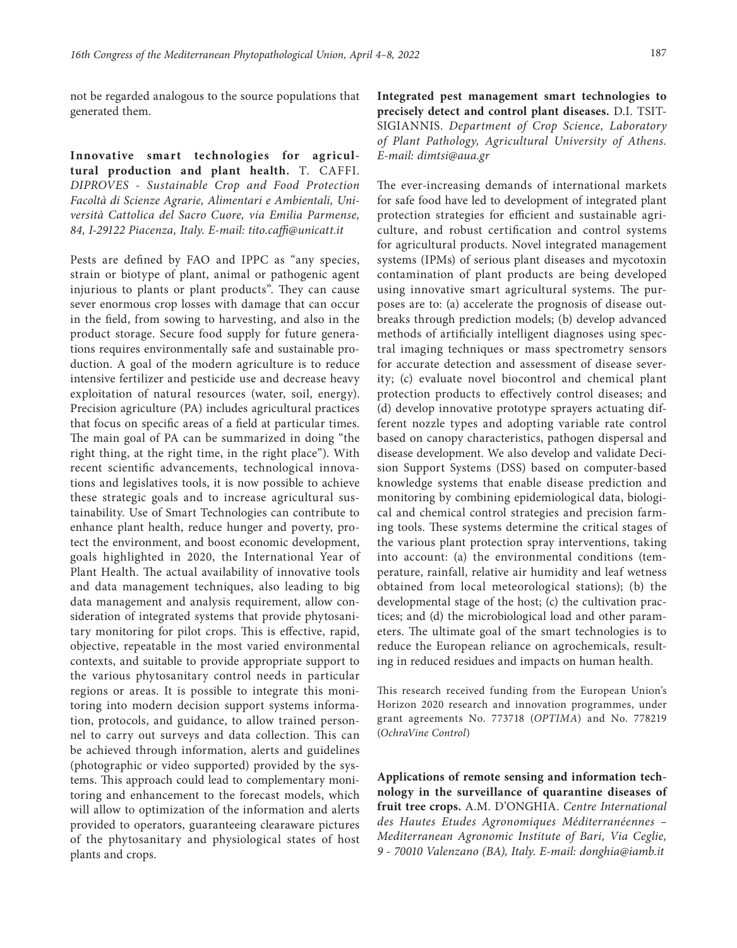not be regarded analogous to the source populations that generated them.

**Innovative smart technologies for agricultural production and plant health.** T. CAFFI. *DIPROVES - Sustainable Crop and Food Protection Facoltà di Scienze Agrarie, Alimentari e Ambientali, Università Cattolica del Sacro Cuore, via Emilia Parmense, 84, I-29122 Piacenza, Italy. E-mail: [tito.caffi@unicatt.it](mailto:tito.caffi@unicatt.it)*

Pests are defined by FAO and IPPC as "any species, strain or biotype of plant, animal or pathogenic agent injurious to plants or plant products". They can cause sever enormous crop losses with damage that can occur in the field, from sowing to harvesting, and also in the product storage. Secure food supply for future generations requires environmentally safe and sustainable production. A goal of the modern agriculture is to reduce intensive fertilizer and pesticide use and decrease heavy exploitation of natural resources (water, soil, energy). Precision agriculture (PA) includes agricultural practices that focus on specific areas of a field at particular times. The main goal of PA can be summarized in doing "the right thing, at the right time, in the right place"). With recent scientific advancements, technological innovations and legislatives tools, it is now possible to achieve these strategic goals and to increase agricultural sustainability. Use of Smart Technologies can contribute to enhance plant health, reduce hunger and poverty, protect the environment, and boost economic development, goals highlighted in 2020, the International Year of Plant Health. The actual availability of innovative tools and data management techniques, also leading to big data management and analysis requirement, allow consideration of integrated systems that provide phytosanitary monitoring for pilot crops. This is effective, rapid, objective, repeatable in the most varied environmental contexts, and suitable to provide appropriate support to the various phytosanitary control needs in particular regions or areas. It is possible to integrate this monitoring into modern decision support systems information, protocols, and guidance, to allow trained personnel to carry out surveys and data collection. This can be achieved through information, alerts and guidelines (photographic or video supported) provided by the systems. This approach could lead to complementary monitoring and enhancement to the forecast models, which will allow to optimization of the information and alerts provided to operators, guaranteeing clearaware pictures of the phytosanitary and physiological states of host plants and crops.

**Integrated pest management smart technologies to precisely detect and control plant diseases.** D.I. TSIT-SIGIANNIS. *Department of Crop Science, Laboratory of Plant Pathology, Agricultural University of Athens. E-mail: [dimtsi@aua.gr](mailto:dimtsi@aua.gr)*

The ever-increasing demands of international markets for safe food have led to development of integrated plant protection strategies for efficient and sustainable agriculture, and robust certification and control systems for agricultural products. Novel integrated management systems (IPMs) of serious plant diseases and mycotoxin contamination of plant products are being developed using innovative smart agricultural systems. The purposes are to: (a) accelerate the prognosis of disease outbreaks through prediction models; (b) develop advanced methods of artificially intelligent diagnoses using spectral imaging techniques or mass spectrometry sensors for accurate detection and assessment of disease severity; (c) evaluate novel biocontrol and chemical plant protection products to effectively control diseases; and (d) develop innovative prototype sprayers actuating different nozzle types and adopting variable rate control based on canopy characteristics, pathogen dispersal and disease development. We also develop and validate Decision Support Systems (DSS) based on computer-based knowledge systems that enable disease prediction and monitoring by combining epidemiological data, biological and chemical control strategies and precision farming tools. These systems determine the critical stages of the various plant protection spray interventions, taking into account: (a) the environmental conditions (temperature, rainfall, relative air humidity and leaf wetness obtained from local meteorological stations); (b) the developmental stage of the host; (c) the cultivation practices; and (d) the microbiological load and other parameters. The ultimate goal of the smart technologies is to reduce the European reliance on agrochemicals, resulting in reduced residues and impacts on human health.

This research received funding from the European Union's Horizon 2020 research and innovation programmes, under grant agreements No. 773718 (*OPTIMA*) and No. 778219 (*OchraVine Control*)

**Applications of remote sensing and information technology in the surveillance of quarantine diseases of fruit tree crops.** A.M. D'ONGHIA. *Centre International des Hautes Etudes Agronomiques Méditerranéennes – Mediterranean Agronomic Institute of Bari, Via Ceglie, 9 - 70010 Valenzano (BA), Italy. E-mail: [donghia@iamb.it](mailto:donghia@iamb.it)*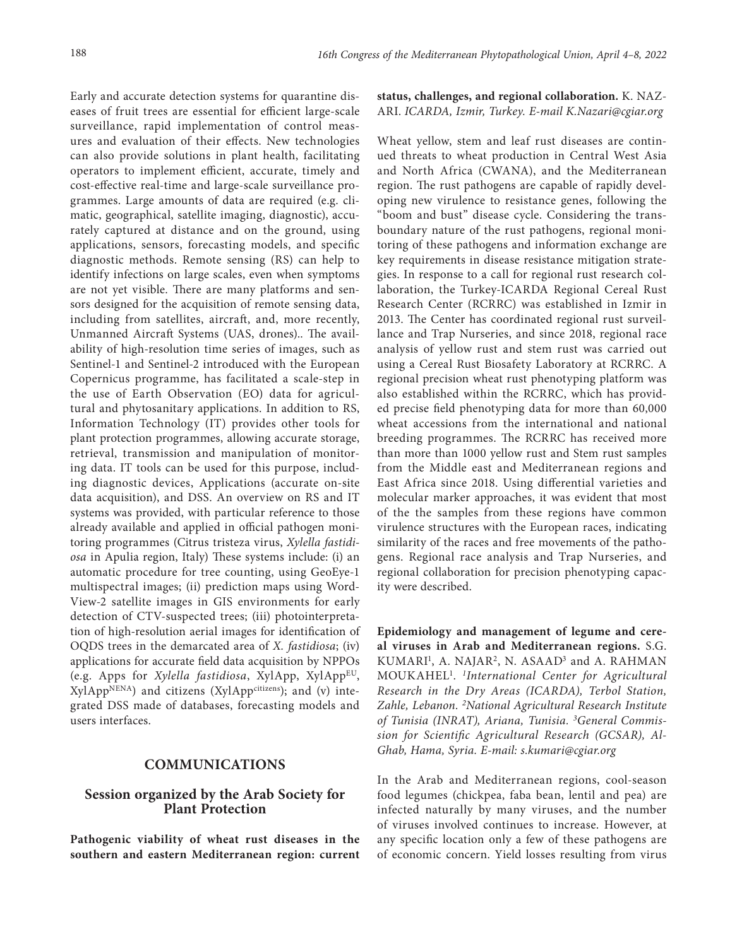Early and accurate detection systems for quarantine diseases of fruit trees are essential for efficient large-scale surveillance, rapid implementation of control measures and evaluation of their effects. New technologies can also provide solutions in plant health, facilitating operators to implement efficient, accurate, timely and cost-effective real-time and large-scale surveillance programmes. Large amounts of data are required (e.g. climatic, geographical, satellite imaging, diagnostic), accurately captured at distance and on the ground, using applications, sensors, forecasting models, and specific diagnostic methods. Remote sensing (RS) can help to identify infections on large scales, even when symptoms are not yet visible. There are many platforms and sensors designed for the acquisition of remote sensing data, including from satellites, aircraft, and, more recently, Unmanned Aircraft Systems (UAS, drones).. The availability of high-resolution time series of images, such as Sentinel-1 and Sentinel-2 introduced with the European Copernicus programme, has facilitated a scale-step in the use of Earth Observation (EO) data for agricultural and phytosanitary applications. In addition to RS, Information Technology (IT) provides other tools for plant protection programmes, allowing accurate storage, retrieval, transmission and manipulation of monitoring data. IT tools can be used for this purpose, including diagnostic devices, Applications (accurate on-site data acquisition), and DSS. An overview on RS and IT systems was provided, with particular reference to those already available and applied in official pathogen monitoring programmes (Citrus tristeza virus, *Xylella fastidiosa* in Apulia region, Italy) These systems include: (i) an automatic procedure for tree counting, using GeoEye-1 multispectral images; (ii) prediction maps using Word-View-2 satellite images in GIS environments for early detection of CTV-suspected trees; (iii) photointerpretation of high-resolution aerial images for identification of OQDS trees in the demarcated area of *X. fastidiosa*; (iv) applications for accurate field data acquisition by NPPOs (e.g. Apps for *Xylella fastidiosa*, XylApp, XylAppEU,  $XylApp<sup>NENA</sup>$  and citizens ( $XylApp<sup>citizens</sup>$ ); and (v) integrated DSS made of databases, forecasting models and users interfaces.

## **COMMUNICATIONS**

# **Session organized by the Arab Society for Plant Protection**

**Pathogenic viability of wheat rust diseases in the southern and eastern Mediterranean region: current**  **status, challenges, and regional collaboration.** K. NAZ-ARI. *ICARDA, Izmir, Turkey. E-mail K.Nazari@cgiar.org*

Wheat yellow, stem and leaf rust diseases are continued threats to wheat production in Central West Asia and North Africa (CWANA), and the Mediterranean region. The rust pathogens are capable of rapidly developing new virulence to resistance genes, following the "boom and bust" disease cycle. Considering the transboundary nature of the rust pathogens, regional monitoring of these pathogens and information exchange are key requirements in disease resistance mitigation strategies. In response to a call for regional rust research collaboration, the Turkey-ICARDA Regional Cereal Rust Research Center (RCRRC) was established in Izmir in 2013. The Center has coordinated regional rust surveillance and Trap Nurseries, and since 2018, regional race analysis of yellow rust and stem rust was carried out using a Cereal Rust Biosafety Laboratory at RCRRC. A regional precision wheat rust phenotyping platform was also established within the RCRRC, which has provided precise field phenotyping data for more than 60,000 wheat accessions from the international and national breeding programmes. The RCRRC has received more than more than 1000 yellow rust and Stem rust samples from the Middle east and Mediterranean regions and East Africa since 2018. Using differential varieties and molecular marker approaches, it was evident that most of the the samples from these regions have common virulence structures with the European races, indicating similarity of the races and free movements of the pathogens. Regional race analysis and Trap Nurseries, and regional collaboration for precision phenotyping capacity were described.

**Epidemiology and management of legume and cereal viruses in Arab and Mediterranean regions.** S.G. KUMARI<sup>1</sup>, A. NAJAR<sup>2</sup>, N. ASAAD<sup>3</sup> and A. RAHMAN MOUKAHEL1 . *1International Center for Agricultural Research in the Dry Areas (ICARDA), Terbol Station, Zahle, Lebanon. 2 National Agricultural Research Institute of Tunisia (INRAT), Ariana, Tunisia. 3General Commission for Scientific Agricultural Research (GCSAR), Al-Ghab, Hama, Syria. E-mail: [s.kumari@cgiar.org](mailto:s.kumari@cgiar.org)*

In the Arab and Mediterranean regions, cool-season food legumes (chickpea, faba bean, lentil and pea) are infected naturally by many viruses, and the number of viruses involved continues to increase. However, at any specific location only a few of these pathogens are of economic concern. Yield losses resulting from virus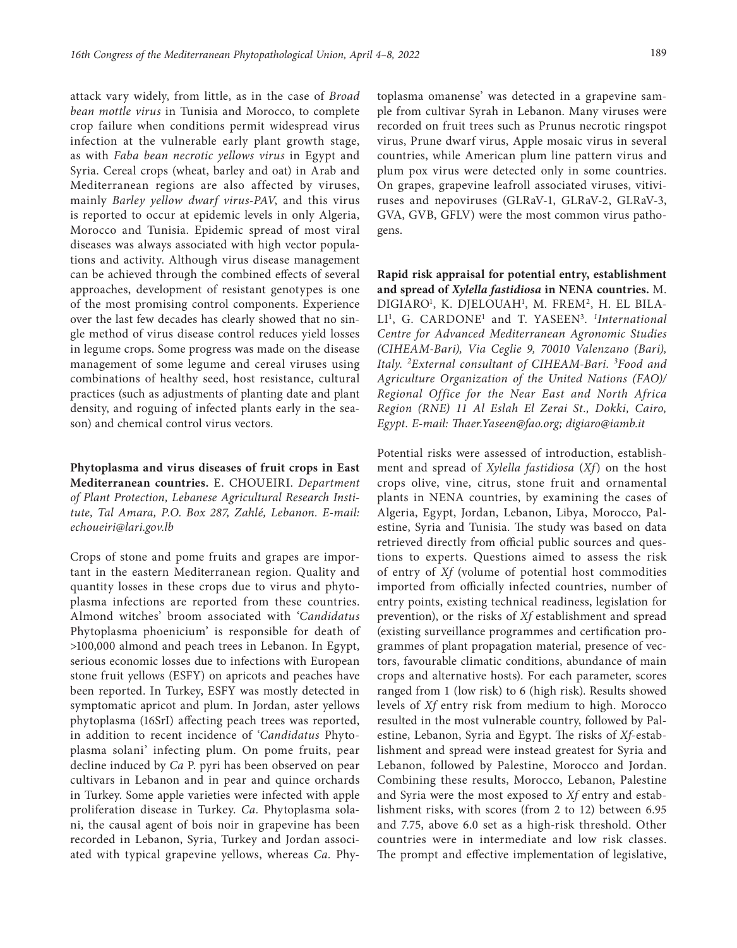attack vary widely, from little, as in the case of *Broad bean mottle virus* in Tunisia and Morocco, to complete crop failure when conditions permit widespread virus infection at the vulnerable early plant growth stage, as with *Faba bean necrotic yellows virus* in Egypt and Syria. Cereal crops (wheat, barley and oat) in Arab and Mediterranean regions are also affected by viruses, mainly *Barley yellow dwarf virus-PAV*, and this virus is reported to occur at epidemic levels in only Algeria, Morocco and Tunisia. Epidemic spread of most viral diseases was always associated with high vector populations and activity. Although virus disease management can be achieved through the combined effects of several approaches, development of resistant genotypes is one of the most promising control components. Experience over the last few decades has clearly showed that no single method of virus disease control reduces yield losses in legume crops. Some progress was made on the disease management of some legume and cereal viruses using combinations of healthy seed, host resistance, cultural practices (such as adjustments of planting date and plant density, and roguing of infected plants early in the season) and chemical control virus vectors.

**Phytoplasma and virus diseases of fruit crops in East Mediterranean countries.** E. CHOUEIRI. *Department of Plant Protection, Lebanese Agricultural Research Institute, Tal Amara, P.O. Box 287, Zahlé, Lebanon. E-mail: echoueiri@lari.gov.lb*

Crops of stone and pome fruits and grapes are important in the eastern Mediterranean region. Quality and quantity losses in these crops due to virus and phytoplasma infections are reported from these countries. Almond witches' broom associated with '*Candidatus*  Phytoplasma phoenicium' is responsible for death of >100,000 almond and peach trees in Lebanon. In Egypt, serious economic losses due to infections with European stone fruit yellows (ESFY) on apricots and peaches have been reported. In Turkey, ESFY was mostly detected in symptomatic apricot and plum. In Jordan, aster yellows phytoplasma (16SrI) affecting peach trees was reported, in addition to recent incidence of '*Candidatus* Phytoplasma solani' infecting plum. On pome fruits, pear decline induced by *Ca* P. pyri has been observed on pear cultivars in Lebanon and in pear and quince orchards in Turkey. Some apple varieties were infected with apple proliferation disease in Turkey. *Ca.* Phytoplasma solani, the causal agent of bois noir in grapevine has been recorded in Lebanon, Syria, Turkey and Jordan associated with typical grapevine yellows, whereas *Ca.* Phy-

toplasma omanense' was detected in a grapevine sample from cultivar Syrah in Lebanon. Many viruses were recorded on fruit trees such as Prunus necrotic ringspot virus, Prune dwarf virus, Apple mosaic virus in several countries, while American plum line pattern virus and plum pox virus were detected only in some countries. On grapes, grapevine leafroll associated viruses, vitiviruses and nepoviruses (GLRaV-1, GLRaV-2, GLRaV-3, GVA, GVB, GFLV) were the most common virus pathogens.

**Rapid risk appraisal for potential entry, establishment and spread of** *Xylella fastidiosa* **in NENA countries.** M. DIGIARO<sup>1</sup>, K. DJELOUAH<sup>1</sup>, M. FREM<sup>2</sup>, H. EL BILA-LI<sup>1</sup>, G. CARDONE<sup>1</sup> and T. YASEEN<sup>3</sup>. *<sup>1</sup>International Centre for Advanced Mediterranean Agronomic Studies (CIHEAM-Bari), Via Ceglie 9, 70010 Valenzano (Bari), Italy. 2External consultant of CIHEAM-Bari. 3 Food and Agriculture Organization of the United Nations (FAO)/ Regional Office for the Near East and North Africa Region (RNE) 11 Al Eslah El Zerai St., Dokki, Cairo, Egypt. E-mail: [Thaer.Yaseen@fao.org;](mailto:Thaer.Yaseen@fao.org) [digiaro@iamb.it](mailto:digiaro@iamb.it)*

Potential risks were assessed of introduction, establishment and spread of *Xylella fastidiosa* (*Xf*) on the host crops olive, vine, citrus, stone fruit and ornamental plants in NENA countries, by examining the cases of Algeria, Egypt, Jordan, Lebanon, Libya, Morocco, Palestine, Syria and Tunisia. The study was based on data retrieved directly from official public sources and questions to experts. Questions aimed to assess the risk of entry of *Xf* (volume of potential host commodities imported from officially infected countries, number of entry points, existing technical readiness, legislation for prevention), or the risks of *Xf* establishment and spread (existing surveillance programmes and certification programmes of plant propagation material, presence of vectors, favourable climatic conditions, abundance of main crops and alternative hosts). For each parameter, scores ranged from 1 (low risk) to 6 (high risk). Results showed levels of *Xf* entry risk from medium to high. Morocco resulted in the most vulnerable country, followed by Palestine, Lebanon, Syria and Egypt. The risks of *Xf*-establishment and spread were instead greatest for Syria and Lebanon, followed by Palestine, Morocco and Jordan. Combining these results, Morocco, Lebanon, Palestine and Syria were the most exposed to *Xf* entry and establishment risks, with scores (from 2 to 12) between 6.95 and 7.75, above 6.0 set as a high-risk threshold. Other countries were in intermediate and low risk classes. The prompt and effective implementation of legislative,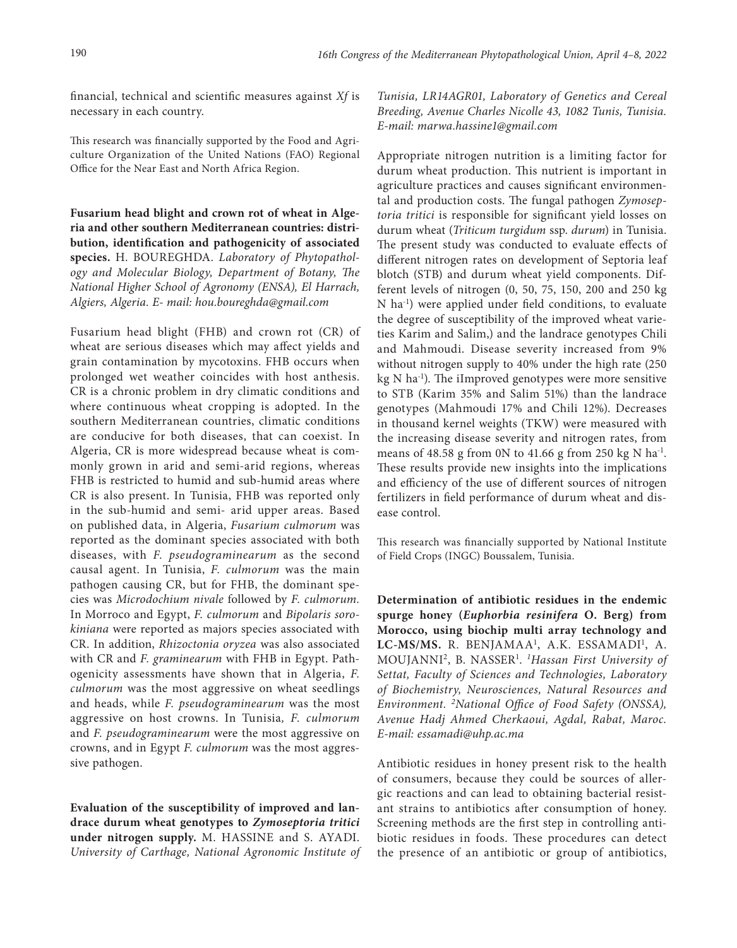financial, technical and scientific measures against *Xf* is necessary in each country.

This research was financially supported by the Food and Agriculture Organization of the United Nations (FAO) Regional Office for the Near East and North Africa Region.

**Fusarium head blight and crown rot of wheat in Algeria and other southern Mediterranean countries: distribution, identification and pathogenicity of associated species.** H. BOUREGHDA. *Laboratory of Phytopathology and Molecular Biology, Department of Botany, The National Higher School of Agronomy (ENSA), El Harrach, Algiers, Algeria. E- mail: [hou.boureghda@gmail.com](mailto:hou.boureghda@gmail.com)*

Fusarium head blight (FHB) and crown rot (CR) of wheat are serious diseases which may affect yields and grain contamination by mycotoxins. FHB occurs when prolonged wet weather coincides with host anthesis. CR is a chronic problem in dry climatic conditions and where continuous wheat cropping is adopted. In the southern Mediterranean countries, climatic conditions are conducive for both diseases, that can coexist. In Algeria, CR is more widespread because wheat is commonly grown in arid and semi-arid regions, whereas FHB is restricted to humid and sub-humid areas where CR is also present. In Tunisia, FHB was reported only in the sub-humid and semi- arid upper areas. Based on published data, in Algeria, *Fusarium culmorum* was reported as the dominant species associated with both diseases, with *F. pseudograminearum* as the second causal agent. In Tunisia, *F. culmorum* was the main pathogen causing CR, but for FHB, the dominant species was *Microdochium nivale* followed by *F. culmorum.*  In Morroco and Egypt, *F. culmorum* and *Bipolaris sorokiniana* were reported as majors species associated with CR. In addition, *Rhizoctonia oryzea* was also associated with CR and *F. graminearum* with FHB in Egypt. Pathogenicity assessments have shown that in Algeria, *F. culmorum* was the most aggressive on wheat seedlings and heads, while *F. pseudograminearum* was the most aggressive on host crowns. In Tunisia*, F. culmorum*  and *F. pseudograminearum* were the most aggressive on crowns, and in Egypt *F. culmorum* was the most aggressive pathogen.

**Evaluation of the susceptibility of improved and landrace durum wheat genotypes to** *Zymoseptoria tritici*  **under nitrogen supply.** M. HASSINE and S. AYADI. *University of Carthage, National Agronomic Institute of* 

*Tunisia, LR14AGR01, Laboratory of Genetics and Cereal Breeding, Avenue Charles Nicolle 43, 1082 Tunis, Tunisia. [E-mail: marwa.hassine1@gmail.com](mailto:E-mail:%20marwa.hassine1@gmail.com)*

Appropriate nitrogen nutrition is a limiting factor for durum wheat production. This nutrient is important in agriculture practices and causes significant environmental and production costs. The fungal pathogen *Zymoseptoria tritici* is responsible for significant yield losses on durum wheat (*Triticum turgidum* ssp. *durum*) in Tunisia. The present study was conducted to evaluate effects of different nitrogen rates on development of Septoria leaf blotch (STB) and durum wheat yield components. Different levels of nitrogen (0, 50, 75, 150, 200 and 250 kg N ha-1) were applied under field conditions, to evaluate the degree of susceptibility of the improved wheat varieties Karim and Salim,) and the landrace genotypes Chili and Mahmoudi. Disease severity increased from 9% without nitrogen supply to 40% under the high rate (250  $kg \text{ N}$  ha<sup>-1</sup>). The iImproved genotypes were more sensitive to STB (Karim 35% and Salim 51%) than the landrace genotypes (Mahmoudi 17% and Chili 12%). Decreases in thousand kernel weights (TKW) were measured with the increasing disease severity and nitrogen rates, from means of 48.58 g from 0N to 41.66 g from 250 kg N ha<sup>-1</sup>. These results provide new insights into the implications and efficiency of the use of different sources of nitrogen fertilizers in field performance of durum wheat and disease control.

This research was financially supported by National Institute of Field Crops (INGC) Boussalem, Tunisia.

**Determination of antibiotic residues in the endemic spurge honey (***Euphorbia resinifera* **O. Berg) from Morocco, using biochip multi array technology and**  LC-MS/MS. R. BENJAMAA<sup>1</sup>, A.K. ESSAMADI<sup>1</sup>, A. MOUJANNI2, B. NASSER1 . *1 Hassan First University of Settat, Faculty of Sciences and Technologies, Laboratory of Biochemistry, Neurosciences, Natural Resources and Environment. 2National Office of Food Safety (ONSSA), Avenue Hadj Ahmed Cherkaoui, Agdal, Rabat, Maroc. E-mail: [essamadi@uhp.ac.ma](mailto:essamadi@uhp.ac.ma)*

Antibiotic residues in honey present risk to the health of consumers, because they could be sources of allergic reactions and can lead to obtaining bacterial resistant strains to antibiotics after consumption of honey. Screening methods are the first step in controlling antibiotic residues in foods. These procedures can detect the presence of an antibiotic or group of antibiotics,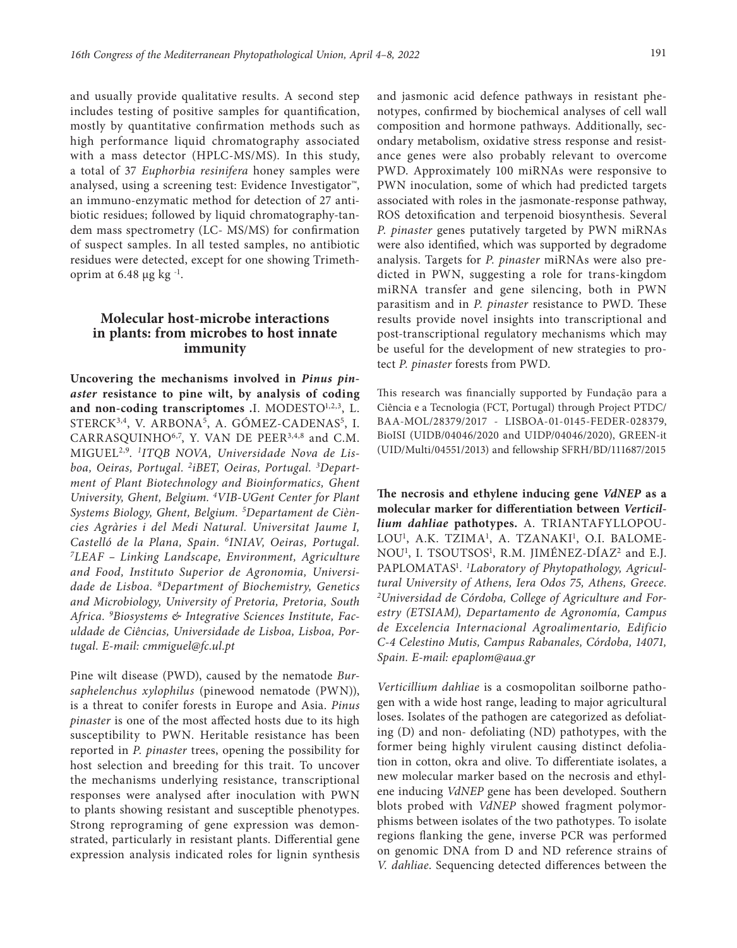and usually provide qualitative results. A second step includes testing of positive samples for quantification, mostly by quantitative confirmation methods such as high performance liquid chromatography associated with a mass detector (HPLC-MS/MS). In this study, a total of 37 *Euphorbia resinifera* honey samples were analysed, using a screening test: Evidence Investigator™, an immuno-enzymatic method for detection of 27 antibiotic residues; followed by liquid chromatography-tandem mass spectrometry (LC- MS/MS) for confirmation of suspect samples. In all tested samples, no antibiotic residues were detected, except for one showing Trimethoprim at  $6.48 \mu$ g kg<sup>-1</sup>.

# **Molecular host-microbe interactions in plants: from microbes to host innate immunity**

**Uncovering the mechanisms involved in** *Pinus pinaster* **resistance to pine wilt, by analysis of coding**  and non-coding transcriptomes .I. MODESTO<sup>1,2,3</sup>, L. STERCK<sup>3,4</sup>, V. ARBONA<sup>5</sup>, A. GÓMEZ-CADENAS<sup>5</sup>, I. CARRASQUINHO<sup>6,7</sup>, Y. VAN DE PEER<sup>3,4,8</sup> and C.M. MIGUEL2,9. *1ITQB NOVA, Universidade Nova de Lisboa, Oeiras, Portugal. 2iBET, Oeiras, Portugal. 3 Department of Plant Biotechnology and Bioinformatics, Ghent University, Ghent, Belgium. 4 VIB-UGent Center for Plant Systems Biology, Ghent, Belgium. 5 Departament de Ciències Agràries i del Medi Natural. Universitat Jaume I, Castelló de la Plana, Spain. 6INIAV, Oeiras, Portugal. 7LEAF – Linking Landscape, Environment, Agriculture and Food, Instituto Superior de Agronomia, Universidade de Lisboa. 8Department of Biochemistry, Genetics and Microbiology, University of Pretoria, Pretoria, South Africa. 9 Biosystems & Integrative Sciences Institute, Faculdade de Ciências, Universidade de Lisboa, Lisboa, Portugal. E-mail: [cmmiguel@fc.ul.pt](mailto:cmmiguel@fc.ul.pt)*

Pine wilt disease (PWD), caused by the nematode *Bursaphelenchus xylophilus* (pinewood nematode (PWN)), is a threat to conifer forests in Europe and Asia. *Pinus pinaster* is one of the most affected hosts due to its high susceptibility to PWN. Heritable resistance has been reported in *P. pinaster* trees, opening the possibility for host selection and breeding for this trait. To uncover the mechanisms underlying resistance, transcriptional responses were analysed after inoculation with PWN to plants showing resistant and susceptible phenotypes. Strong reprograming of gene expression was demonstrated, particularly in resistant plants. Differential gene expression analysis indicated roles for lignin synthesis and jasmonic acid defence pathways in resistant phenotypes, confirmed by biochemical analyses of cell wall composition and hormone pathways. Additionally, secondary metabolism, oxidative stress response and resistance genes were also probably relevant to overcome PWD. Approximately 100 miRNAs were responsive to PWN inoculation, some of which had predicted targets associated with roles in the jasmonate-response pathway, ROS detoxification and terpenoid biosynthesis. Several *P. pinaster* genes putatively targeted by PWN miRNAs were also identified, which was supported by degradome analysis. Targets for *P. pinaster* miRNAs were also predicted in PWN, suggesting a role for trans-kingdom miRNA transfer and gene silencing, both in PWN parasitism and in *P. pinaster* resistance to PWD. These results provide novel insights into transcriptional and post-transcriptional regulatory mechanisms which may be useful for the development of new strategies to protect *P. pinaster* forests from PWD.

This research was financially supported by Fundação para a Ciência e a Tecnologia (FCT, Portugal) through Project PTDC/ BAA-MOL/28379/2017 - LISBOA-01-0145-FEDER-028379, BioISI (UIDB/04046/2020 and UIDP/04046/2020), GREEN-it (UID/Multi/04551/2013) and fellowship SFRH/BD/111687/2015

**The necrosis and ethylene inducing gene** *VdNEP* **as a molecular marker for differentiation between** *Verticillium dahliae* **pathotypes.** A. TRIANTAFYLLOPOU-LOU<sup>1</sup>, A.K. TZIMA<sup>1</sup>, A. TZANAKI<sup>1</sup>, O.I. BALOME-NOU<sup>1</sup>, I. TSOUTSOS<sup>1</sup>, R.M. JIMÉNEZ-DÍAZ<sup>2</sup> and E.J. PAPLOMATAS<sup>1</sup>. <sup>1</sup>Laboratory of Phytopathology, Agricul*tural University of Athens, Iera Odos 75, Athens, Greece. 2 Universidad de Córdoba, College of Agriculture and Forestry (ETSIAM), Departamento de Agronomía, Campus de Excelencia Internacional Agroalimentario, Edificio C-4 Celestino Mutis, Campus Rabanales, Córdoba, 14071, Spain. E-mail: [epaplom@aua.gr](mailto:epaplom@aua.gr)*

*Verticillium dahliae* is a cosmopolitan soilborne pathogen with a wide host range, leading to major agricultural loses. Isolates of the pathogen are categorized as defoliating (D) and non- defoliating (ND) pathotypes, with the former being highly virulent causing distinct defoliation in cotton, okra and olive. To differentiate isolates, a new molecular marker based on the necrosis and ethylene inducing *VdNEP* gene has been developed. Southern blots probed with *VdNEP* showed fragment polymorphisms between isolates of the two pathotypes. To isolate regions flanking the gene, inverse PCR was performed on genomic DNA from D and ND reference strains of *V. dahliae*. Sequencing detected differences between the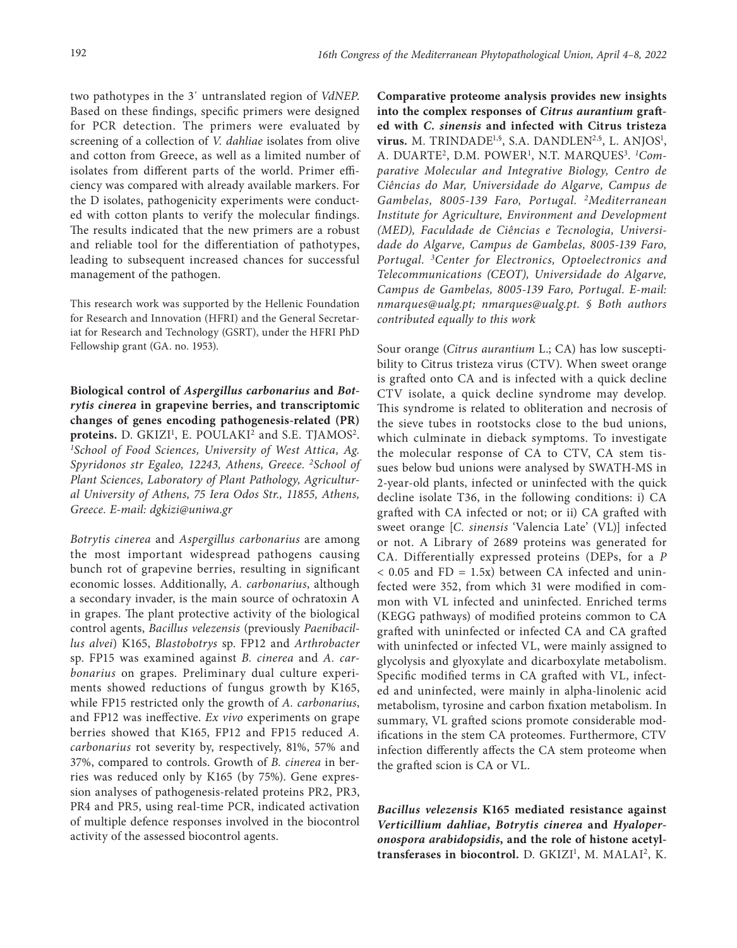two pathotypes in the 3΄ untranslated region of *VdNEP*. Based on these findings, specific primers were designed for PCR detection. The primers were evaluated by screening of a collection of *V. dahliae* isolates from olive and cotton from Greece, as well as a limited number of isolates from different parts of the world. Primer efficiency was compared with already available markers. For the D isolates, pathogenicity experiments were conducted with cotton plants to verify the molecular findings. The results indicated that the new primers are a robust and reliable tool for the differentiation of pathotypes, leading to subsequent increased chances for successful management of the pathogen.

Τhis research work was supported by the Hellenic Foundation for Research and Innovation (HFRI) and the General Secretariat for Research and Technology (GSRT), under the HFRI PhD Fellowship grant (GA. no. 1953).

**Biological control of** *Aspergillus carbonarius* **and** *Botrytis cinerea* **in grapevine berries, and transcriptomic changes of genes encoding pathogenesis-related (PR)**  proteins. D. GKIZI<sup>1</sup>, E. POULAKI<sup>2</sup> and S.E. TJAMOS<sup>2</sup>. *1 School of Food Sciences, University of West Attica, Ag. Spyridonos str Egaleo, 12243, Athens, Greece. 2School of Plant Sciences, Laboratory of Plant Pathology, Agricultural University of Athens, 75 Iera Odos Str., 11855, Athens, Greece. E-mail: [dgkizi@uniwa.gr](mailto:dgkizi@uniwa.gr)*

*Botrytis cinerea* and *Aspergillus carbonarius* are among the most important widespread pathogens causing bunch rot of grapevine berries, resulting in significant economic losses. Additionally, *A. carbonarius*, although a secondary invader, is the main source of ochratoxin A in grapes. The plant protective activity of the biological control agents, *Bacillus velezensis* (previously *Paenibacillus alvei*) K165, *Blastobotrys* sp. FP12 and *Arthrobacter*  sp. FP15 was examined against *B. cinerea* and *A. carbonarius* on grapes. Preliminary dual culture experiments showed reductions of fungus growth by K165, while FP15 restricted only the growth of *A. carbonarius*, and FP12 was ineffective. *Ex vivo* experiments on grape berries showed that K165, FP12 and FP15 reduced *A. carbonarius* rot severity by, respectively, 81%, 57% and 37%, compared to controls. Growth of *B. cinerea* in berries was reduced only by K165 (by 75%). Gene expression analyses of pathogenesis-related proteins PR2, PR3, PR4 and PR5, using real-time PCR, indicated activation of multiple defence responses involved in the biocontrol activity of the assessed biocontrol agents.

**Comparative proteome analysis provides new insights into the complex responses of** *Citrus aurantium* **grafted with** *C. sinensis* **and infected with Citrus tristeza virus.** M. TRINDADE<sup>1,§</sup>, S.A. DANDLEN<sup>2,§</sup>, L. ANJOS<sup>1</sup>, A. DUARTE<sup>2</sup>, D.M. POWER<sup>1</sup>, N.T. MARQUES<sup>3</sup>. <sup>1</sup>Com*parative Molecular and Integrative Biology, Centro de Ciências do Mar, Universidade do Algarve, Campus de Gambelas, 8005-139 Faro, Portugal. 2Mediterranean Institute for Agriculture, Environment and Development (MED), Faculdade de Ciências e Tecnologia, Universidade do Algarve, Campus de Gambelas, 8005-139 Faro, Portugal. 3Center for Electronics, Optoelectronics and Telecommunications (CEOT), Universidade do Algarve, Campus de Gambelas, 8005-139 Faro, Portugal. E-mail: [nmarques@ualg.pt;](mailto:nmarques@ualg.pt) [nmarques@ualg.pt](mailto:nmarques@ualg.pt). § Both authors contributed equally to this work*

Sour orange (*Citrus aurantium* L.; CA) has low susceptibility to Citrus tristeza virus (CTV). When sweet orange is grafted onto CA and is infected with a quick decline CTV isolate, a quick decline syndrome may develop*.*  This syndrome is related to obliteration and necrosis of the sieve tubes in rootstocks close to the bud unions, which culminate in dieback symptoms. To investigate the molecular response of CA to CTV, CA stem tissues below bud unions were analysed by SWATH-MS in 2-year-old plants, infected or uninfected with the quick decline isolate T36, in the following conditions: i) CA grafted with CA infected or not; or ii) CA grafted with sweet orange [*C. sinensis* 'Valencia Late' (VL)] infected or not. A Library of 2689 proteins was generated for CA. Differentially expressed proteins (DEPs, for a *P*  $< 0.05$  and FD = 1.5x) between CA infected and uninfected were 352, from which 31 were modified in common with VL infected and uninfected. Enriched terms (KEGG pathways) of modified proteins common to CA grafted with uninfected or infected CA and CA grafted with uninfected or infected VL, were mainly assigned to glycolysis and glyoxylate and dicarboxylate metabolism. Specific modified terms in CA grafted with VL, infected and uninfected, were mainly in alpha-linolenic acid metabolism, tyrosine and carbon fixation metabolism. In summary, VL grafted scions promote considerable modifications in the stem CA proteomes. Furthermore, CTV infection differently affects the CA stem proteome when the grafted scion is CA or VL.

*Bacillus velezensis* **K165 mediated resistance against**  *Verticillium dahliae***,** *Botrytis cinerea* **and** *Hyaloperonospora arabidopsidis***, and the role of histone acetyl**transferases in biocontrol. D. GKIZI<sup>1</sup>, M. MALAI<sup>2</sup>, K.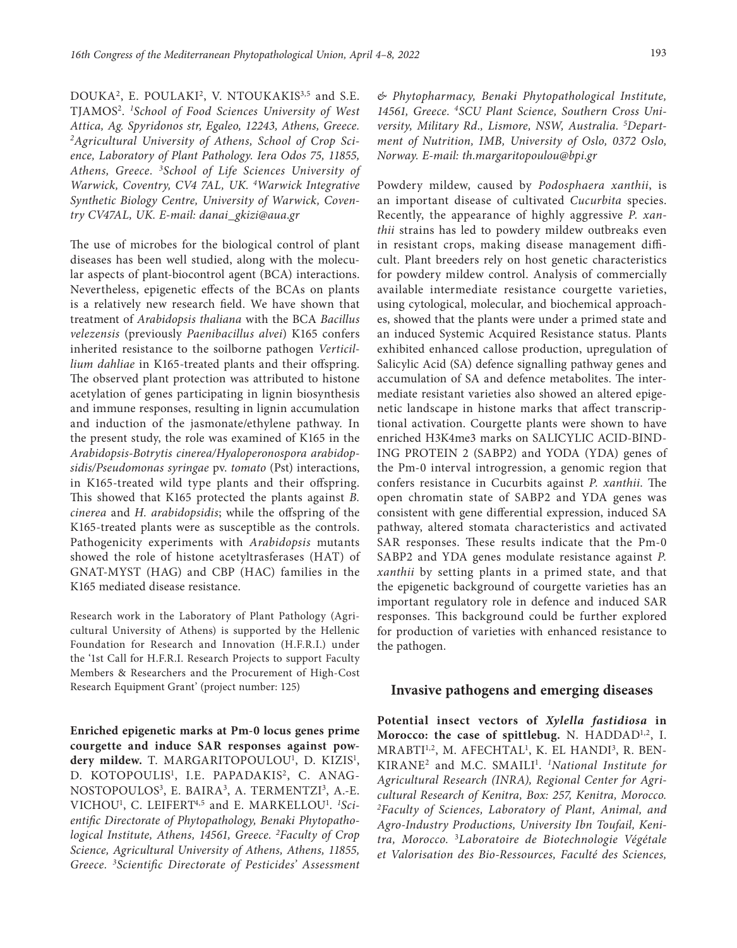DOUKA<sup>2</sup>, E. POULAKI<sup>2</sup>, V. NTOUKAKIS<sup>3,5</sup> and S.E. TJAMOS2. *<sup>1</sup> School of Food Sciences University of West Attica, Ag. Spyridonos str, Egaleo, 12243, Athens, Greece. 2Agricultural University of Athens, School of Crop Science, Laboratory of Plant Pathology. Iera Odos 75, 11855, Athens, Greece. 3School of Life Sciences University of Warwick, Coventry, CV4 7AL, UK. 4 Warwick Integrative Synthetic Biology Centre, University of Warwick, Coventry CV47AL, UK. E-mail: [danai\\_gkizi@aua.gr](mailto:danai_gkizi@aua.gr)*

The use of microbes for the biological control of plant diseases has been well studied, along with the molecular aspects of plant-biocontrol agent (BCA) interactions. Nevertheless, epigenetic effects of the BCAs on plants is a relatively new research field. We have shown that treatment of *Arabidopsis thaliana* with the BCA *Bacillus velezensis* (previously *Paenibacillus alvei*) K165 confers inherited resistance to the soilborne pathogen *Verticillium dahliae* in K165-treated plants and their offspring. The observed plant protection was attributed to histone acetylation of genes participating in lignin biosynthesis and immune responses, resulting in lignin accumulation and induction of the jasmonate/ethylene pathway. In the present study, the role was examined of K165 in the *Arabidopsis-Botrytis cinerea/Hyaloperonospora arabidopsidis/Pseudomonas syringae* pv. *tomato* (Pst) interactions, in K165-treated wild type plants and their offspring. This showed that K165 protected the plants against *B. cinerea* and *H. arabidopsidis*; while the offspring of the K165-treated plants were as susceptible as the controls. Pathogenicity experiments with *Arabidopsis* mutants showed the role of histone acetyltrasferases (HAT) of GNAT-MYST (HAG) and CBP (HAC) families in the K165 mediated disease resistance.

Research work in the Laboratory of Plant Pathology (Agricultural University of Athens) is supported by the Hellenic Foundation for Research and Innovation (H.F.R.I.) under the '1st Call for H.F.R.I. Research Projects to support Faculty Members & Researchers and the Procurement of High-Cost Research Equipment Grant' (project number: 125)

**Enriched epigenetic marks at Pm-0 locus genes prime courgette and induce SAR responses against pow**dery mildew. T. MARGARITOPOULOU<sup>1</sup>, D. KIZIS<sup>1</sup>, D. KOTOPOULIS<sup>1</sup>, I.E. PAPADAKIS<sup>2</sup>, C. ANAG-NOSTOPOULOS<sup>3</sup>, E. BAIRA<sup>3</sup>, A. TERMENTZI<sup>3</sup>, A.-E. VICHOU1 , C. LEIFERT4,5 and E. MARKELLOU1 . *1 Scientific Directorate of Phytopathology, Benaki Phytopathological Institute, Athens, 14561, Greece. 2Faculty of Crop Science, Agricultural University of Athens, Athens, 11855, Greece. 3Scientific Directorate of Pesticides' Assessment* 

*& Phytopharmacy, Benaki Phytopathological Institute, 14561, Greece. 4SCU Plant Science, Southern Cross University, Military Rd., Lismore, NSW, Australia. 5 Department of Nutrition, IMB, University of Oslo, 0372 Oslo, Norway. E-mail: th.margaritopoulou@bpi.gr*

Powdery mildew, caused by *Podosphaera xanthii*, is an important disease of cultivated *Cucurbita* species. Recently, the appearance of highly aggressive *P. xanthii* strains has led to powdery mildew outbreaks even in resistant crops, making disease management difficult. Plant breeders rely on host genetic characteristics for powdery mildew control. Analysis of commercially available intermediate resistance courgette varieties, using cytological, molecular, and biochemical approaches, showed that the plants were under a primed state and an induced Systemic Acquired Resistance status. Plants exhibited enhanced callose production, upregulation of Salicylic Acid (SA) defence signalling pathway genes and accumulation of SA and defence metabolites. The intermediate resistant varieties also showed an altered epigenetic landscape in histone marks that affect transcriptional activation. Courgette plants were shown to have enriched H3K4me3 marks on SALICYLIC ACID-BIND-ING PROTEIN 2 (SABP2) and YODA (YDA) genes of the Pm-0 interval introgression, a genomic region that confers resistance in Cucurbits against *P. xanthii*. The open chromatin state of SABP2 and YDA genes was consistent with gene differential expression, induced SA pathway, altered stomata characteristics and activated SAR responses. These results indicate that the Pm-0 SABP2 and YDA genes modulate resistance against *P. xanthii* by setting plants in a primed state, and that the epigenetic background of courgette varieties has an important regulatory role in defence and induced SAR responses. This background could be further explored for production of varieties with enhanced resistance to the pathogen.

#### **Invasive pathogens and emerging diseases**

**Potential insect vectors of** *Xylella fastidiosa* **in**  Morocco: the case of spittlebug. N. HADDAD<sup>1,2</sup>, I. MRABTI<sup>1,2</sup>, M. AFECHTAL<sup>1</sup>, K. EL HANDI<sup>3</sup>, R. BEN-KIRANE<sup>2</sup> and M.C. SMAILI<sup>1</sup>. <sup>1</sup>National Institute for *Agricultural Research (INRA), Regional Center for Agricultural Research of Kenitra, Box: 257, Kenitra, Morocco. 2Faculty of Sciences, Laboratory of Plant, Animal, and Agro-Industry Productions, University Ibn Toufail, Kenitra, Morocco.* <sup>3</sup>*Laboratoire de Biotechnologie Végétale et Valorisation des Bio-Ressources, Faculté des Sciences,*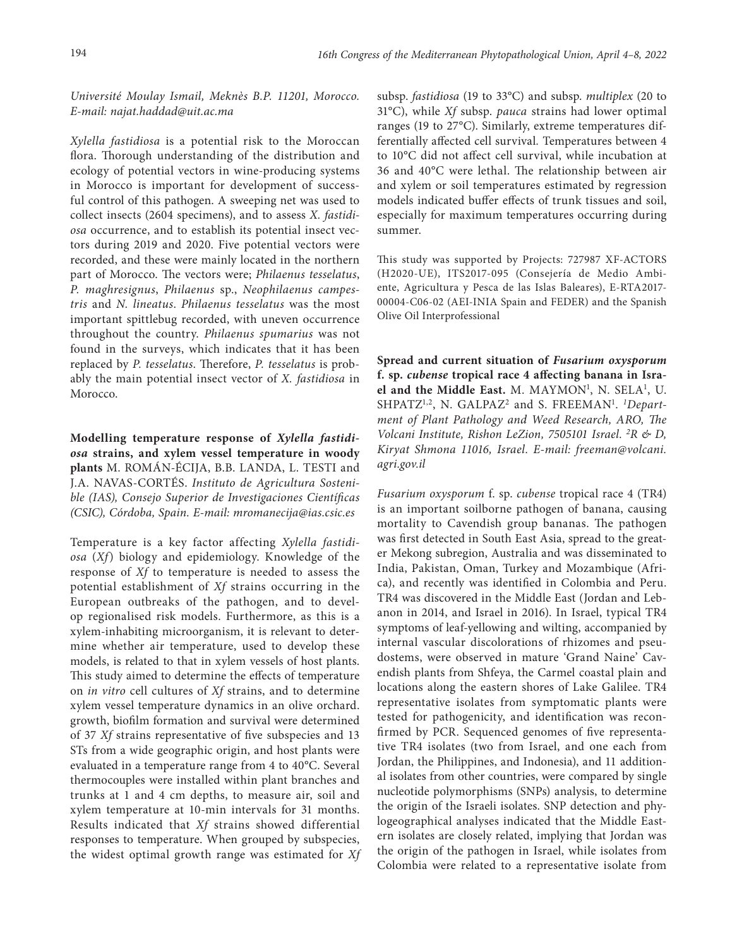*Université Moulay Ismail, Meknès B.P. 11201, Morocco. E-mail: [najat.haddad@uit.ac.ma](mailto:najat.haddad@uit.ac.ma)*

*Xylella fastidiosa* is a potential risk to the Moroccan flora. Thorough understanding of the distribution and ecology of potential vectors in wine-producing systems in Morocco is important for development of successful control of this pathogen. A sweeping net was used to collect insects (2604 specimens), and to assess *X. fastidiosa* occurrence, and to establish its potential insect vectors during 2019 and 2020. Five potential vectors were recorded, and these were mainly located in the northern part of Morocco. The vectors were; *Philaenus tesselatus*, *P. maghresignus*, *Philaenus* sp., *Neophilaenus campestris* and *N. lineatus*. *Philaenus tesselatus* was the most important spittlebug recorded, with uneven occurrence throughout the country. *Philaenus spumarius* was not found in the surveys, which indicates that it has been replaced by *P. tesselatus*. Therefore, *P. tesselatus* is probably the main potential insect vector of *X. fastidiosa* in Morocco.

**Modelling temperature response of** *Xylella fastidiosa* **strains, and xylem vessel temperature in woody plants** M. ROMÁN-ÉCIJA, B.B. LANDA, L. TESTI and J.A. NAVAS-CORTÉS. *Instituto de Agricultura Sostenible (IAS), Consejo Superior de Investigaciones Científicas (CSIC), Córdoba, Spain. E-mail: [mromanecija@ias.csic.es](mailto:mromanecija@ias.csic.es)*

Temperature is a key factor affecting *Xylella fastidiosa* (*Xf*) biology and epidemiology. Knowledge of the response of *Xf* to temperature is needed to assess the potential establishment of *Xf* strains occurring in the European outbreaks of the pathogen, and to develop regionalised risk models. Furthermore, as this is a xylem-inhabiting microorganism, it is relevant to determine whether air temperature, used to develop these models, is related to that in xylem vessels of host plants. This study aimed to determine the effects of temperature on *in vitro* cell cultures of *Xf* strains, and to determine xylem vessel temperature dynamics in an olive orchard. growth, biofilm formation and survival were determined of 37 *Xf* strains representative of five subspecies and 13 STs from a wide geographic origin, and host plants were evaluated in a temperature range from 4 to 40°C. Several thermocouples were installed within plant branches and trunks at 1 and 4 cm depths, to measure air, soil and xylem temperature at 10-min intervals for 31 months. Results indicated that *Xf* strains showed differential responses to temperature. When grouped by subspecies, the widest optimal growth range was estimated for *Xf*  subsp. *fastidiosa* (19 to 33°C) and subsp. *multiplex* (20 to 31°C), while *Xf* subsp. *pauca* strains had lower optimal ranges (19 to 27°C). Similarly, extreme temperatures differentially affected cell survival*.* Temperatures between 4 to 10°C did not affect cell survival, while incubation at 36 and 40°C were lethal. The relationship between air and xylem or soil temperatures estimated by regression models indicated buffer effects of trunk tissues and soil, especially for maximum temperatures occurring during summer.

This study was supported by Projects: 727987 XF-ACTORS (H2020-UE), ITS2017-095 (Consejería de Medio Ambiente, Agricultura y Pesca de las Islas Baleares), E-RTA2017- 00004-C06-02 (AEI-INIA Spain and FEDER) and the Spanish Olive Oil Interprofessional

**Spread and current situation of** *Fusarium oxysporum*  **f. sp.** *cubense* **tropical race 4 affecting banana in Isra**el and the Middle East. M. MAYMON<sup>1</sup>, N. SELA<sup>1</sup>, U. SHPATZ<sup>1,2</sup>, N. GALPAZ<sup>2</sup> and S. FREEMAN<sup>1</sup>. <sup>1</sup>Depart*ment of Plant Pathology and Weed Research, ARO, The Volcani Institute, Rishon LeZion, 7505101 Israel. 2 R & D, Kiryat Shmona 11016, Israel. E-mail: [freeman@volcani.](mailto:freeman@volcani.agri.gov.il) [agri.gov.il](mailto:freeman@volcani.agri.gov.il)*

*Fusarium oxysporum* f. sp. *cubense* tropical race 4 (TR4) is an important soilborne pathogen of banana, causing mortality to Cavendish group bananas. The pathogen was first detected in South East Asia, spread to the greater Mekong subregion, Australia and was disseminated to India, Pakistan, Oman, Turkey and Mozambique (Africa), and recently was identified in Colombia and Peru. TR4 was discovered in the Middle East (Jordan and Lebanon in 2014, and Israel in 2016). In Israel, typical TR4 symptoms of leaf-yellowing and wilting, accompanied by internal vascular discolorations of rhizomes and pseudostems, were observed in mature 'Grand Naine' Cavendish plants from Shfeya, the Carmel coastal plain and locations along the eastern shores of Lake Galilee. TR4 representative isolates from symptomatic plants were tested for pathogenicity, and identification was reconfirmed by PCR. Sequenced genomes of five representative TR4 isolates (two from Israel, and one each from Jordan, the Philippines, and Indonesia), and 11 additional isolates from other countries, were compared by single nucleotide polymorphisms (SNPs) analysis, to determine the origin of the Israeli isolates. SNP detection and phylogeographical analyses indicated that the Middle Eastern isolates are closely related, implying that Jordan was the origin of the pathogen in Israel, while isolates from Colombia were related to a representative isolate from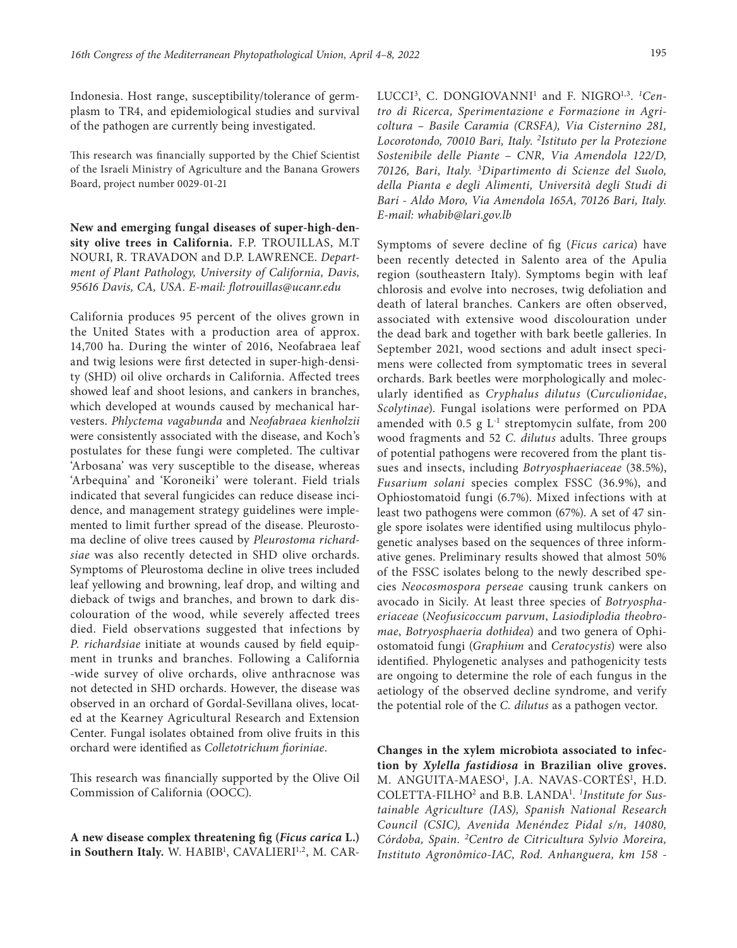Indonesia. Host range, susceptibility/tolerance of germplasm to TR4, and epidemiological studies and survival of the pathogen are currently being investigated.

This research was financially supported by the Chief Scientist of the Israeli Ministry of Agriculture and the Banana Growers Board, project number 0029-01-21

**New and emerging fungal diseases of super-high-density olive trees in California.** F.P. TROUILLAS, M.T NOURI, R. TRAVADON and D.P. LAWRENCE. *Department of Plant Pathology, University of California, Davis, 95616 Davis, CA, USA. E-mail: [flotrouillas@ucanr.edu](mailto:flotrouillas@ucanr.edu)*

California produces 95 percent of the olives grown in the United States with a production area of approx. 14,700 ha. During the winter of 2016, Neofabraea leaf and twig lesions were first detected in super-high-density (SHD) oil olive orchards in California. Affected trees showed leaf and shoot lesions, and cankers in branches, which developed at wounds caused by mechanical harvesters. *Phlyctema vagabunda* and *Neofabraea kienholzii* were consistently associated with the disease, and Koch's postulates for these fungi were completed. The cultivar 'Arbosana' was very susceptible to the disease, whereas 'Arbequina' and 'Koroneiki' were tolerant. Field trials indicated that several fungicides can reduce disease incidence, and management strategy guidelines were implemented to limit further spread of the disease. Pleurostoma decline of olive trees caused by *Pleurostoma richardsiae* was also recently detected in SHD olive orchards. Symptoms of Pleurostoma decline in olive trees included leaf yellowing and browning, leaf drop, and wilting and dieback of twigs and branches, and brown to dark discolouration of the wood, while severely affected trees died. Field observations suggested that infections by *P. richardsiae* initiate at wounds caused by field equipment in trunks and branches. Following a California -wide survey of olive orchards, olive anthracnose was not detected in SHD orchards. However, the disease was observed in an orchard of Gordal-Sevillana olives, located at the Kearney Agricultural Research and Extension Center. Fungal isolates obtained from olive fruits in this orchard were identified as *Colletotrichum fioriniae*.

This research was financially supported by the Olive Oil Commission of California (OOCC).

**A new disease complex threatening fig (***Ficus carica* **L.)**  in Southern Italy. W. HABIB<sup>1</sup>, CAVALIERI<sup>1,2</sup>, M. CAR-

LUCCI3, C. DONGIOVANNI1 and F. NIGRO1,3. *<sup>1</sup> Centro di Ricerca, Sperimentazione e Formazione in Agricoltura – Basile Caramia (CRSFA), Via Cisternino 281, Locorotondo, 70010 Bari, Italy. 2 Istituto per la Protezione Sostenibile delle Piante – CNR, Via Amendola 122/D, 70126, Bari, Italy. 3 Dipartimento di Scienze del Suolo, della Pianta e degli Alimenti, Università degli Studi di Bari - Aldo Moro, Via Amendola 165A, 70126 Bari, Italy. E-mail: whabib@lari.gov.lb*

Symptoms of severe decline of fig (*Ficus carica*) have been recently detected in Salento area of the Apulia region (southeastern Italy). Symptoms begin with leaf chlorosis and evolve into necroses, twig defoliation and death of lateral branches. Cankers are often observed, associated with extensive wood discolouration under the dead bark and together with bark beetle galleries. In September 2021, wood sections and adult insect specimens were collected from symptomatic trees in several orchards. Bark beetles were morphologically and molecularly identified as *Cryphalus dilutus* (*Curculionidae*, *Scolytinae*). Fungal isolations were performed on PDA amended with 0.5 g  $L^{-1}$  streptomycin sulfate, from 200 wood fragments and 52 *C. dilutus* adults. Three groups of potential pathogens were recovered from the plant tissues and insects, including *Botryosphaeriaceae* (38.5%), *Fusarium solani* species complex FSSC (36.9%), and Ophiostomatoid fungi (6.7%). Mixed infections with at least two pathogens were common (67%). A set of 47 single spore isolates were identified using multilocus phylogenetic analyses based on the sequences of three informative genes. Preliminary results showed that almost 50% of the FSSC isolates belong to the newly described species *Neocosmospora perseae* causing trunk cankers on avocado in Sicily. At least three species of *Botryosphaeriaceae* (*Neofusicoccum parvum*, *Lasiodiplodia theobromae*, *Botryosphaeria dothidea*) and two genera of Ophiostomatoid fungi (*Graphium* and *Ceratocystis*) were also identified. Phylogenetic analyses and pathogenicity tests are ongoing to determine the role of each fungus in the aetiology of the observed decline syndrome, and verify the potential role of the *C. dilutus* as a pathogen vector.

**Changes in the xylem microbiota associated to infection by** *Xylella fastidiosa* **in Brazilian olive groves.**  M. ANGUITA-MAESO<sup>1</sup>, J.A. NAVAS-CORTÉS<sup>1</sup>, H.D. COLETTA-FILHO2 and B.B. LANDA1 . *1 Institute for Sustainable Agriculture (IAS), Spanish National Research Council (CSIC), Avenida Menéndez Pidal s/n, 14080, Córdoba, Spain. 2Centro de Citricultura Sylvio Moreira, Instituto Agronômico-IAC, Rod. Anhanguera, km 158 -*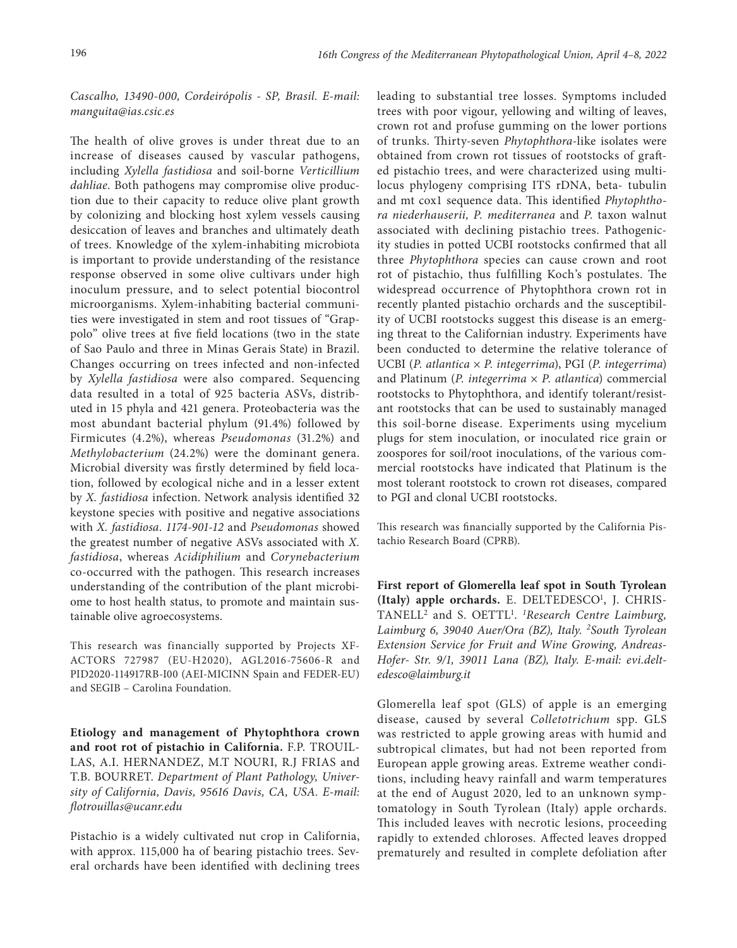## *Cascalho, 13490-000, Cordeirópolis - SP, Brasil. E-mail: [manguita@ias.csic.es](mailto:manguita@ias.csic.es)*

The health of olive groves is under threat due to an increase of diseases caused by vascular pathogens, including *Xylella fastidiosa* and soil-borne *Verticillium dahliae*. Both pathogens may compromise olive production due to their capacity to reduce olive plant growth by colonizing and blocking host xylem vessels causing desiccation of leaves and branches and ultimately death of trees. Knowledge of the xylem-inhabiting microbiota is important to provide understanding of the resistance response observed in some olive cultivars under high inoculum pressure, and to select potential biocontrol microorganisms. Xylem-inhabiting bacterial communities were investigated in stem and root tissues of "Grappolo" olive trees at five field locations (two in the state of Sao Paulo and three in Minas Gerais State) in Brazil. Changes occurring on trees infected and non-infected by *Xylella fastidiosa* were also compared. Sequencing data resulted in a total of 925 bacteria ASVs, distributed in 15 phyla and 421 genera. Proteobacteria was the most abundant bacterial phylum (91.4%) followed by Firmicutes (4.2%), whereas *Pseudomonas* (31.2%) and *Methylobacterium* (24.2%) were the dominant genera. Microbial diversity was firstly determined by field location, followed by ecological niche and in a lesser extent by *X. fastidiosa* infection. Network analysis identified 32 keystone species with positive and negative associations with *X. fastidiosa*. *1174-901-12* and *Pseudomonas* showed the greatest number of negative ASVs associated with *X. fastidiosa*, whereas *Acidiphilium* and *Corynebacterium*  co-occurred with the pathogen. This research increases understanding of the contribution of the plant microbiome to host health status, to promote and maintain sustainable olive agroecosystems.

This research was financially supported by Projects XF-ACTORS 727987 (EU-H2020), AGL2016-75606-R and PID2020-114917RB-I00 (AEI-MICINN Spain and FEDER-EU) and SEGIB – Carolina Foundation.

**Etiology and management of Phytophthora crown and root rot of pistachio in California.** F.P. TROUIL-LAS, A.I. HERNANDEZ, M.T NOURI, R.J FRIAS and T.B. BOURRET. *Department of Plant Pathology, University of California, Davis, 95616 Davis, CA, USA. E-mail: [flotrouillas@ucanr.edu](mailto:flotrouillas@ucanr.edu)*

Pistachio is a widely cultivated nut crop in California, with approx. 115,000 ha of bearing pistachio trees. Several orchards have been identified with declining trees leading to substantial tree losses. Symptoms included trees with poor vigour, yellowing and wilting of leaves, crown rot and profuse gumming on the lower portions of trunks. Thirty-seven *Phytophthora*-like isolates were obtained from crown rot tissues of rootstocks of grafted pistachio trees, and were characterized using multilocus phylogeny comprising ITS rDNA, beta- tubulin and mt cox1 sequence data. This identified *Phytophthora niederhauserii, P. mediterranea* and *P.* taxon walnut associated with declining pistachio trees. Pathogenicity studies in potted UCBI rootstocks confirmed that all three *Phytophthora* species can cause crown and root rot of pistachio, thus fulfilling Koch's postulates. The widespread occurrence of Phytophthora crown rot in recently planted pistachio orchards and the susceptibility of UCBI rootstocks suggest this disease is an emerging threat to the Californian industry. Experiments have been conducted to determine the relative tolerance of UCBI (*P. atlantica* × *P. integerrima*), PGI (*P. integerrima*) and Platinum (*P. integerrima* × *P. atlantica*) commercial rootstocks to Phytophthora, and identify tolerant/resistant rootstocks that can be used to sustainably managed this soil-borne disease. Experiments using mycelium plugs for stem inoculation, or inoculated rice grain or zoospores for soil/root inoculations, of the various commercial rootstocks have indicated that Platinum is the most tolerant rootstock to crown rot diseases, compared to PGI and clonal UCBI rootstocks.

This research was financially supported by the California Pistachio Research Board (CPRB).

**First report of Glomerella leaf spot in South Tyrolean**  (Italy) apple orchards. E. DELTEDESCO<sup>1</sup>, J. CHRIS-TANELL2 and S. OETTL1 . *1 Research Centre Laimburg, Laimburg 6, 39040 Auer/Ora (BZ), Italy. 2South Tyrolean Extension Service for Fruit and Wine Growing, Andreas-Hofer- Str. 9/1, 39011 Lana (BZ), Italy. E-mail: [evi.delt](mailto:evi.deltedesco@laimburg.it)[edesco@laimburg.it](mailto:evi.deltedesco@laimburg.it)*

Glomerella leaf spot (GLS) of apple is an emerging disease, caused by several *Colletotrichum* spp. GLS was restricted to apple growing areas with humid and subtropical climates, but had not been reported from European apple growing areas. Extreme weather conditions, including heavy rainfall and warm temperatures at the end of August 2020, led to an unknown symptomatology in South Tyrolean (Italy) apple orchards. This included leaves with necrotic lesions, proceeding rapidly to extended chloroses. Affected leaves dropped prematurely and resulted in complete defoliation after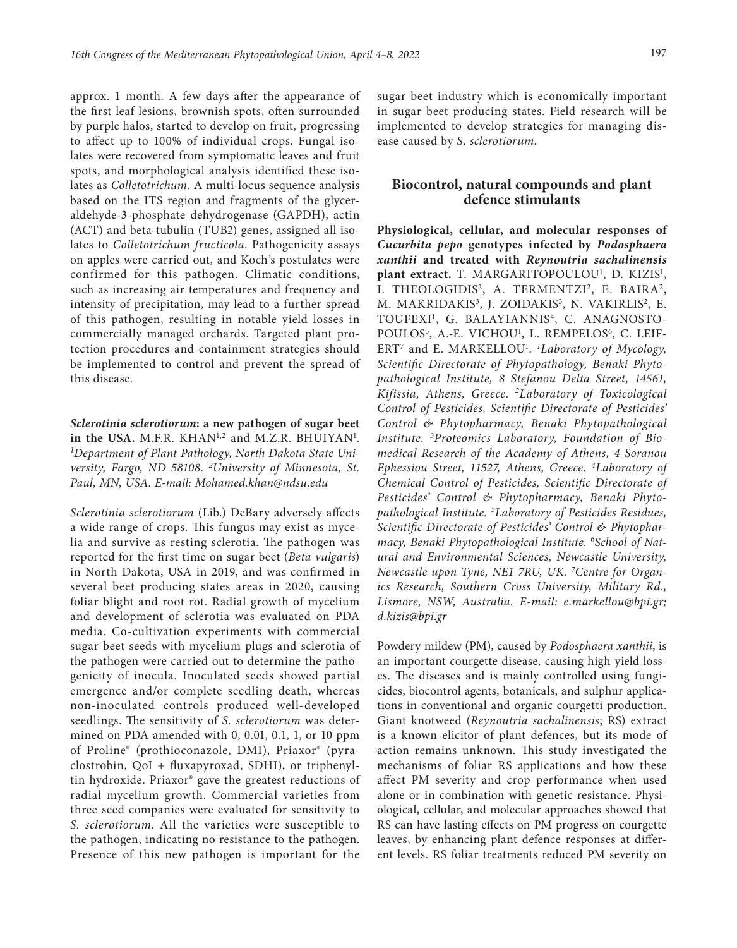approx. 1 month. A few days after the appearance of the first leaf lesions, brownish spots, often surrounded by purple halos, started to develop on fruit, progressing to affect up to 100% of individual crops. Fungal isolates were recovered from symptomatic leaves and fruit spots, and morphological analysis identified these isolates as *Colletotrichum*. A multi-locus sequence analysis based on the ITS region and fragments of the glyceraldehyde-3-phosphate dehydrogenase (GAPDH), actin (ACT) and beta-tubulin (TUB2) genes, assigned all isolates to *Colletotrichum fructicola*. Pathogenicity assays on apples were carried out, and Koch's postulates were confirmed for this pathogen. Climatic conditions, such as increasing air temperatures and frequency and intensity of precipitation, may lead to a further spread of this pathogen, resulting in notable yield losses in commercially managed orchards. Targeted plant protection procedures and containment strategies should be implemented to control and prevent the spread of this disease.

*Sclerotinia sclerotiorum***: a new pathogen of sugar beet**  in the USA. M.F.R.  $KHAN^{1,2}$  and M.Z.R. BHUIYAN<sup>1</sup>. *1 Department of Plant Pathology, North Dakota State University, Fargo, ND 58108. 2 University of Minnesota, St. Paul, MN, USA. E-mail: [Mohamed.khan@ndsu.edu](mailto:Mohamed.khan@ndsu.edu)*

*Sclerotinia sclerotiorum* (Lib.) DeBary adversely affects a wide range of crops. This fungus may exist as mycelia and survive as resting sclerotia. The pathogen was reported for the first time on sugar beet (*Beta vulgaris*) in North Dakota, USA in 2019, and was confirmed in several beet producing states areas in 2020, causing foliar blight and root rot. Radial growth of mycelium and development of sclerotia was evaluated on PDA media. Co-cultivation experiments with commercial sugar beet seeds with mycelium plugs and sclerotia of the pathogen were carried out to determine the pathogenicity of inocula. Inoculated seeds showed partial emergence and/or complete seedling death, whereas non-inoculated controls produced well-developed seedlings. The sensitivity of *S. sclerotiorum* was determined on PDA amended with 0, 0.01, 0.1, 1, or 10 ppm of Proline® (prothioconazole, DMI), Priaxor® (pyraclostrobin, QoI + fluxapyroxad, SDHI), or triphenyltin hydroxide. Priaxor® gave the greatest reductions of radial mycelium growth. Commercial varieties from three seed companies were evaluated for sensitivity to *S. sclerotiorum*. All the varieties were susceptible to the pathogen, indicating no resistance to the pathogen. Presence of this new pathogen is important for the

sugar beet industry which is economically important in sugar beet producing states. Field research will be implemented to develop strategies for managing disease caused by *S. sclerotiorum*.

# **Biocontrol, natural compounds and plant defence stimulants**

**Physiological, cellular, and molecular responses of**  *Cucurbita pepo* **genotypes infected by** *Podosphaera xanthii* **and treated with** *Reynoutria sachalinensis*  plant extract. T. MARGARITOPOULOU<sup>1</sup>, D. KIZIS<sup>1</sup>, I. THEOLOGIDIS<sup>2</sup>, A. TERMENTZI<sup>2</sup>, E. BAIRA<sup>2</sup>, M. MAKRIDAKIS<sup>3</sup>, J. ZOIDAKIS<sup>3</sup>, N. VAKIRLIS<sup>2</sup>, E. TOUFEXI<sup>1</sup>, G. BALAYIANNIS<sup>4</sup>, C. ANAGNOSTO-POULOS<sup>5</sup>, A.-E. VICHOU<sup>1</sup>, L. REMPELOS<sup>6</sup>, C. LEIF-ERT<sup>7</sup> and E. MARKELLOU<sup>1</sup>. <sup>1</sup>Laboratory of Mycology, *Scientific Directorate of Phytopathology, Benaki Phytopathological Institute, 8 Stefanou Delta Street, 14561, Kifissia, Athens, Greece. 2Laboratory of Toxicological Control of Pesticides, Scientific Directorate of Pesticides' Control & Phytopharmacy, Benaki Phytopathological Institute. 3 Proteomics Laboratory, Foundation of Biomedical Research of the Academy of Athens, 4 Soranou Ephessiou Street, 11527, Athens, Greece. 4Laboratory of Chemical Control of Pesticides, Scientific Directorate of Pesticides' Control & Phytopharmacy, Benaki Phytopathological Institute. 5 Laboratory of Pesticides Residues, Scientific Directorate of Pesticides' Control & Phytopharmacy, Benaki Phytopathological Institute. 6School of Natural and Environmental Sciences, Newcastle University, Newcastle upon Tyne, NE1 7RU, UK. 7 Centre for Organics Research, Southern Cross University, Military Rd., Lismore, NSW, Australia. E-mail: [e.markellou@bpi.gr](mailto:e.markellou@bpi.gr); [d.kizis@bpi.gr](mailto:d.kizis@bpi.gr)*

Powdery mildew (PM), caused by *Podosphaera xanthii*, is an important courgette disease, causing high yield losses. The diseases and is mainly controlled using fungicides, biocontrol agents, botanicals, and sulphur applications in conventional and organic courgetti production. Giant knotweed (*Reynoutria sachalinensis*; RS) extract is a known elicitor of plant defences, but its mode of action remains unknown. This study investigated the mechanisms of foliar RS applications and how these affect PM severity and crop performance when used alone or in combination with genetic resistance. Physiological, cellular, and molecular approaches showed that RS can have lasting effects on PM progress on courgette leaves, by enhancing plant defence responses at different levels. RS foliar treatments reduced PM severity on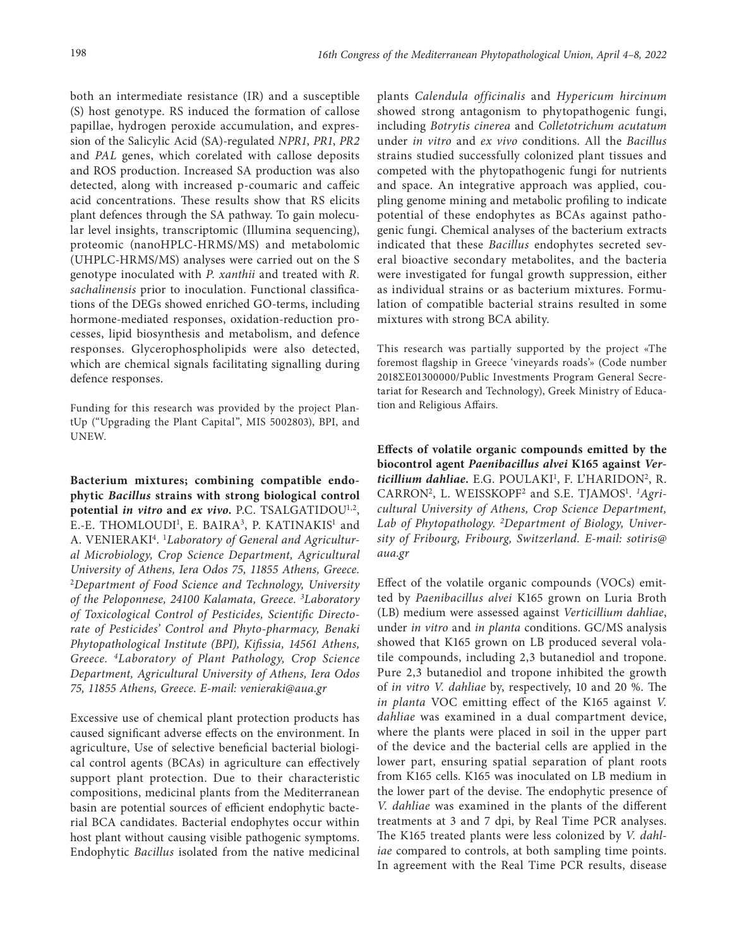both an intermediate resistance (IR) and a susceptible (S) host genotype. RS induced the formation of callose papillae, hydrogen peroxide accumulation, and expression of the Salicylic Acid (SA)-regulated *NPR1*, *PR1*, *PR2*  and *PAL* genes, which corelated with callose deposits and ROS production. Increased SA production was also detected, along with increased p-coumaric and caffeic acid concentrations. These results show that RS elicits plant defences through the SA pathway. To gain molecular level insights, transcriptomic (Illumina sequencing), proteomic (nanoHPLC-HRMS/MS) and metabolomic (UHPLC-HRMS/MS) analyses were carried out on the S genotype inoculated with *P. xanthii* and treated with *R. sachalinensis* prior to inoculation. Functional classifications of the DEGs showed enriched GO-terms, including hormone-mediated responses, oxidation-reduction processes, lipid biosynthesis and metabolism, and defence responses. Glycerophospholipids were also detected, which are chemical signals facilitating signalling during defence responses.

Funding for this research was provided by the project PlantUp ("Upgrading the Plant Capital", MIS 5002803), BPI, and UNEW.

**Bacterium mixtures; combining compatible endophytic** *Bacillus* **strains with strong biological control potential** *in vitro* **and** *ex vivo***.** P.C. TSALGATIDOU1,2, E.-E. THOMLOUDI<sup>1</sup>, E. BAIRA<sup>3</sup>, P. KATINAKIS<sup>1</sup> and A. VENIERAKI4. 1*Laboratory of General and Agricultural Microbiology, Crop Science Department, Agricultural University of Athens, Iera Odos 75, 11855 Athens, Greece.*  <sup>2</sup>*Department of Food Science and Technology, University of the Peloponnese, 24100 Kalamata, Greece. 3 Laboratory of Toxicological Control of Pesticides, Scientific Directorate of Pesticides' Control and Phyto-pharmacy, Benaki Phytopathological Institute (BPI), Kifissia, 14561 Athens, Greece. 4Laboratory of Plant Pathology, Crop Science Department, Agricultural University of Athens, Iera Odos 75, 11855 Athens, Greece. E-mail: [venieraki@aua.gr](mailto:venieraki@aua.gr)*

Excessive use of chemical plant protection products has caused significant adverse effects on the environment. In agriculture, Use of selective beneficial bacterial biological control agents (BCAs) in agriculture can effectively support plant protection. Due to their characteristic compositions, medicinal plants from the Mediterranean basin are potential sources of efficient endophytic bacterial BCA candidates. Bacterial endophytes occur within host plant without causing visible pathogenic symptoms. Endophytic *Bacillus* isolated from the native medicinal

plants *Calendula officinalis* and *Hypericum hircinum*  showed strong antagonism to phytopathogenic fungi, including *Botrytis cinerea* and *Colletotrichum acutatum*  under *in vitro* and *ex vivo* conditions. All the *Bacillus*  strains studied successfully colonized plant tissues and competed with the phytopathogenic fungi for nutrients and space. An integrative approach was applied, coupling genome mining and metabolic profiling to indicate potential of these endophytes as BCAs against pathogenic fungi. Chemical analyses of the bacterium extracts indicated that these *Bacillus* endophytes secreted several bioactive secondary metabolites, and the bacteria were investigated for fungal growth suppression, either as individual strains or as bacterium mixtures. Formulation of compatible bacterial strains resulted in some mixtures with strong BCA ability.

This research was partially supported by the project «The foremost flagship in Greece 'vineyards roads'» (Code number 2018ΣΕ01300000/Public Investments Program General Secretariat for Research and Technology), Greek Ministry of Education and Religious Affairs.

**Effects of volatile organic compounds emitted by the biocontrol agent** *Paenibacillus alvei* **K165 against** *Ver*ticillium dahliae. E.G. POULAKI<sup>1</sup>, F. L'HARIDON<sup>2</sup>, R. CARRON<sup>2</sup>, L. WEISSKOPF<sup>2</sup> and S.E. TJAMOS<sup>1</sup>. <sup>1</sup>Agri*cultural University of Athens, Crop Science Department, Lab of Phytopathology. 2Department of Biology, University of Fribourg, Fribourg, Switzerland. E-mail: [sotiris@](mailto:sotiris@aua.gr) [aua.gr](mailto:sotiris@aua.gr)*

Effect of the volatile organic compounds (VOCs) emitted by *Paenibacillus alvei* K165 grown on Luria Broth (LB) medium were assessed against *Verticillium dahliae*, under *in vitro* and *in planta* conditions. GC/MS analysis showed that K165 grown on LB produced several volatile compounds, including 2,3 butanediol and tropone. Pure 2,3 butanediol and tropone inhibited the growth of *in vitro V. dahliae* by, respectively, 10 and 20 %. The *in planta* VOC emitting effect of the K165 against *V. dahliae* was examined in a dual compartment device, where the plants were placed in soil in the upper part of the device and the bacterial cells are applied in the lower part, ensuring spatial separation of plant roots from K165 cells. K165 was inoculated on LB medium in the lower part of the devise. The endophytic presence of *V. dahliae* was examined in the plants of the different treatments at 3 and 7 dpi, by Real Time PCR analyses. The K165 treated plants were less colonized by *V. dahliae* compared to controls, at both sampling time points. In agreement with the Real Time PCR results, disease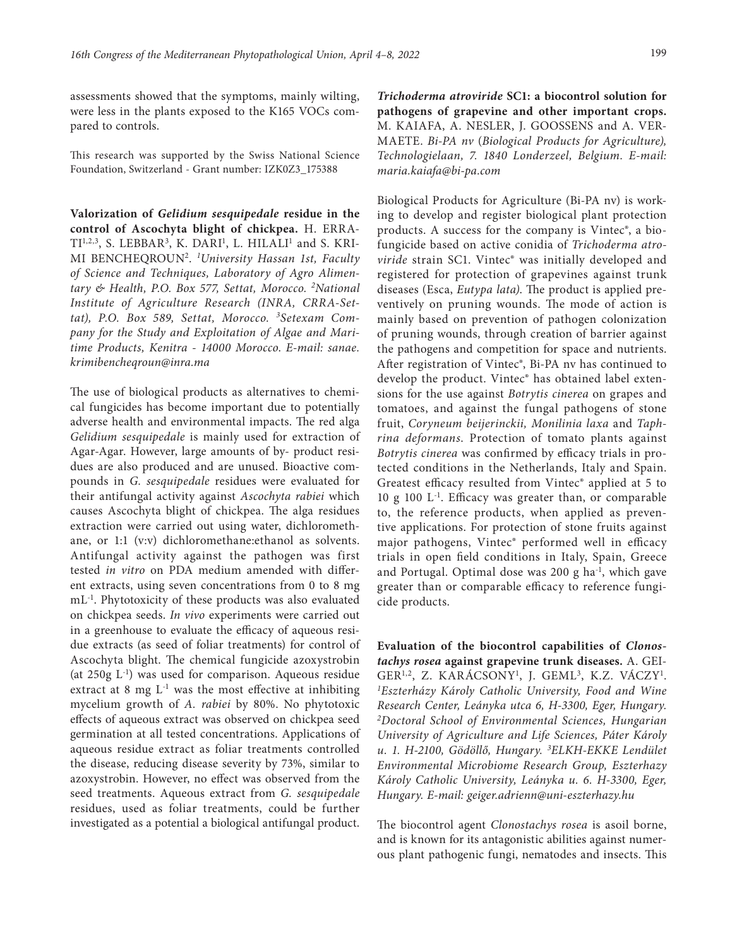assessments showed that the symptoms, mainly wilting, were less in the plants exposed to the K165 VOCs compared to controls.

This research was supported by the Swiss National Science Foundation, Switzerland - Grant number: IZK0Z3\_175388

**Valorization of** *Gelidium sesquipedale* **residue in the control of Ascochyta blight of chickpea.** H. ERRA- $TI^{1,2,3}$ [,](https://www.researchgate.net/scientific-contributions/Khadija-Dari-2181310016) S. LEBBAR<sup>3</sup>, K. DARI<sup>1</sup>, L. HILALI<sup>1</sup> and S. KRI-MI BENCHEQROUN2. *<sup>1</sup> University Hassan 1st, Faculty of Science and Techniques, Laboratory of Agro Alimentary & Health, P.O. Box 577, Settat, Morocco. 2National Institute of Agriculture Research (INRA, CRRA-Settat), P.O. Box 589, Settat, Morocco. 3Setexam Company for the Study and Exploitation of Algae and Maritime Products, Kenitra - 14000 Morocco*. *E-mail: [sanae.](mailto:sanae.krimibencheqroun@inra.ma) [krimibencheqroun@inra.ma](mailto:sanae.krimibencheqroun@inra.ma)*

The use of biological products as alternatives to chemical fungicides has become important due to potentially adverse health and environmental impacts. The red alga *Gelidium sesquipedale* is mainly used for extraction of Agar-Agar. However, large amounts of by- product residues are also produced and are unused. Bioactive compounds in *G. sesquipedale* residues were evaluated for their antifungal activity against *Ascochyta rabiei* which causes Ascochyta blight of chickpea. The alga residues extraction were carried out using water, dichloromethane, or 1:1 (v:v) dichloromethane:ethanol as solvents. Antifungal activity against the pathogen was first tested *in vitro* on PDA medium amended with different extracts, using seven concentrations from 0 to 8 mg mL-1. Phytotoxicity of these products was also evaluated on chickpea seeds. *In vivo* experiments were carried out in a greenhouse to evaluate the efficacy of aqueous residue extracts (as seed of foliar treatments) for control of Ascochyta blight. The chemical fungicide azoxystrobin (at  $250g$  L<sup>-1</sup>) was used for comparison. Aqueous residue extract at 8 mg  $L^{-1}$  was the most effective at inhibiting mycelium growth of *A. rabiei* by 80%. No phytotoxic effects of aqueous extract was observed on chickpea seed germination at all tested concentrations. Applications of aqueous residue extract as foliar treatments controlled the disease, reducing disease severity by 73%, similar to azoxystrobin. However, no effect was observed from the seed treatments. Aqueous extract from *G. sesquipedale*  residues, used as foliar treatments, could be further investigated as a potential a biological antifungal product.

*Trichoderma atroviride* **SC1: a biocontrol solution for pathogens of grapevine and other important crops.**  M. KAIAFA, A. NESLER, J. GOOSSENS and A. VER-MAETE. *Bi-PA nv* (*Biological Products for Agriculture), Technologielaan, 7. 1840 Londerzeel, Belgium. E-mail: [maria.kaiafa@bi-pa.com](mailto:maria.kaiafa@bi-pa.com)*

Biological Products for Agriculture (Bi-PA nv) is working to develop and register biological plant protection products. A success for the company is Vintec®, a biofungicide based on active conidia of *Trichoderma atroviride* strain SC1. Vintec® was initially developed and registered for protection of grapevines against trunk diseases (Esca, *Eutypa lata)*. The product is applied preventively on pruning wounds. The mode of action is mainly based on prevention of pathogen colonization of pruning wounds, through creation of barrier against the pathogens and competition for space and nutrients. After registration of Vintec®, Bi-PA nv has continued to develop the product. Vintec® has obtained label extensions for the use against *Botrytis cinerea* on grapes and tomatoes, and against the fungal pathogens of stone fruit, *Coryneum beijerinckii, Monilinia laxa* and *Taphrina deformans*. Protection of tomato plants against *Botrytis cinerea* was confirmed by efficacy trials in protected conditions in the Netherlands, Italy and Spain. Greatest efficacy resulted from Vintec® applied at 5 to 10 g 100 L-1. Efficacy was greater than, or comparable to, the reference products, when applied as preventive applications. For protection of stone fruits against major pathogens, Vintec® performed well in efficacy trials in open field conditions in Italy, Spain, Greece and Portugal. Optimal dose was 200 g ha<sup>-1</sup>, which gave greater than or comparable efficacy to reference fungicide products.

**Evaluation of the biocontrol capabilities of** *Clonostachys rosea* **against grapevine trunk diseases.** A. GEI-GER<sup>1,2</sup>, Z. KARÁCSONY<sup>1</sup>, J. GEML<sup>3</sup>, K.Z. VÁCZY<sup>1</sup>. *1 Eszterházy Károly Catholic University, Food and Wine Research Center, Leányka utca 6, H-3300, Eger, Hungary. 2Doctoral School of Environmental Sciences, Hungarian University of Agriculture and Life Sciences, Páter Károly u. 1. H-2100, Gödöllő, Hungary. 3 ELKH-EKKE Lendület Environmental Microbiome Research Group, Eszterhazy Károly Catholic University, Leányka u. 6. H-3300, Eger, Hungary. E-mail: geiger.adrienn@uni-eszterhazy.hu*

The biocontrol agent *Clonostachys rosea* is asoil borne, and is known for its antagonistic abilities against numerous plant pathogenic fungi, nematodes and insects. This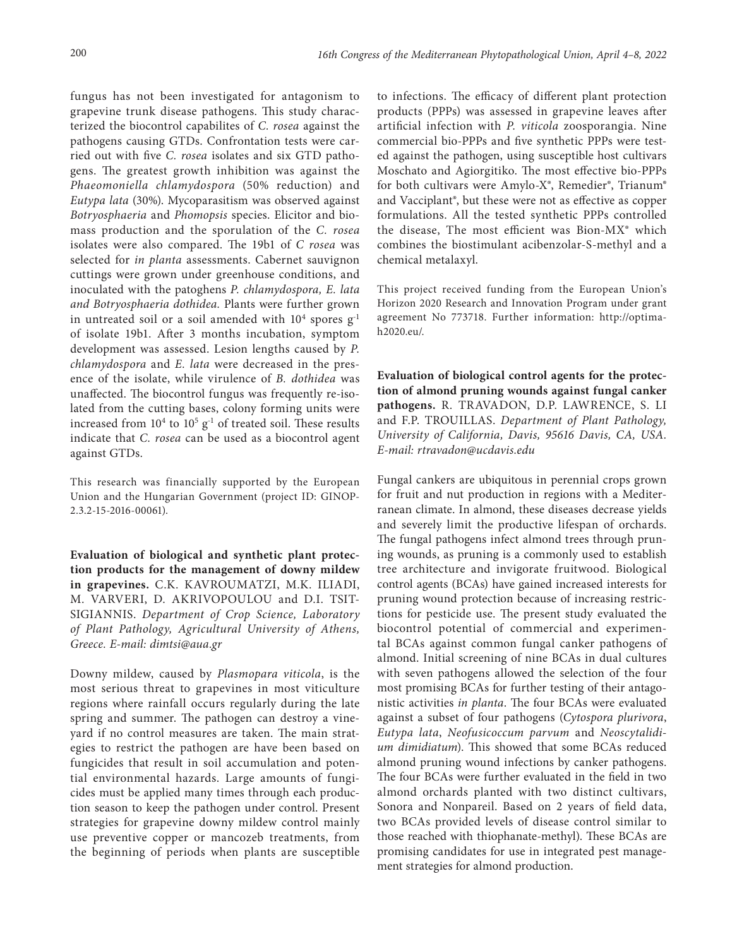fungus has not been investigated for antagonism to grapevine trunk disease pathogens. This study characterized the biocontrol capabilites of *C. rosea* against the pathogens causing GTDs. Confrontation tests were carried out with five *C. rosea* isolates and six GTD pathogens. The greatest growth inhibition was against the *Phaeomoniella chlamydospora* (50% reduction) and *Eutypa lata* (30%). Mycoparasitism was observed against *Botryosphaeria* and *Phomopsis* species. Elicitor and biomass production and the sporulation of the *C. rosea* isolates were also compared. The 19b1 of *C rosea* was selected for *in planta* assessments. Cabernet sauvignon cuttings were grown under greenhouse conditions, and inoculated with the patoghens *P. chlamydospora, E. lata and Botryosphaeria dothidea.* Plants were further grown in untreated soil or a soil amended with  $10^4$  spores  $\rm g^{\text{-}l}$ of isolate 19b1. After 3 months incubation, symptom development was assessed. Lesion lengths caused by *P. chlamydospora* and *E. lata* were decreased in the presence of the isolate, while virulence of *B. dothidea* was unaffected. The biocontrol fungus was frequently re-isolated from the cutting bases, colony forming units were increased from  $10^4$  to  $10^5$   $g^{-1}$  of treated soil. These results indicate that *C. rosea* can be used as a biocontrol agent against GTDs.

This research was financially supported by the European Union and the Hungarian Government (project ID: GINOP-2.3.2-15-2016-00061).

**Evaluation of biological and synthetic plant protection products for the management of downy mildew in grapevines.** C.K. KAVROUMATZI, M.K. ILIADI, M. VARVERI, D. AKRIVOPOULOU and D.I. TSIT-SIGIANNIS. *Department of Crop Science, Laboratory of Plant Pathology, Agricultural University of Athens, Greece. E-mail: [dimtsi@aua.gr](mailto:dimtsi@aua.gr)*

Downy mildew, caused by *Plasmopara viticola*, is the most serious threat to grapevines in most viticulture regions where rainfall occurs regularly during the late spring and summer. The pathogen can destroy a vineyard if no control measures are taken. The main strategies to restrict the pathogen are have been based on fungicides that result in soil accumulation and potential environmental hazards. Large amounts of fungicides must be applied many times through each production season to keep the pathogen under control. Present strategies for grapevine downy mildew control mainly use preventive copper or mancozeb treatments, from the beginning of periods when plants are susceptible to infections. The efficacy of different plant protection products (PPPs) was assessed in grapevine leaves after artificial infection with *P. viticola* zoosporangia. Nine commercial bio-PPPs and five synthetic PPPs were tested against the pathogen, using susceptible host cultivars Moschato and Agiorgitiko. The most effective bio-PPPs for both cultivars were Amylo-X®, Remedier®, Trianum® and Vacciplant®, but these were not as effective as copper formulations. All the tested synthetic PPPs controlled the disease, The most efficient was Bion-MX® which combines the biostimulant acibenzolar-S-methyl and a chemical metalaxyl.

This project received funding from the European Union's Horizon 2020 Research and Innovation Program under grant agreement No 773718. Further information: [http://optima](http://optima-h2020.eu/)[h2020.eu/.](http://optima-h2020.eu/)

**Evaluation of biological control agents for the protection of almond pruning wounds against fungal canker pathogens.** R. TRAVADON, D.P. LAWRENCE, S. LI and F.P. TROUILLAS. *Department of Plant Pathology, University of California, Davis, 95616 Davis, CA, USA. E-mail[: rtravadon@ucdavis.edu](mailto:rtravadon@ucdavis.edu)*

Fungal cankers are ubiquitous in perennial crops grown for fruit and nut production in regions with a Mediterranean climate. In almond, these diseases decrease yields and severely limit the productive lifespan of orchards. The fungal pathogens infect almond trees through pruning wounds, as pruning is a commonly used to establish tree architecture and invigorate fruitwood. Biological control agents (BCAs) have gained increased interests for pruning wound protection because of increasing restrictions for pesticide use. The present study evaluated the biocontrol potential of commercial and experimental BCAs against common fungal canker pathogens of almond. Initial screening of nine BCAs in dual cultures with seven pathogens allowed the selection of the four most promising BCAs for further testing of their antagonistic activities *in planta*. The four BCAs were evaluated against a subset of four pathogens (*Cytospora plurivora*, *Eutypa lata*, *Neofusicoccum parvum* and *Neoscytalidium dimidiatum*). This showed that some BCAs reduced almond pruning wound infections by canker pathogens. The four BCAs were further evaluated in the field in two almond orchards planted with two distinct cultivars, Sonora and Nonpareil. Based on 2 years of field data, two BCAs provided levels of disease control similar to those reached with thiophanate-methyl). These BCAs are promising candidates for use in integrated pest management strategies for almond production.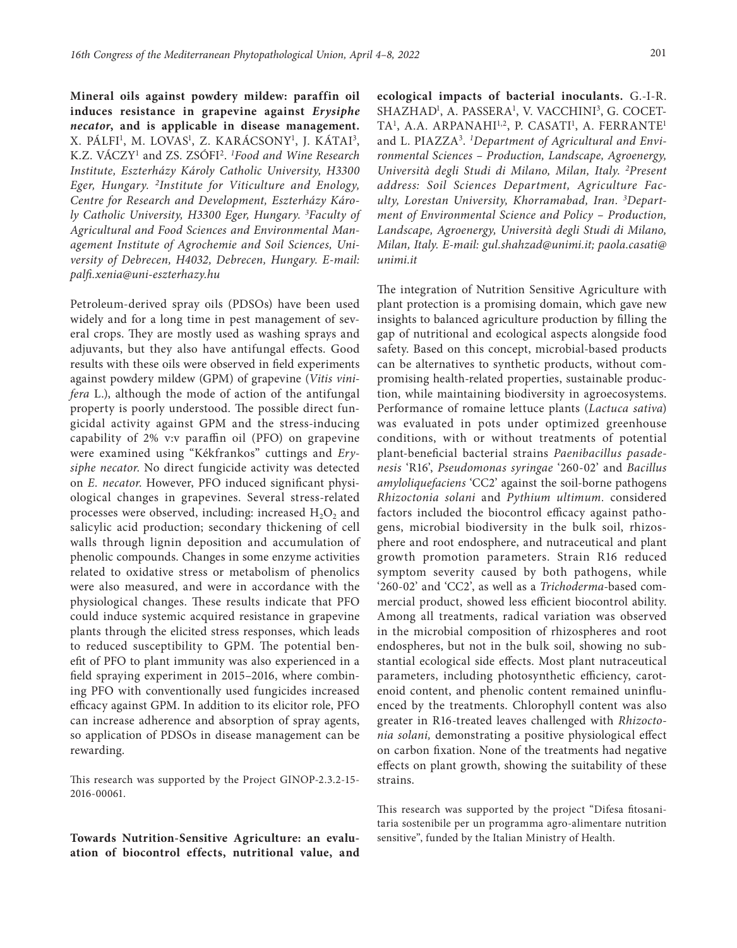**Mineral oils against powdery mildew: paraffin oil induces resistance in grapevine against** *Erysiphe necator***, and is applicable in disease management.**  X. PÁLFI<sup>1</sup>, M. LOVAS<sup>1</sup>, Z. KARÁCSONY<sup>1</sup>, J. KÁTAI<sup>3</sup>, K.Z. VÁCZY1 and ZS. ZSÓFI2. *<sup>1</sup> Food and Wine Research Institute, Eszterházy Károly Catholic University, H3300 Eger, Hungary. 2Institute for Viticulture and Enology, Centre for Research and Development, Eszterházy Károly Catholic University, H3300 Eger, Hungary. 3 Faculty of Agricultural and Food Sciences and Environmental Management Institute of Agrochemie and Soil Sciences, University of Debrecen, H4032, Debrecen, Hungary. E-mail: [palfi.xenia@uni-eszterhazy.hu](mailto:palfi.xenia@uni-eszterhazy.hu)*

Petroleum-derived spray oils (PDSOs) have been used widely and for a long time in pest management of several crops. They are mostly used as washing sprays and adjuvants, but they also have antifungal effects. Good results with these oils were observed in field experiments against powdery mildew (GPM) of grapevine (*Vitis vinifera* L.), although the mode of action of the antifungal property is poorly understood. The possible direct fungicidal activity against GPM and the stress-inducing capability of 2% v:v paraffin oil (PFO) on grapevine were examined using "Kékfrankos" cuttings and *Erysiphe necator*. No direct fungicide activity was detected on *E. necator*. However, PFO induced significant physiological changes in grapevines. Several stress-related processes were observed, including: increased  $H_2O_2$  and salicylic acid production; secondary thickening of cell walls through lignin deposition and accumulation of phenolic compounds. Changes in some enzyme activities related to oxidative stress or metabolism of phenolics were also measured, and were in accordance with the physiological changes. These results indicate that PFO could induce systemic acquired resistance in grapevine plants through the elicited stress responses, which leads to reduced susceptibility to GPM. The potential benefit of PFO to plant immunity was also experienced in a field spraying experiment in 2015–2016, where combining PFO with conventionally used fungicides increased efficacy against GPM. In addition to its elicitor role, PFO can increase adherence and absorption of spray agents, so application of PDSOs in disease management can be rewarding.

This research was supported by the Project GINOP-2.3.2-15- 2016-00061.

**Towards Nutrition-Sensitive Agriculture: an evaluation of biocontrol effects, nutritional value, and**  **ecological impacts of bacterial inoculants.** G.-I-R. SHAZHAD<sup>1</sup>, A. PASSERA<sup>1</sup>, V. VACCHINI<sup>3</sup>, G. COCET-TA<sup>1</sup>, A.A. ARPANAHI<sup>1,2</sup>, P. CASATI<sup>1</sup>, A. FERRANTE<sup>1</sup> and L. PIAZZA3 . *1 Department of Agricultural and Environmental Sciences – Production, Landscape, Agroenergy, Università degli Studi di Milano, Milan, Italy. 2Present address: Soil Sciences Department, Agriculture Faculty, Lorestan University, Khorramabad, Iran. 3 Department of Environmental Science and Policy – Production, Landscape, Agroenergy, Università degli Studi di Milano, Milan, Italy. E-mail: gul.shahzad@unimi.it; [paola.casati@](mailto:paola.casati@unimi.it) [unimi.it](mailto:paola.casati@unimi.it)*

The integration of Nutrition Sensitive Agriculture with plant protection is a promising domain, which gave new insights to balanced agriculture production by filling the gap of nutritional and ecological aspects alongside food safety. Based on this concept, microbial-based products can be alternatives to synthetic products, without compromising health-related properties, sustainable production, while maintaining biodiversity in agroecosystems. Performance of romaine lettuce plants (*Lactuca sativa*) was evaluated in pots under optimized greenhouse conditions, with or without treatments of potential plant-beneficial bacterial strains *Paenibacillus pasadenesis* 'R16', *Pseudomonas syringae* '260-02' and *Bacillus amyloliquefaciens* 'CC2' against the soil-borne pathogens *Rhizoctonia solani* and *Pythium ultimum.* considered factors included the biocontrol efficacy against pathogens, microbial biodiversity in the bulk soil, rhizosphere and root endosphere, and nutraceutical and plant growth promotion parameters. Strain R16 reduced symptom severity caused by both pathogens, while '260-02' and 'CC2', as well as a *Trichoderma*-based commercial product, showed less efficient biocontrol ability. Among all treatments, radical variation was observed in the microbial composition of rhizospheres and root endospheres, but not in the bulk soil, showing no substantial ecological side effects. Most plant nutraceutical parameters, including photosynthetic efficiency, carotenoid content, and phenolic content remained uninfluenced by the treatments. Chlorophyll content was also greater in R16-treated leaves challenged with *Rhizoctonia solani,* demonstrating a positive physiological effect on carbon fixation. None of the treatments had negative effects on plant growth, showing the suitability of these strains.

This research was supported by the project "Difesa fitosanitaria sostenibile per un programma agro-alimentare nutrition sensitive", funded by the Italian Ministry of Health.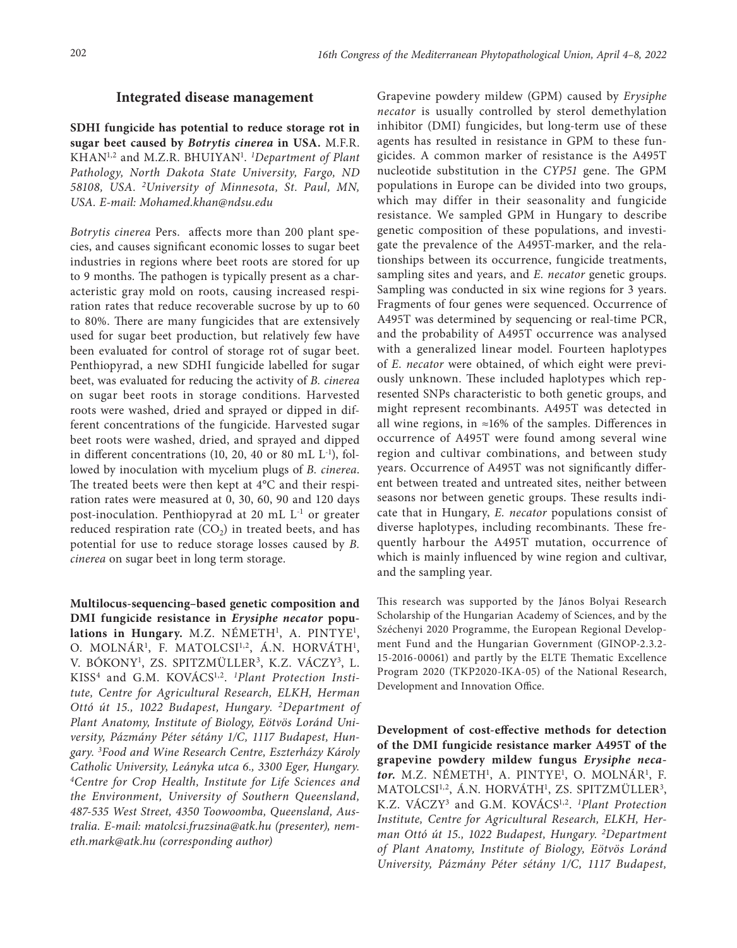## **Integrated disease management**

**SDHI fungicide has potential to reduce storage rot in sugar beet caused by** *Botrytis cinerea* **in USA.** M.F.R. KHAN1,2 and M.Z.R. BHUIYAN1 . *1 Department of Plant Pathology, North Dakota State University, Fargo, ND 58108, USA. 2 University of Minnesota, St. Paul, MN, USA. E-mail: [Mohamed.khan@ndsu.edu](mailto:Mohamed.khan@ndsu.edu)*

*Botrytis cinerea* Pers. affects more than 200 plant species, and causes significant economic losses to sugar beet industries in regions where beet roots are stored for up to 9 months. The pathogen is typically present as a characteristic gray mold on roots, causing increased respiration rates that reduce recoverable sucrose by up to 60 to 80%. There are many fungicides that are extensively used for sugar beet production, but relatively few have been evaluated for control of storage rot of sugar beet. Penthiopyrad, a new SDHI fungicide labelled for sugar beet, was evaluated for reducing the activity of *B. cinerea*  on sugar beet roots in storage conditions. Harvested roots were washed, dried and sprayed or dipped in different concentrations of the fungicide. Harvested sugar beet roots were washed, dried, and sprayed and dipped in different concentrations (10, 20, 40 or 80 mL  $L^{-1}$ ), followed by inoculation with mycelium plugs of *B. cinerea*. The treated beets were then kept at 4°C and their respiration rates were measured at 0, 30, 60, 90 and 120 days post-inoculation. Penthiopyrad at 20 mL L-1 or greater reduced respiration rate  $(CO<sub>2</sub>)$  in treated beets, and has potential for use to reduce storage losses caused by *B. cinerea* on sugar beet in long term storage.

**Multilocus-sequencing–based genetic composition and DMI fungicide resistance in** *Erysiphe necator* **popu**lations in Hungary. M.Z. NÉMETH<sup>1</sup>, A. PINTYE<sup>1</sup>, O. MOLNÁR<sup>1</sup>, F. MATOLCSI<sup>1,2</sup>, Á.N. HORVÁTH<sup>1</sup>, V. BÓKONY1 , ZS. SPITZMÜLLER3, K.Z. VÁCZY3, L. KISS4 and G.M. KOVÁCS1,2. *1Plant Protection Institute, Centre for Agricultural Research, ELKH, Herman Ottó út 15., 1022 Budapest, Hungary. 2Department of Plant Anatomy, Institute of Biology, Eötvös Loránd University, Pázmány Péter sétány 1/C, 1117 Budapest, Hungary. 3 Food and Wine Research Centre, Eszterházy Károly Catholic University, Leányka utca 6., 3300 Eger, Hungary. 4Centre for Crop Health, Institute for Life Sciences and the Environment, University of Southern Queensland, 487-535 West Street, 4350 Toowoomba, Queensland, Australia. E-mail: [matolcsi.fruzsina@atk.hu](mailto:matolcsi.fruzsina@atk.hu) (presenter), [nem](mailto:nemeth.mark@atk.hu)[eth.mark@atk.hu \(](mailto:nemeth.mark@atk.hu)corresponding author)*

Grapevine powdery mildew (GPM) caused by *Erysiphe necator* is usually controlled by sterol demethylation inhibitor (DMI) fungicides, but long-term use of these agents has resulted in resistance in GPM to these fungicides. A common marker of resistance is the A495T nucleotide substitution in the *CYP51* gene. The GPM populations in Europe can be divided into two groups, which may differ in their seasonality and fungicide resistance. We sampled GPM in Hungary to describe genetic composition of these populations, and investigate the prevalence of the A495T-marker, and the relationships between its occurrence, fungicide treatments, sampling sites and years, and *E. necator* genetic groups. Sampling was conducted in six wine regions for 3 years. Fragments of four genes were sequenced. Occurrence of A495T was determined by sequencing or real-time PCR, and the probability of A495T occurrence was analysed with a generalized linear model. Fourteen haplotypes of *E. necator* were obtained, of which eight were previously unknown. These included haplotypes which represented SNPs characteristic to both genetic groups, and might represent recombinants. A495T was detected in all wine regions, in ≈16% of the samples. Differences in occurrence of A495T were found among several wine region and cultivar combinations, and between study years. Occurrence of A495T was not significantly different between treated and untreated sites, neither between seasons nor between genetic groups. These results indicate that in Hungary, *E. necator* populations consist of diverse haplotypes, including recombinants. These frequently harbour the A495T mutation, occurrence of which is mainly influenced by wine region and cultivar, and the sampling year.

This research was supported by the János Bolyai Research Scholarship of the Hungarian Academy of Sciences, and by the Széchenyi 2020 Programme, the European Regional Development Fund and the Hungarian Government (GINOP-2.3.2- 15-2016-00061) and partly by the ELTE Thematic Excellence Program 2020 (TKP2020-IKA-05) of the National Research, Development and Innovation Office.

**Development of cost-effective methods for detection of the DMI fungicide resistance marker A495T of the grapevine powdery mildew fungus** *Erysiphe neca*tor. M.Z. NÉMETH<sup>1</sup>, A. PINTYE<sup>1</sup>, O. MOLNÁR<sup>1</sup>, F. MATOLCSI<sup>1,2</sup>, Á.N. HORVÁTH<sup>1</sup>, ZS. SPITZMÜLLER<sup>3</sup>, K.Z. VÁCZY3 and G.M. KOVÁCS1,2. *<sup>1</sup> Plant Protection Institute, Centre for Agricultural Research, ELKH, Herman Ottó út 15., 1022 Budapest, Hungary. 2Department of Plant Anatomy, Institute of Biology, Eötvös Loránd University, Pázmány Péter sétány 1/C, 1117 Budapest,*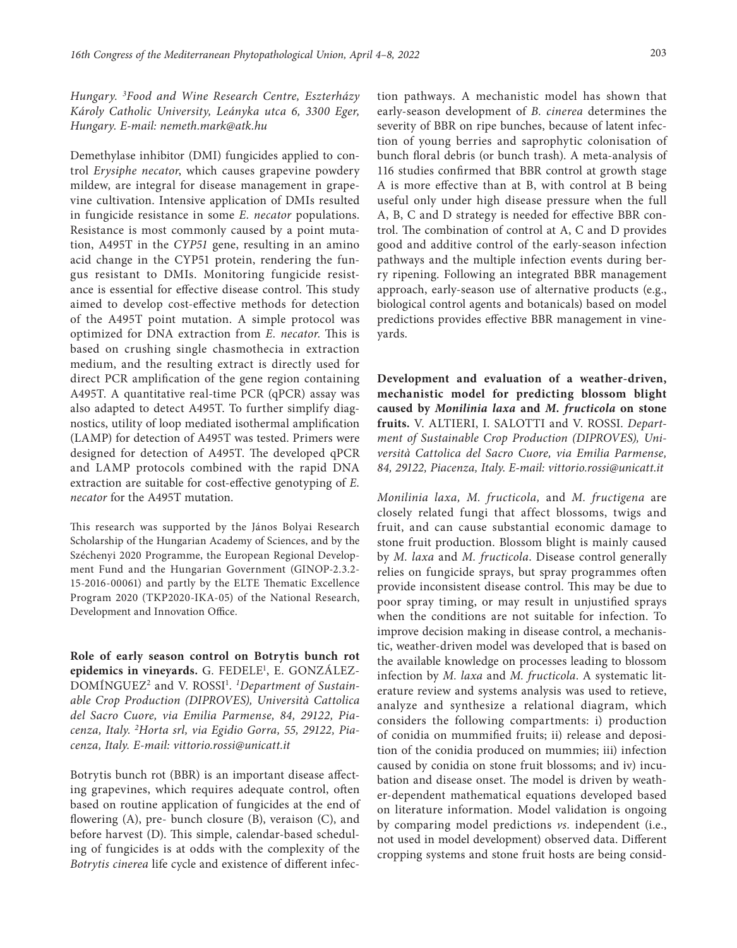*Hungary. 3 Food and Wine Research Centre, Eszterházy Károly Catholic University, Leányka utca 6, 3300 Eger, Hungary. E-mail: [nemeth.mark@atk.hu](mailto:nemeth.mark@atk.hu)*

Demethylase inhibitor (DMI) fungicides applied to control *Erysiphe necator*, which causes grapevine powdery mildew, are integral for disease management in grapevine cultivation. Intensive application of DMIs resulted in fungicide resistance in some *E. necator* populations. Resistance is most commonly caused by a point mutation, A495T in the *CYP51* gene, resulting in an amino acid change in the CYP51 protein, rendering the fungus resistant to DMIs. Monitoring fungicide resistance is essential for effective disease control. This study aimed to develop cost-effective methods for detection of the A495T point mutation. A simple protocol was optimized for DNA extraction from *E. necator*. This is based on crushing single chasmothecia in extraction medium, and the resulting extract is directly used for direct PCR amplification of the gene region containing A495T. A quantitative real-time PCR (qPCR) assay was also adapted to detect A495T. To further simplify diagnostics, utility of loop mediated isothermal amplification (LAMP) for detection of A495T was tested. Primers were designed for detection of A495T. The developed qPCR and LAMP protocols combined with the rapid DNA extraction are suitable for cost-effective genotyping of *E. necator* for the A495T mutation.

This research was supported by the János Bolyai Research Scholarship of the Hungarian Academy of Sciences, and by the Széchenyi 2020 Programme, the European Regional Development Fund and the Hungarian Government (GINOP-2.3.2- 15-2016-00061) and partly by the ELTE Thematic Excellence Program 2020 (TKP2020-IKA-05) of the National Research, Development and Innovation Office.

**Role of early season control on Botrytis bunch rot epidemics in vineyards.** G. FEDELE1 , E. GONZÁLEZ-DOMÍNGUEZ<sup>2</sup> and V. ROSSI<sup>1</sup>. *<sup>1</sup>Department of Sustainable Crop Production (DIPROVES), Università Cattolica del Sacro Cuore, via Emilia Parmense, 84, 29122, Piacenza, Italy. 2 Horta srl, via Egidio Gorra, 55, 29122, Piacenza, Italy. E-mail: [vittorio.rossi@unicatt.it](mailto:vittorio.rossi@unicatt.it)*

Botrytis bunch rot (BBR) is an important disease affecting grapevines, which requires adequate control, often based on routine application of fungicides at the end of flowering (A), pre- bunch closure (B), veraison (C), and before harvest (D). This simple, calendar-based scheduling of fungicides is at odds with the complexity of the *Botrytis cinerea* life cycle and existence of different infec-

tion pathways. A mechanistic model has shown that early-season development of *B. cinerea* determines the severity of BBR on ripe bunches, because of latent infection of young berries and saprophytic colonisation of bunch floral debris (or bunch trash). A meta-analysis of 116 studies confirmed that BBR control at growth stage A is more effective than at B, with control at B being useful only under high disease pressure when the full A, B, C and D strategy is needed for effective BBR control. The combination of control at A, C and D provides good and additive control of the early-season infection pathways and the multiple infection events during berry ripening. Following an integrated BBR management approach, early-season use of alternative products (e.g., biological control agents and botanicals) based on model predictions provides effective BBR management in vineyards.

**Development and evaluation of a weather-driven, mechanistic model for predicting blossom blight caused by** *Monilinia laxa* **and** *M. fructicola* **on stone fruits.** V. ALTIERI, I. SALOTTI and V. ROSSI. *Department of Sustainable Crop Production (DIPROVES), Università Cattolica del Sacro Cuore, via Emilia Parmense, 84, 29122, Piacenza, Italy*. *E-mail: [vittorio.rossi@unicatt.it](mailto:vittorio.rossi@unicatt.it)*

*Monilinia laxa, M. fructicola,* and *M. fructigena* are closely related fungi that affect blossoms, twigs and fruit, and can cause substantial economic damage to stone fruit production. Blossom blight is mainly caused by *M. laxa* and *M. fructicola*. Disease control generally relies on fungicide sprays, but spray programmes often provide inconsistent disease control. This may be due to poor spray timing, or may result in unjustified sprays when the conditions are not suitable for infection. To improve decision making in disease control, a mechanistic, weather-driven model was developed that is based on the available knowledge on processes leading to blossom infection by *M. laxa* and *M. fructicola*. A systematic literature review and systems analysis was used to retieve, analyze and synthesize a relational diagram, which considers the following compartments: i) production of conidia on mummified fruits; ii) release and deposition of the conidia produced on mummies; iii) infection caused by conidia on stone fruit blossoms; and iv) incubation and disease onset. The model is driven by weather-dependent mathematical equations developed based on literature information. Model validation is ongoing by comparing model predictions *vs.* independent (i.e., not used in model development) observed data. Different cropping systems and stone fruit hosts are being consid-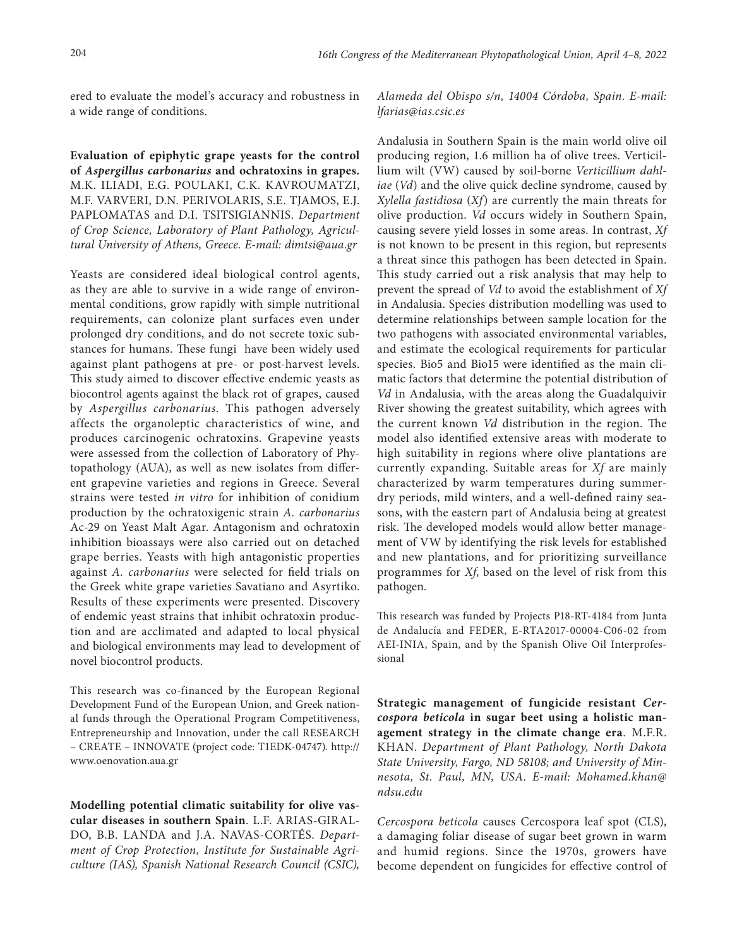ered to evaluate the model's accuracy and robustness in a wide range of conditions.

**Evaluation of epiphytic grape yeasts for the control of** *Aspergillus carbonarius* **and ochratoxins in grapes.**  M.K. ILIADI, E.G. POULAKI, C.K. KAVROUMATZI, M.F. VARVERI, D.N. PERIVOLARIS, S.E. TJAMOS, E.J. PAPLOMATAS and D.I. TSITSIGIANNIS. *Department of Crop Science, Laboratory of Plant Pathology, Agricultural University of Athens, Greece. E-mail: [dimtsi@aua.gr](mailto:dimtsi@aua.gr)*

Yeasts are considered ideal biological control agents, as they are able to survive in a wide range of environmental conditions, grow rapidly with simple nutritional requirements, can colonize plant surfaces even under prolonged dry conditions, and do not secrete toxic substances for humans. These fungi have been widely used against plant pathogens at pre- or post-harvest levels. This study aimed to discover effective endemic yeasts as biocontrol agents against the black rot of grapes, caused by *Aspergillus carbonarius*. This pathogen adversely affects the organoleptic characteristics of wine, and produces carcinogenic ochratoxins. Grapevine yeasts were assessed from the collection of Laboratory of Phytopathology (AUA), as well as new isolates from different grapevine varieties and regions in Greece. Several strains were tested *in vitro* for inhibition of conidium production by the ochratoxigenic strain *A. carbonarius* Ac-29 on Yeast Malt Agar. Antagonism and ochratoxin inhibition bioassays were also carried out on detached grape berries. Yeasts with high antagonistic properties against *A. carbonarius* were selected for field trials on the Greek white grape varieties Savatiano and Asyrtiko. Results of these experiments were presented. Discovery of endemic yeast strains that inhibit ochratoxin production and are acclimated and adapted to local physical and biological environments may lead to development of novel biocontrol products.

This research was co-financed by the European Regional Development Fund of the European Union, and Greek national funds through the Operational Program Competitiveness, Entrepreneurship and Innovation, under the call RESEARCH – CREATE – INNOVATE (project code: T1EDK‐04747). [http://](http://www.oenovation.aua.gr/) [www.oenovation.aua.gr](http://www.oenovation.aua.gr/)

**Modelling potential climatic suitability for olive vascular diseases in southern Spain**. L.F. ARIAS-GIRAL-DO, B.B. LANDA and J.A. NAVAS-CORTÉS. *Department of Crop Protection, Institute for Sustainable Agriculture (IAS), Spanish National Research Council (CSIC),*  *Alameda del Obispo s/n, 14004 Córdoba, Spain. E-mail: [lfarias@ias.csic.es](mailto:lfarias@ias.csic.es)*

Andalusia in Southern Spain is the main world olive oil producing region, 1.6 million ha of olive trees. Verticillium wilt (VW) caused by soil-borne *Verticillium dahliae* (*Vd*) and the olive quick decline syndrome, caused by *Xylella fastidiosa* (*Xf*) are currently the main threats for olive production. *Vd* occurs widely in Southern Spain, causing severe yield losses in some areas. In contrast, *Xf*  is not known to be present in this region, but represents a threat since this pathogen has been detected in Spain. This study carried out a risk analysis that may help to prevent the spread of *Vd* to avoid the establishment of *Xf*  in Andalusia. Species distribution modelling was used to determine relationships between sample location for the two pathogens with associated environmental variables, and estimate the ecological requirements for particular species. Bio5 and Bio15 were identified as the main climatic factors that determine the potential distribution of *Vd* in Andalusia, with the areas along the Guadalquivir River showing the greatest suitability, which agrees with the current known *Vd* distribution in the region. The model also identified extensive areas with moderate to high suitability in regions where olive plantations are currently expanding. Suitable areas for *Xf* are mainly characterized by warm temperatures during summerdry periods, mild winters, and a well-defined rainy seasons, with the eastern part of Andalusia being at greatest risk. The developed models would allow better management of VW by identifying the risk levels for established and new plantations, and for prioritizing surveillance programmes for *Xf*, based on the level of risk from this pathogen*.*

This research was funded by Projects P18-RT-4184 from Junta de Andalucía and FEDER, E-RTA2017-00004-C06-02 from AEI-INIA, Spain, and by the Spanish Olive Oil Interprofessional

**Strategic management of fungicide resistant** *Cercospora beticola* **in sugar beet using a holistic management strategy in the climate change era**. M.F.R. KHAN. *Department of Plant Pathology, North Dakota State University, Fargo, ND 58108; and University of Minnesota, St. Paul, MN, USA. E-mail: [Mohamed.khan@](mailto:Mohamed.khan@ndsu.edu) [ndsu.edu](mailto:Mohamed.khan@ndsu.edu)*

*Cercospora beticola* causes Cercospora leaf spot (CLS), a damaging foliar disease of sugar beet grown in warm and humid regions. Since the 1970s, growers have become dependent on fungicides for effective control of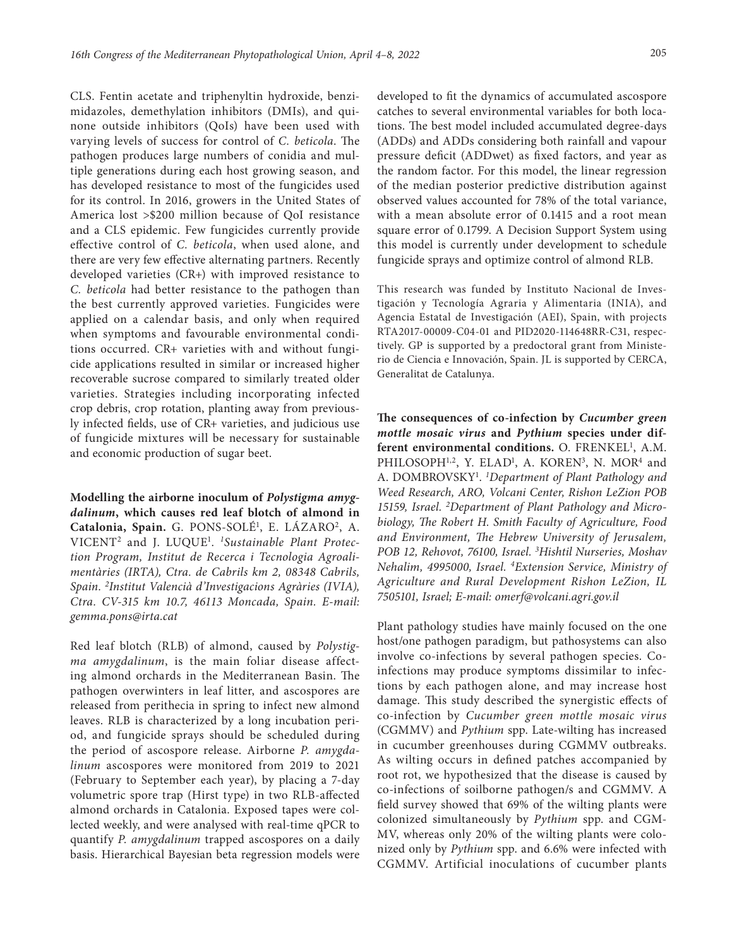CLS. Fentin acetate and triphenyltin hydroxide, benzimidazoles, demethylation inhibitors (DMIs), and quinone outside inhibitors (QoIs) have been used with varying levels of success for control of *C. beticola*. The pathogen produces large numbers of conidia and multiple generations during each host growing season, and has developed resistance to most of the fungicides used for its control. In 2016, growers in the United States of America lost >\$200 million because of QoI resistance and a CLS epidemic. Few fungicides currently provide effective control of *C. beticola*, when used alone, and there are very few effective alternating partners. Recently developed varieties (CR+) with improved resistance to *C. beticola* had better resistance to the pathogen than the best currently approved varieties. Fungicides were applied on a calendar basis, and only when required when symptoms and favourable environmental conditions occurred. CR+ varieties with and without fungicide applications resulted in similar or increased higher recoverable sucrose compared to similarly treated older varieties. Strategies including incorporating infected crop debris, crop rotation, planting away from previously infected fields, use of CR+ varieties, and judicious use of fungicide mixtures will be necessary for sustainable and economic production of sugar beet.

**Modelling the airborne inoculum of** *Polystigma amygdalinum***, which causes red leaf blotch of almond in**  Catalonia, Spain. G. PONS-SOLÉ<sup>1</sup>, E. LÁZARO<sup>2</sup>, A. VICENT2 and J. LUQUE1 . *1 Sustainable Plant Protection Program, Institut de Recerca i Tecnologia Agroalimentàries (IRTA), Ctra. de Cabrils km 2, 08348 Cabrils, Spain. 2 Institut Valencià d'Investigacions Agràries (IVIA), Ctra. CV-315 km 10.7, 46113 Moncada, Spain. E-mail: [gemma.pons@irta.cat](mailto:gemma.pons@irta.cat)*

Red leaf blotch (RLB) of almond, caused by *Polystigma amygdalinum*, is the main foliar disease affecting almond orchards in the Mediterranean Basin. The pathogen overwinters in leaf litter, and ascospores are released from perithecia in spring to infect new almond leaves. RLB is characterized by a long incubation period, and fungicide sprays should be scheduled during the period of ascospore release. Airborne *P. amygdalinum* ascospores were monitored from 2019 to 2021 (February to September each year), by placing a 7-day volumetric spore trap (Hirst type) in two RLB-affected almond orchards in Catalonia. Exposed tapes were collected weekly, and were analysed with real-time qPCR to quantify *P. amygdalinum* trapped ascospores on a daily basis. Hierarchical Bayesian beta regression models were developed to fit the dynamics of accumulated ascospore catches to several environmental variables for both locations. The best model included accumulated degree-days (ADDs) and ADDs considering both rainfall and vapour pressure deficit (ADDwet) as fixed factors, and year as the random factor. For this model, the linear regression of the median posterior predictive distribution against observed values accounted for 78% of the total variance, with a mean absolute error of 0.1415 and a root mean square error of 0.1799. A Decision Support System using this model is currently under development to schedule fungicide sprays and optimize control of almond RLB.

This research was funded by Instituto Nacional de Investigación y Tecnología Agraria y Alimentaria (INIA), and Agencia Estatal de Investigación (AEI), Spain, with projects RTA2017-00009-C04-01 and PID2020-114648RR-C31, respectively. GP is supported by a predoctoral grant from Ministerio de Ciencia e Innovación, Spain. JL is supported by CERCA, Generalitat de Catalunya.

**The consequences of co-infection by** *Cucumber green mottle mosaic virus* **and** *Pythium* **species under dif**ferent environmental conditions. O. FRENKEL<sup>1</sup>, A.M. PHILOSOPH<sup>1,2</sup>, Y. ELAD<sup>1</sup>, A. KOREN<sup>3</sup>, N. MOR<sup>4</sup> and A. DOMBROVSKY1 . *1 Department of Plant Pathology and Weed Research, ARO, Volcani Center, Rishon LeZion POB 15159, Israel. 2 Department of Plant Pathology and Microbiology, The Robert H. Smith Faculty of Agriculture, Food and Environment, The Hebrew University of Jerusalem, POB 12, Rehovot, 76100, Israel. 3 Hishtil Nurseries, Moshav Nehalim, 4995000, Israel. 4Extension Service, Ministry of Agriculture and Rural Development Rishon LeZion, IL 7505101, Israel; E-mail: [omerf@volcani.agri.gov.il](mailto:omerf@volcani.agri.gov.il)*

Plant pathology studies have mainly focused on the one host/one pathogen paradigm, but pathosystems can also involve co-infections by several pathogen species. Coinfections may produce symptoms dissimilar to infections by each pathogen alone, and may increase host damage. This study described the synergistic effects of co-infection by *Cucumber green mottle mosaic virus*  (CGMMV) and *Pythium* spp. Late-wilting has increased in cucumber greenhouses during CGMMV outbreaks. As wilting occurs in defined patches accompanied by root rot, we hypothesized that the disease is caused by co-infections of soilborne pathogen/s and CGMMV. A field survey showed that 69% of the wilting plants were colonized simultaneously by *Pythium* spp. and CGM-MV, whereas only 20% of the wilting plants were colonized only by *Pythium* spp. and 6.6% were infected with CGMMV. Artificial inoculations of cucumber plants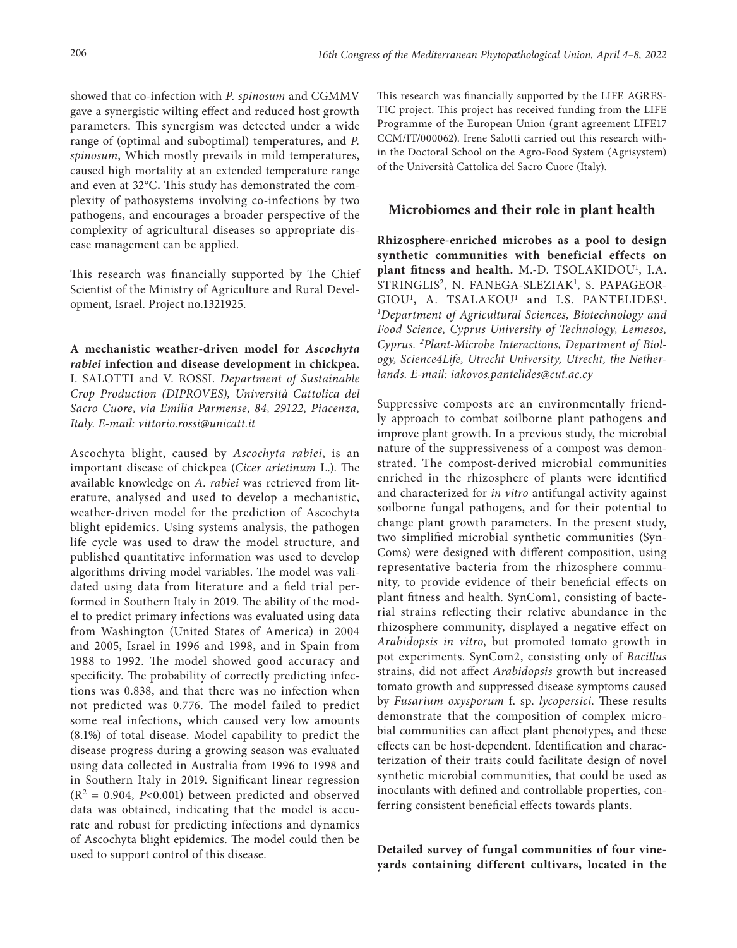showed that co-infection with *P. spinosum* and CGMMV gave a synergistic wilting effect and reduced host growth parameters. This synergism was detected under a wide range of (optimal and suboptimal) temperatures, and *P. spinosum*, Which mostly prevails in mild temperatures, caused high mortality at an extended temperature range and even at 32°C**.** This study has demonstrated the complexity of pathosystems involving co-infections by two pathogens, and encourages a broader perspective of the complexity of agricultural diseases so appropriate disease management can be applied.

This research was financially supported by The Chief Scientist of the Ministry of Agriculture and Rural Development, Israel. Project no.1321925.

**A mechanistic weather-driven model for** *Ascochyta rabiei* **infection and disease development in chickpea.**  I. SALOTTI and V. ROSSI. *Department of Sustainable Crop Production (DIPROVES), Università Cattolica del Sacro Cuore, via Emilia Parmense, 84, 29122, Piacenza, Italy*. *E-mail: [vittorio.rossi@unicatt.it](mailto:vittorio.rossi@unicatt.it)*

Ascochyta blight, caused by *Ascochyta rabiei*, is an important disease of chickpea (*Cicer arietinum* L.). The available knowledge on *A. rabiei* was retrieved from literature, analysed and used to develop a mechanistic, weather-driven model for the prediction of Ascochyta blight epidemics. Using systems analysis, the pathogen life cycle was used to draw the model structure, and published quantitative information was used to develop algorithms driving model variables. The model was validated using data from literature and a field trial performed in Southern Italy in 2019. The ability of the model to predict primary infections was evaluated using data from Washington (United States of America) in 2004 and 2005, Israel in 1996 and 1998, and in Spain from 1988 to 1992. The model showed good accuracy and specificity. The probability of correctly predicting infections was 0.838, and that there was no infection when not predicted was 0.776. The model failed to predict some real infections, which caused very low amounts (8.1%) of total disease. Model capability to predict the disease progress during a growing season was evaluated using data collected in Australia from 1996 to 1998 and in Southern Italy in 2019. Significant linear regression  $(R<sup>2</sup> = 0.904, P<0.001)$  between predicted and observed data was obtained, indicating that the model is accurate and robust for predicting infections and dynamics of Ascochyta blight epidemics. The model could then be used to support control of this disease.

This research was financially supported by the LIFE AGRES-TIC project. This project has received funding from the LIFE Programme of the European Union (grant agreement LIFE17 CCM/IT/000062). Irene Salotti carried out this research within the Doctoral School on the Agro-Food System (Agrisystem) of the Università Cattolica del Sacro Cuore (Italy).

#### **Microbiomes and their role in plant health**

**Rhizosphere-enriched microbes as a pool to design synthetic communities with beneficial effects on**  plant fitness and health. M.-D. TSOLAKIDOU<sup>1</sup>, I.A. STRINGLIS<sup>2</sup>, N. FANEGA-SLEZIAK<sup>1</sup>, S. PAPAGEOR-GIOU<sup>1</sup>, A. TSALAKOU<sup>1</sup> and I.S. PANTELIDES<sup>1</sup>. *1 Department of Agricultural Sciences, Biotechnology and Food Science, Cyprus University of Technology, Lemesos, Cyprus. 2 Plant-Microbe Interactions, Department of Biology, Science4Life, Utrecht University, Utrecht, the Netherlands. E-mail: [iakovos.pantelides@cut.ac.cy](mailto:iakovos.pantelides@cut.ac.cy)*

Suppressive composts are an environmentally friendly approach to combat soilborne plant pathogens and improve plant growth. In a previous study, the microbial nature of the suppressiveness of a compost was demonstrated. The compost-derived microbial communities enriched in the rhizosphere of plants were identified and characterized for *in vitro* antifungal activity against soilborne fungal pathogens, and for their potential to change plant growth parameters. In the present study, two simplified microbial synthetic communities (Syn-Coms) were designed with different composition, using representative bacteria from the rhizosphere community, to provide evidence of their beneficial effects on plant fitness and health. SynCom1, consisting of bacterial strains reflecting their relative abundance in the rhizosphere community, displayed a negative effect on *Arabidopsis in vitro*, but promoted tomato growth in pot experiments. SynCom2, consisting only of *Bacillus*  strains, did not affect *Arabidopsis* growth but increased tomato growth and suppressed disease symptoms caused by *Fusarium oxysporum* f. sp. *lycopersici*. These results demonstrate that the composition of complex microbial communities can affect plant phenotypes, and these effects can be host-dependent. Identification and characterization of their traits could facilitate design of novel synthetic microbial communities, that could be used as inoculants with defined and controllable properties, conferring consistent beneficial effects towards plants.

**Detailed survey of fungal communities of four vineyards containing different cultivars, located in the**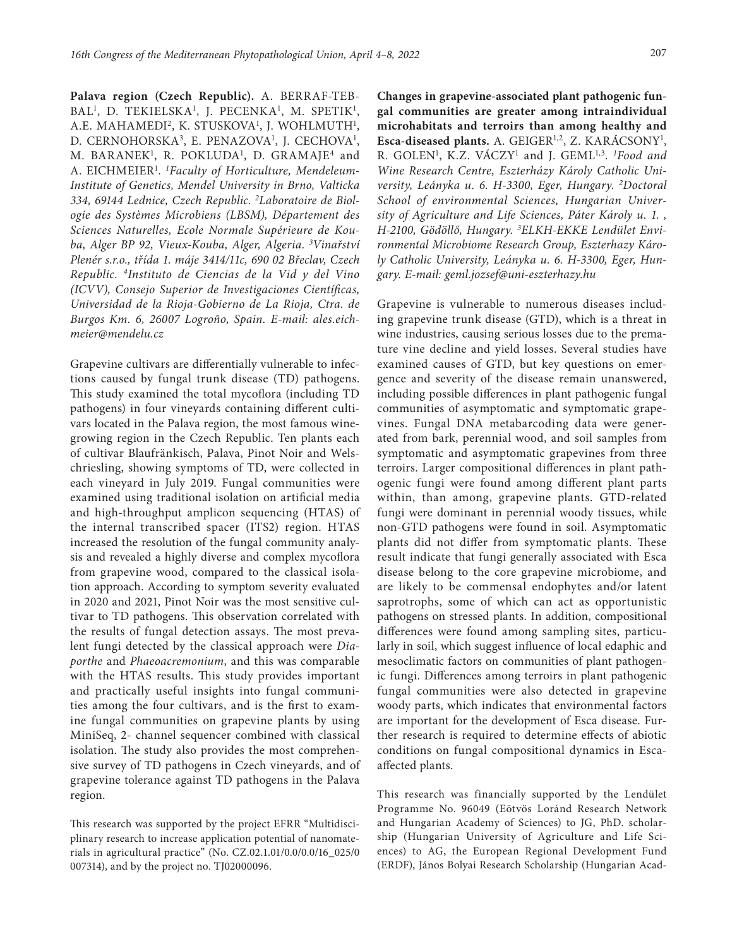**Palava region (Czech Republic).** A. BERRAF-TEB-BAL<sup>1</sup>, D. TEKIELSKA<sup>1</sup>, J. PECENKA<sup>1</sup>, M. SPETIK<sup>1</sup>, A.E. MAHAMEDI<sup>2</sup>, K. STUSKOVA<sup>1</sup>, J. WOHLMUTH<sup>1</sup>, D. CERNOHORSKA<sup>3</sup>, E. PENAZOVA<sup>1</sup>, J. CECHOVA<sup>1</sup>, M. BARANEK<sup>1</sup>, R. POKLUDA<sup>1</sup>, D. GRAMAJE<sup>4</sup> and A. EICHMEIER1 . *1 Faculty of Horticulture, Mendeleum-Institute of Genetics, Mendel University in Brno, Valticka 334, 69144 Lednice, Czech Republic. <sup>2</sup> Laboratoire de Biologie des Systèmes Microbiens (LBSM), Département des Sciences Naturelles, Ecole Normale Supérieure de Kouba, Alger BP 92, Vieux-Kouba, Alger, Algeria. <sup>3</sup> Vinařství Plenér s.r.o., třída 1. máje 3414/11c, 690 02 Břeclav, Czech Republic. 4Instituto de Ciencias de la Vid y del Vino (ICVV), Consejo Superior de Investigaciones Científicas, Universidad de la Rioja-Gobierno de La Rioja, Ctra. de Burgos Km. 6, 26007 Logroño, Spain. E-mail: [ales.eich](mailto:ales.eichmeier@mendelu.cz)[meier@mendelu.cz](mailto:ales.eichmeier@mendelu.cz)*

Grapevine cultivars are differentially vulnerable to infections caused by fungal trunk disease (TD) pathogens. This study examined the total mycoflora (including TD pathogens) in four vineyards containing different cultivars located in the Palava region, the most famous winegrowing region in the Czech Republic. Ten plants each of cultivar Blaufränkisch, Palava, Pinot Noir and Welschriesling, showing symptoms of TD, were collected in each vineyard in July 2019. Fungal communities were examined using traditional isolation on artificial media and high-throughput amplicon sequencing (HTAS) of the internal transcribed spacer (ITS2) region. HTAS increased the resolution of the fungal community analysis and revealed a highly diverse and complex mycoflora from grapevine wood, compared to the classical isolation approach. According to symptom severity evaluated in 2020 and 2021, Pinot Noir was the most sensitive cultivar to TD pathogens. This observation correlated with the results of fungal detection assays. The most prevalent fungi detected by the classical approach were *Diaporthe* and *Phaeoacremonium*, and this was comparable with the HTAS results. This study provides important and practically useful insights into fungal communities among the four cultivars, and is the first to examine fungal communities on grapevine plants by using MiniSeq, 2- channel sequencer combined with classical isolation. The study also provides the most comprehensive survey of TD pathogens in Czech vineyards, and of grapevine tolerance against TD pathogens in the Palava region.

This research was supported by the project EFRR "Multidisciplinary research to increase application potential of nanomaterials in agricultural practice" (No. CZ.02.1.01/0.0/0.0/16\_025/0 007314), and by the project no. TJ02000096.

**Changes in grapevine-associated plant pathogenic fungal communities are greater among intraindividual microhabitats and terroirs than among healthy and**  Esca-diseased plants. A. GEIGER<sup>1,2</sup>, Z. KARÁCSONY<sup>1</sup>, R. GOLEN1 , K.Z. VÁCZY1 and J. GEML1,3. *<sup>1</sup> Food and Wine Research Centre, Eszterházy Károly Catholic University, Leányka u. 6. H-3300, Eger, Hungary. 2Doctoral School of environmental Sciences, Hungarian University of Agriculture and Life Sciences, Páter Károly u. 1. , H-2100, Gödöllő, Hungary. 3 ELKH-EKKE Lendület Environmental Microbiome Research Group, Eszterhazy Károly Catholic University, Leányka u. 6. H-3300, Eger, Hungary. E-mail: [geml.jozsef@uni-eszterhazy.hu](mailto:geml.jozsef@uni-eszterhazy.hu)*

Grapevine is vulnerable to numerous diseases including grapevine trunk disease (GTD), which is a threat in wine industries, causing serious losses due to the premature vine decline and yield losses. Several studies have examined causes of GTD, but key questions on emergence and severity of the disease remain unanswered, including possible differences in plant pathogenic fungal communities of asymptomatic and symptomatic grapevines. Fungal DNA metabarcoding data were generated from bark, perennial wood, and soil samples from symptomatic and asymptomatic grapevines from three terroirs. Larger compositional differences in plant pathogenic fungi were found among different plant parts within, than among, grapevine plants. GTD-related fungi were dominant in perennial woody tissues, while non-GTD pathogens were found in soil. Asymptomatic plants did not differ from symptomatic plants. These result indicate that fungi generally associated with Esca disease belong to the core grapevine microbiome, and are likely to be commensal endophytes and/or latent saprotrophs, some of which can act as opportunistic pathogens on stressed plants. In addition, compositional differences were found among sampling sites, particularly in soil, which suggest influence of local edaphic and mesoclimatic factors on communities of plant pathogenic fungi. Differences among terroirs in plant pathogenic fungal communities were also detected in grapevine woody parts, which indicates that environmental factors are important for the development of Esca disease. Further research is required to determine effects of abiotic conditions on fungal compositional dynamics in Escaaffected plants.

This research was financially supported by the Lendület Programme No. 96049 (Eötvös Loránd Research Network and Hungarian Academy of Sciences) to JG, PhD. scholarship (Hungarian University of Agriculture and Life Sciences) to AG, the European Regional Development Fund (ERDF), János Bolyai Research Scholarship (Hungarian Acad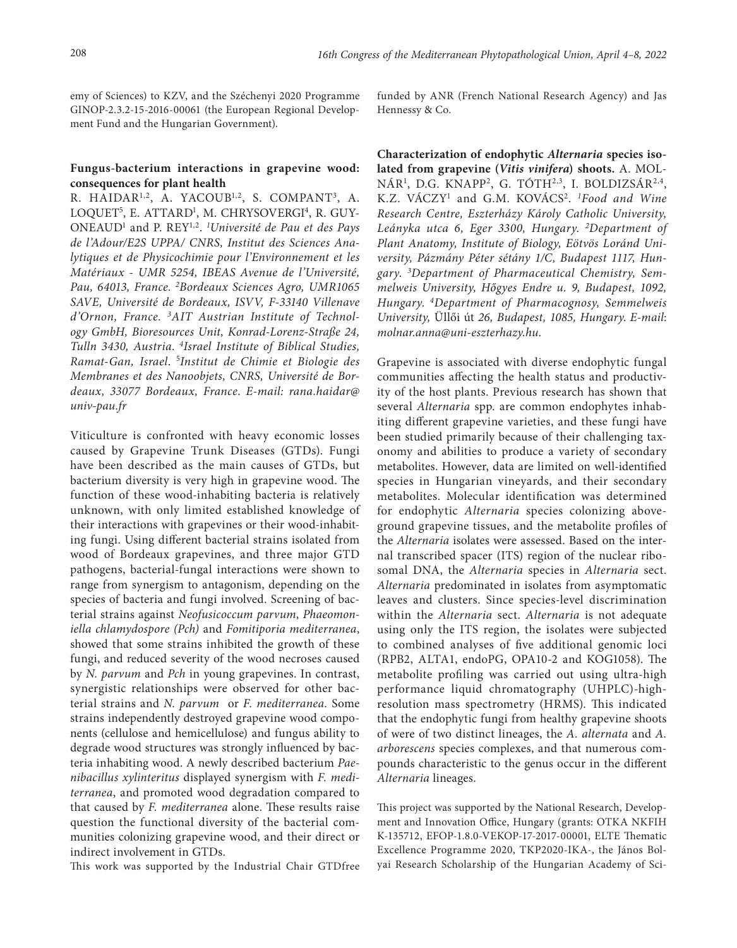emy of Sciences) to KZV, and the Széchenyi 2020 Programme GINOP-2.3.2-15-2016-00061 (the European Regional Development Fund and the Hungarian Government).

### **Fungus-bacterium interactions in grapevine wood: consequences for plant health**

R. HAIDAR<sup>1,2</sup>, A. YACOUB<sup>1,2</sup>, S. COMPANT<sup>3</sup>, A. LOQUET<sup>5</sup>, E. ATTARD<sup>1</sup>, M. CHRYSOVERGI<sup>4</sup>, R. GUY-ONEAUD1 and P. REY1,2. *<sup>1</sup> Université de Pau et des Pays de l'Adour/E2S UPPA/ CNRS, Institut des Sciences Analytiques et de Physicochimie pour l'Environnement et les Matériaux - UMR 5254, IBEAS Avenue de l'Université, Pau, 64013, France. 2Bordeaux Sciences Agro, UMR1065 SAVE, Université de Bordeaux, ISVV, F-33140 Villenave d'Ornon, France. 3AIT Austrian Institute of Technology GmbH, Bioresources Unit, Konrad-Lorenz-Straße 24, Tulln 3430, Austria*. *4Israel Institute of Biblical Studies, Ramat-Gan, Israel*. 5 *Institut de Chimie et Biologie des Membranes et des Nanoobjets, CNRS, Université de Bordeaux, 33077 Bordeaux, France*. *E-mail: [rana.haidar@](mailto:rana.haidar@univ-pau.fr) [univ-pau.fr](mailto:rana.haidar@univ-pau.fr)*

Viticulture is confronted with heavy economic losses caused by Grapevine Trunk Diseases (GTDs). Fungi have been described as the main causes of GTDs, but bacterium diversity is very high in grapevine wood. The function of these wood-inhabiting bacteria is relatively unknown, with only limited established knowledge of their interactions with grapevines or their wood-inhabiting fungi. Using different bacterial strains isolated from wood of Bordeaux grapevines, and three major GTD pathogens, bacterial-fungal interactions were shown to range from synergism to antagonism, depending on the species of bacteria and fungi involved. Screening of bacterial strains against *Neofusicoccum parvum*, *Phaeomoniella chlamydospore (Pch)* and *Fomitiporia mediterranea*, showed that some strains inhibited the growth of these fungi, and reduced severity of the wood necroses caused by *N. parvum* and *Pch* in young grapevines. In contrast, synergistic relationships were observed for other bacterial strains and *N. parvum* or *F. mediterranea.* Some strains independently destroyed grapevine wood components (cellulose and hemicellulose) and fungus ability to degrade wood structures was strongly influenced by bacteria inhabiting wood. A newly described bacterium *Paenibacillus xylinteritus* displayed synergism with *F. mediterranea*, and promoted wood degradation compared to that caused by *F. mediterranea* alone. These results raise question the functional diversity of the bacterial communities colonizing grapevine wood, and their direct or indirect involvement in GTDs.

This work was supported by the Industrial Chair GTDfree

funded by ANR (French National Research Agency) and Jas Hennessy & Co.

**Characterization of endophytic** *Alternaria* **species isolated from grapevine (***Vitis vinifera***) shoots.** A. MOL-NÁR<sup>1</sup>, D.G. KNAPP<sup>2</sup>, G. TÓTH<sup>2,3</sup>, I. BOLDIZSÁR<sup>2,4</sup>, K.Z. VÁCZY1 and G.M. KOVÁCS2. *1Food and Wine Research Centre, Eszterházy Károly Catholic University, Leányka utca 6, Eger 3300, Hungary*. *2Department of Plant Anatomy, Institute of Biology, Eötvös Loránd University, Pázmány Péter sétány 1/C, Budapest 1117, Hungary*. *<sup>3</sup> Department of Pharmaceutical Chemistry, Semmelweis University, Hőgyes Endre u. 9, Budapest, 1092, Hungary*. *4Department of Pharmacognosy, Semmelweis University,* Üllői út *26, Budapest, 1085, Hungary*. *E-mail*: *[molnar.anna@uni-eszterhazy.hu.](mailto:molnar.anna@uni-eszterhazy.hu)*

Grapevine is associated with diverse endophytic fungal communities affecting the health status and productivity of the host plants. Previous research has shown that several *Alternaria* spp. are common endophytes inhabiting different grapevine varieties, and these fungi have been studied primarily because of their challenging taxonomy and abilities to produce a variety of secondary metabolites. However, data are limited on well-identified species in Hungarian vineyards, and their secondary metabolites. Molecular identification was determined for endophytic *Alternaria* species colonizing aboveground grapevine tissues, and the metabolite profiles of the *Alternaria* isolates were assessed. Based on the internal transcribed spacer (ITS) region of the nuclear ribosomal DNA, the *Alternaria* species in *Alternaria* sect. *Alternaria* predominated in isolates from asymptomatic leaves and clusters. Since species-level discrimination within the *Alternaria* sect. *Alternaria* is not adequate using only the ITS region, the isolates were subjected to combined analyses of five additional genomic loci (RPB2, ALTA1, endoPG, OPA10-2 and KOG1058). The metabolite profiling was carried out using ultra-high performance liquid chromatography (UHPLC)-highresolution mass spectrometry (HRMS). This indicated that the endophytic fungi from healthy grapevine shoots of were of two distinct lineages, the *A. alternata* and *A. arborescens* species complexes, and that numerous compounds characteristic to the genus occur in the different *Alternaria* lineages.

This project was supported by the National Research, Development and Innovation Office, Hungary (grants: OTKA NKFIH K-135712, EFOP-1.8.0-VEKOP-17-2017-00001, ELTE Thematic Excellence Programme 2020, TKP2020-IKA-, the János Bolyai Research Scholarship of the Hungarian Academy of Sci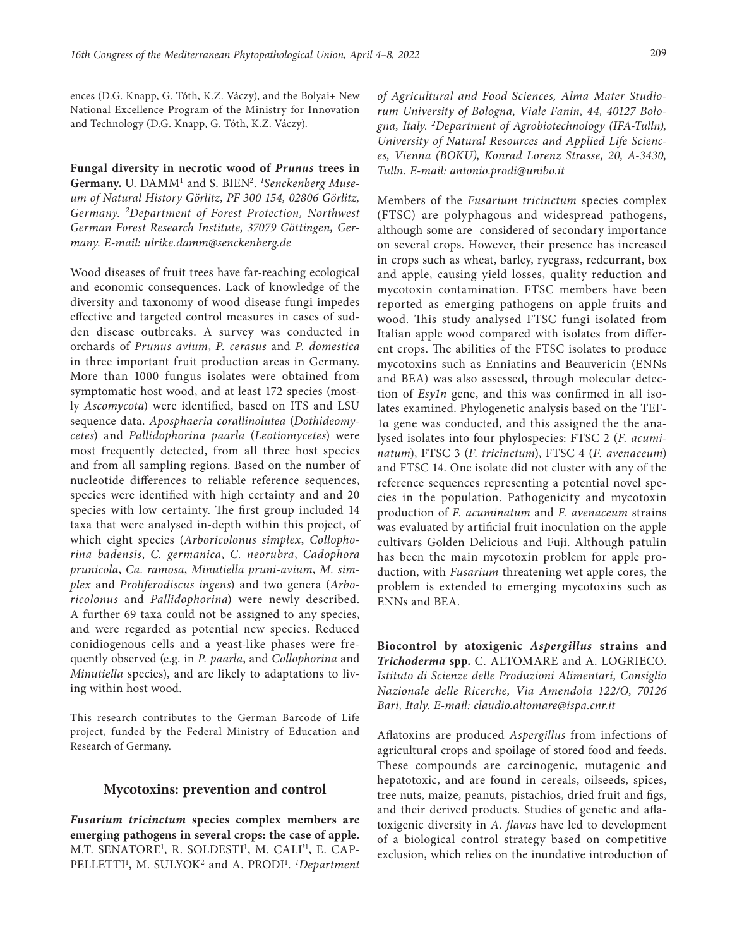ences (D.G. Knapp, G. Tóth, K.Z. Váczy), and the Bolyai+ New National Excellence Program of the Ministry for Innovation and Technology (D.G. Knapp, G. Tóth, K.Z. Váczy).

**Fungal diversity in necrotic wood of** *Prunus* **trees in Germany.** U. DAMM1 and S. BIEN2. *<sup>1</sup> Senckenberg Museum of Natural History Görlitz, PF 300 154, 02806 Görlitz, Germany. 2Department of Forest Protection, Northwest German Forest Research Institute, 37079 Göttingen, Germany. E-mail: [ulrike.damm@senckenberg.de](mailto:ulrike.damm@senckenberg.de)*

Wood diseases of fruit trees have far-reaching ecological and economic consequences. Lack of knowledge of the diversity and taxonomy of wood disease fungi impedes effective and targeted control measures in cases of sudden disease outbreaks. A survey was conducted in orchards of *Prunus avium*, *P. cerasus* and *P. domestica*  in three important fruit production areas in Germany. More than 1000 fungus isolates were obtained from symptomatic host wood, and at least 172 species (mostly *Ascomycota*) were identified, based on ITS and LSU sequence data. *Aposphaeria corallinolutea* (*Dothideomycetes*) and *Pallidophorina paarla* (*Leotiomycetes*) were most frequently detected, from all three host species and from all sampling regions. Based on the number of nucleotide differences to reliable reference sequences, species were identified with high certainty and and 20 species with low certainty. The first group included 14 taxa that were analysed in-depth within this project, of which eight species (*Arboricolonus simplex*, *Collophorina badensis*, *C. germanica*, *C. neorubra*, *Cadophora prunicola*, *Ca. ramosa*, *Minutiella pruni-avium*, *M. simplex* and *Proliferodiscus ingens*) and two genera (*Arboricolonus* and *Pallidophorina*) were newly described. A further 69 taxa could not be assigned to any species, and were regarded as potential new species. Reduced conidiogenous cells and a yeast-like phases were frequently observed (e.g. in *P. paarla*, and *Collophorina* and *Minutiella* species), and are likely to adaptations to living within host wood.

This research contributes to the German Barcode of Life project, funded by the Federal Ministry of Education and Research of Germany.

#### **Mycotoxins: prevention and control**

*Fusarium tricinctum* **species complex members are emerging pathogens in several crops: the case of apple.**  M.T. SENATORE<sup>1</sup>, R. SOLDESTI<sup>1</sup>, M. CALI<sup>21</sup>, E. CAP-PELLETTI<sup>1</sup>, M. SULYOK<sup>2</sup> and A. PRODI<sup>1</sup>. *<sup>1</sup>Department* 

*of Agricultural and Food Sciences, Alma Mater Studiorum University of Bologna, Viale Fanin, 44, 40127 Bologna, Italy. 2 Department of Agrobiotechnology (IFA-Tulln), University of Natural Resources and Applied Life Sciences, Vienna (BOKU), Konrad Lorenz Strasse, 20, A-3430, Tulln. E-mail: [antonio.prodi@unibo.it](mailto:antonio.prodi@unibo.it)*

Members of the *Fusarium tricinctum* species complex (FTSC) are polyphagous and widespread pathogens, although some are considered of secondary importance on several crops. However, their presence has increased in crops such as wheat, barley, ryegrass, redcurrant, box and apple, causing yield losses, quality reduction and mycotoxin contamination. FTSC members have been reported as emerging pathogens on apple fruits and wood. This study analysed FTSC fungi isolated from Italian apple wood compared with isolates from different crops. The abilities of the FTSC isolates to produce mycotoxins such as Enniatins and Beauvericin (ENNs and BEA) was also assessed, through molecular detection of *Esy1n* gene, and this was confirmed in all isolates examined. Phylogenetic analysis based on the TEF-1α gene was conducted, and this assigned the the analysed isolates into four phylospecies: FTSC 2 (*F. acuminatum*), FTSC 3 (*F. tricinctum*), FTSC 4 (*F. avenaceum*) and FTSC 14. One isolate did not cluster with any of the reference sequences representing a potential novel species in the population. Pathogenicity and mycotoxin production of *F. acuminatum* and *F. avenaceum* strains was evaluated by artificial fruit inoculation on the apple cultivars Golden Delicious and Fuji. Although patulin has been the main mycotoxin problem for apple production, with *Fusarium* threatening wet apple cores, the problem is extended to emerging mycotoxins such as ENNs and BEA.

**Biocontrol by atoxigenic** *Aspergillus* **strains and**  *Trichoderma* **spp.** C. ALTOMARE and A. LOGRIECO. *Istituto di Scienze delle Produzioni Alimentari, Consiglio Nazionale delle Ricerche, Via Amendola 122/O, 70126 Bari, Italy. E-mail: [claudio.altomare@ispa.cnr.it](mailto:claudio.altomare@ispa.cnr.it)*

Aflatoxins are produced *Aspergillus* from infections of agricultural crops and spoilage of stored food and feeds. These compounds are carcinogenic, mutagenic and hepatotoxic, and are found in cereals, oilseeds, spices, tree nuts, maize, peanuts, pistachios, dried fruit and figs, and their derived products. Studies of genetic and aflatoxigenic diversity in *A. flavus* have led to development of a biological control strategy based on competitive exclusion, which relies on the inundative introduction of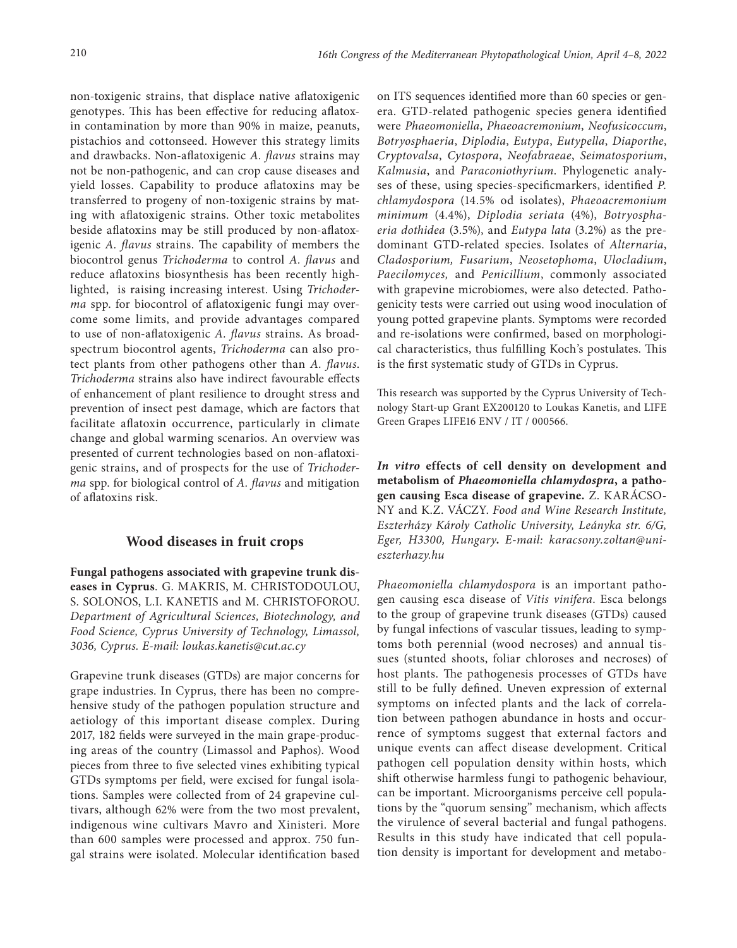non-toxigenic strains, that displace native aflatoxigenic genotypes. This has been effective for reducing aflatoxin contamination by more than 90% in maize, peanuts, pistachios and cottonseed. However this strategy limits and drawbacks. Non-aflatoxigenic *A. flavus* strains may not be non-pathogenic, and can crop cause diseases and yield losses. Capability to produce aflatoxins may be transferred to progeny of non-toxigenic strains by mating with aflatoxigenic strains. Other toxic metabolites beside aflatoxins may be still produced by non-aflatoxigenic *A. flavus* strains. The capability of members the biocontrol genus *Trichoderma* to control *A. flavus* and reduce aflatoxins biosynthesis has been recently highlighted, is raising increasing interest. Using *Trichoderma* spp. for biocontrol of aflatoxigenic fungi may overcome some limits, and provide advantages compared to use of non-aflatoxigenic *A. flavus* strains. As broadspectrum biocontrol agents, *Trichoderma* can also protect plants from other pathogens other than *A. flavus*. *Trichoderma* strains also have indirect favourable effects of enhancement of plant resilience to drought stress and prevention of insect pest damage, which are factors that facilitate aflatoxin occurrence, particularly in climate change and global warming scenarios. An overview was presented of current technologies based on non-aflatoxigenic strains, and of prospects for the use of *Trichoderma* spp. for biological control of *A. flavus* and mitigation of aflatoxins risk.

## **Wood diseases in fruit crops**

**Fungal pathogens associated with grapevine trunk diseases in Cyprus**. G. MAKRIS, M. CHRISTODOULOU, S. SOLONOS, L.I. KANETIS and M. CHRISTOFOROU. *Department of Agricultural Sciences, Biotechnology, and Food Science, Cyprus University of Technology, Limassol, 3036, Cyprus. E-mail: [loukas.kanetis@cut.ac.cy](mailto:loukas.kanetis@cut.ac.cy)*

Grapevine trunk diseases (GTDs) are major concerns for grape industries. In Cyprus, there has been no comprehensive study of the pathogen population structure and aetiology of this important disease complex. During 2017, 182 fields were surveyed in the main grape-producing areas of the country (Limassol and Paphos). Wood pieces from three to five selected vines exhibiting typical GTDs symptoms per field, were excised for fungal isolations. Samples were collected from of 24 grapevine cultivars, although 62% were from the two most prevalent, indigenous wine cultivars Mavro and Xinisteri. More than 600 samples were processed and approx. 750 fungal strains were isolated. Molecular identification based

on ITS sequences identified more than 60 species or genera. GTD-related pathogenic species genera identified were *Phaeomoniella*, *Phaeoacremonium*, *Neofusicoccum*, *Botryosphaeria*, *Diplodia*, *Eutypa*, *Eutypella*, *Diaporthe*, *Cryptovalsa*, *Cytospora*, *Neofabraeae*, *Seimatosporium*, *Kalmusia*, and *Paraconiothyrium*. Phylogenetic analyses of these, using species-specificmarkers, identified *P. chlamydospora* (14.5% od isolates), *Phaeoacremonium minimum* (4.4%), *Diplodia seriata* (4%), *Botryosphaeria dothidea* (3.5%), and *Eutypa lata* (3.2%) as the predominant GTD-related species. Isolates of *Alternaria*, *Cladosporium, Fusarium*, *Neosetophoma*, *Ulocladium*, *Paecilomyces,* and *Penicillium*, commonly associated with grapevine microbiomes, were also detected. Pathogenicity tests were carried out using wood inoculation of young potted grapevine plants. Symptoms were recorded and re-isolations were confirmed, based on morphological characteristics, thus fulfilling Koch's postulates. This is the first systematic study of GTDs in Cyprus.

This research was supported by the Cyprus University of Technology Start-up Grant EX200120 to Loukas Kanetis, and LIFE Green Grapes LIFE16 ENV / IT / 000566.

*In vitro* **effects of cell density on development and metabolism of** *Phaeomoniella chlamydospra***, a pathogen causing Esca disease of grapevine.** Z. KARÁCSO-NY and K.Z. VÁCZY. *Food and Wine Research Institute, Eszterházy Károly Catholic University, Leányka str. 6/G, Eger, H3300, Hungary***.** *E-mail: [karacsony.zoltan@uni](mailto:karacsony.zoltan@uni-eszterhazy.hu)[eszterhazy.hu](mailto:karacsony.zoltan@uni-eszterhazy.hu)*

*Phaeomoniella chlamydospora* is an important pathogen causing esca disease of *Vitis vinifera*. Esca belongs to the group of grapevine trunk diseases (GTDs) caused by fungal infections of vascular tissues, leading to symptoms both perennial (wood necroses) and annual tissues (stunted shoots, foliar chloroses and necroses) of host plants. The pathogenesis processes of GTDs have still to be fully defined. Uneven expression of external symptoms on infected plants and the lack of correlation between pathogen abundance in hosts and occurrence of symptoms suggest that external factors and unique events can affect disease development. Critical pathogen cell population density within hosts, which shift otherwise harmless fungi to pathogenic behaviour, can be important. Microorganisms perceive cell populations by the "quorum sensing" mechanism, which affects the virulence of several bacterial and fungal pathogens. Results in this study have indicated that cell population density is important for development and metabo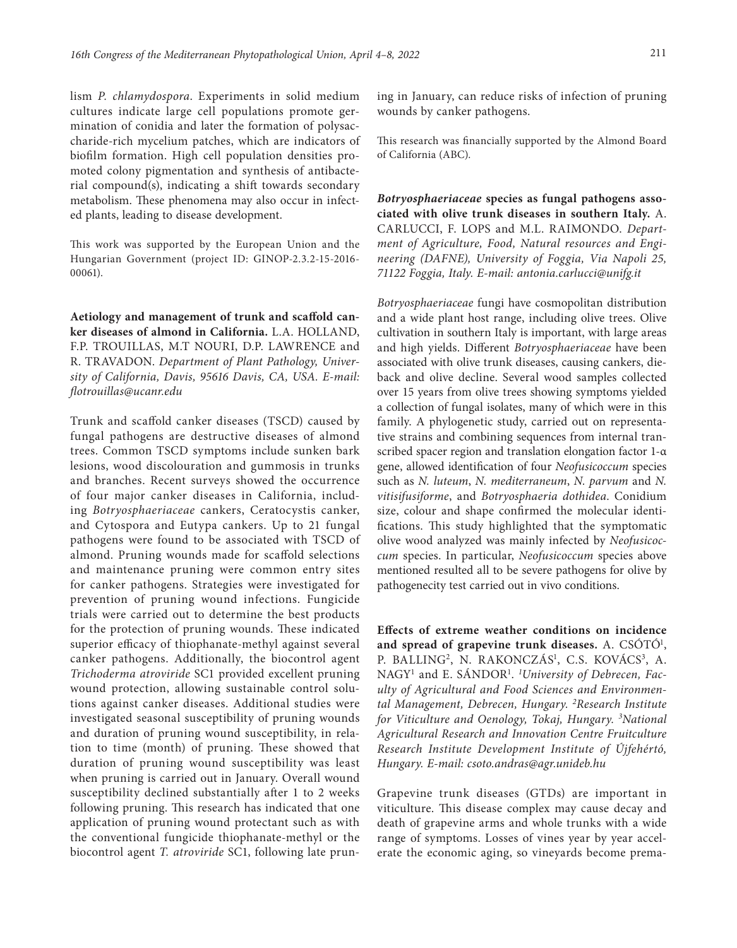lism *P. chlamydospora*. Experiments in solid medium cultures indicate large cell populations promote germination of conidia and later the formation of polysaccharide-rich mycelium patches, which are indicators of biofilm formation. High cell population densities promoted colony pigmentation and synthesis of antibacterial compound(s), indicating a shift towards secondary metabolism. These phenomena may also occur in infected plants, leading to disease development.

This work was supported by the European Union and the Hungarian Government (project ID: GINOP-2.3.2-15-2016- 00061).

**Aetiology and management of trunk and scaffold canker diseases of almond in California.** L.A. HOLLAND, F.P. TROUILLAS, M.T NOURI, D.P. LAWRENCE and R. TRAVADON. *Department of Plant Pathology, University of California, Davis, 95616 Davis, CA, USA. E-mail: [flotrouillas@ucanr.edu](mailto:flotrouillas@ucanr.edu)*

Trunk and scaffold canker diseases (TSCD) caused by fungal pathogens are destructive diseases of almond trees. Common TSCD symptoms include sunken bark lesions, wood discolouration and gummosis in trunks and branches. Recent surveys showed the occurrence of four major canker diseases in California, including *Botryosphaeriaceae* cankers, Ceratocystis canker, and Cytospora and Eutypa cankers. Up to 21 fungal pathogens were found to be associated with TSCD of almond. Pruning wounds made for scaffold selections and maintenance pruning were common entry sites for canker pathogens. Strategies were investigated for prevention of pruning wound infections. Fungicide trials were carried out to determine the best products for the protection of pruning wounds. These indicated superior efficacy of thiophanate-methyl against several canker pathogens. Additionally, the biocontrol agent *Trichoderma atroviride* SC1 provided excellent pruning wound protection, allowing sustainable control solutions against canker diseases. Additional studies were investigated seasonal susceptibility of pruning wounds and duration of pruning wound susceptibility, in relation to time (month) of pruning. These showed that duration of pruning wound susceptibility was least when pruning is carried out in January. Overall wound susceptibility declined substantially after 1 to 2 weeks following pruning. This research has indicated that one application of pruning wound protectant such as with the conventional fungicide thiophanate-methyl or the biocontrol agent *T. atroviride* SC1, following late pruning in January, can reduce risks of infection of pruning wounds by canker pathogens.

This research was financially supported by the Almond Board of California (ABC).

*Botryosphaeriaceae* **species as fungal pathogens associated with olive trunk diseases in southern Italy.** A. CARLUCCI, F. LOPS and M.L. RAIMONDO. *Department of Agriculture, Food, Natural resources and Engineering (DAFNE), University of Foggia, Via Napoli 25, 71122 Foggia, Italy. E-mail: antonia.carlucci@unifg.it*

*Botryosphaeriaceae* fungi have cosmopolitan distribution and a wide plant host range, including olive trees. Olive cultivation in southern Italy is important, with large areas and high yields. Different *Botryosphaeriaceae* have been associated with olive trunk diseases, causing cankers, dieback and olive decline. Several wood samples collected over 15 years from olive trees showing symptoms yielded a collection of fungal isolates, many of which were in this family. A phylogenetic study, carried out on representative strains and combining sequences from internal transcribed spacer region and translation elongation factor 1-α gene, allowed identification of four *Neofusicoccum* species such as *N. luteum*, *N. mediterraneum*, *N. parvum* and *N. vitisifusiforme*, and *Botryosphaeria dothidea*. Conidium size, colour and shape confirmed the molecular identifications. This study highlighted that the symptomatic olive wood analyzed was mainly infected by *Neofusicoccum* species. In particular, *Neofusicoccum* species above mentioned resulted all to be severe pathogens for olive by pathogenecity test carried out in vivo conditions.

**Effects of extreme weather conditions on incidence**  and spread of grapevine trunk diseases. A. CSÓTÓ<sup>1</sup>, P. BALLING<sup>2</sup>, N. RAKONCZÁS<sup>1</sup>, C.S. KOVÁCS<sup>3</sup>, A. NAGY1 and E. SÁNDOR1 . *1 University of Debrecen, Faculty of Agricultural and Food Sciences and Environmental Management, Debrecen, Hungary. 2Research Institute for Viticulture and Oenology, Tokaj, Hungary. 3 National Agricultural Research and Innovation Centre Fruitculture Research Institute Development Institute of Újfehértó, Hungary. E-mail: [csoto.andras@agr.unideb.hu](mailto:csoto.andras@agr.unideb.hu)*

Grapevine trunk diseases (GTDs) are important in viticulture. This disease complex may cause decay and death of grapevine arms and whole trunks with a wide range of symptoms. Losses of vines year by year accelerate the economic aging, so vineyards become prema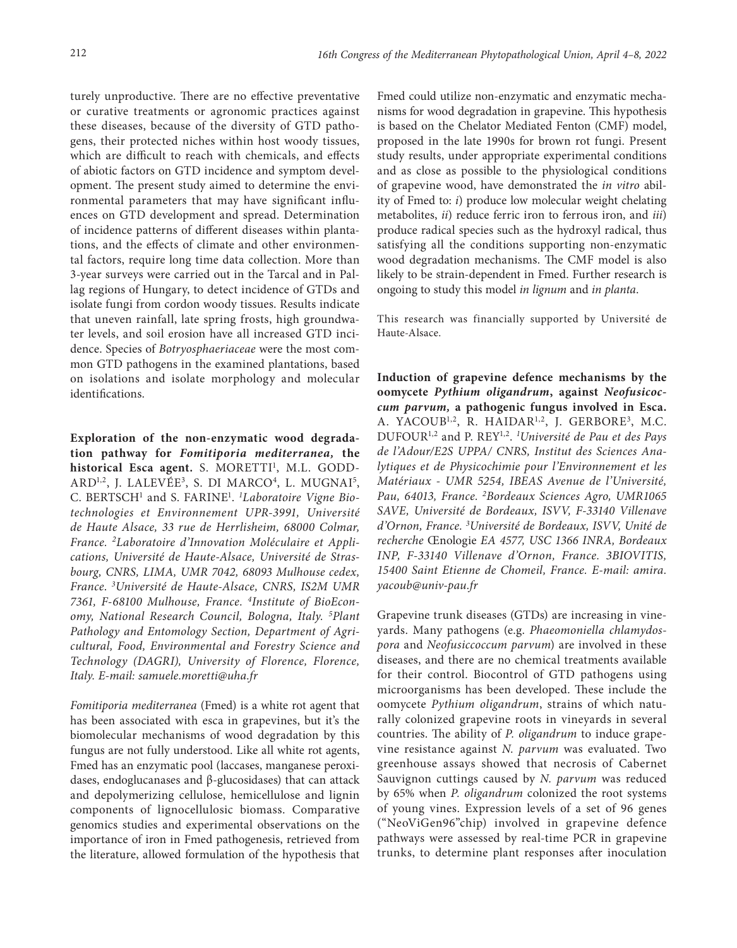turely unproductive. There are no effective preventative or curative treatments or agronomic practices against these diseases, because of the diversity of GTD pathogens, their protected niches within host woody tissues, which are difficult to reach with chemicals, and effects of abiotic factors on GTD incidence and symptom development. The present study aimed to determine the environmental parameters that may have significant influences on GTD development and spread. Determination of incidence patterns of different diseases within plantations, and the effects of climate and other environmental factors, require long time data collection. More than 3-year surveys were carried out in the Tarcal and in Pallag regions of Hungary, to detect incidence of GTDs and isolate fungi from cordon woody tissues. Results indicate that uneven rainfall, late spring frosts, high groundwater levels, and soil erosion have all increased GTD incidence. Species of *Botryosphaeriaceae* were the most common GTD pathogens in the examined plantations, based on isolations and isolate morphology and molecular identifications.

**Exploration of the non-enzymatic wood degradation pathway for** *Fomitiporia mediterranea,* **the historical Esca agent.** S. MORETTI<sup>1</sup>, M.L. GODD-ARD<sup>1,2</sup>, J. LALEVÉE<sup>3</sup>, S. DI MARCO<sup>4</sup>, L. MUGNAI<sup>5</sup>, C. BERTSCH1 and S. FARINE1 . *1 Laboratoire Vigne Biotechnologies et Environnement UPR-3991, Université de Haute Alsace, 33 rue de Herrlisheim, 68000 Colmar, France. 2Laboratoire d'Innovation Moléculaire et Applications, Université de Haute-Alsace, Université de Strasbourg, CNRS, LIMA, UMR 7042, 68093 Mulhouse cedex, France*. *<sup>3</sup> Université de Haute-Alsace, CNRS, IS2M UMR 7361, F-68100 Mulhouse, France. 4Institute of BioEconomy, National Research Council, Bologna, Italy. 5 Plant Pathology and Entomology Section, Department of Agricultural, Food, Environmental and Forestry Science and Technology (DAGRI), University of Florence, Florence, Italy. E-mail: [samuele.moretti@uha.fr](mailto:samuele.moretti@uha.fr)*

*Fomitiporia mediterranea* (Fmed) is a white rot agent that has been associated with esca in grapevines, but it's the biomolecular mechanisms of wood degradation by this fungus are not fully understood. Like all white rot agents, Fmed has an enzymatic pool (laccases, manganese peroxidases, endoglucanases and β-glucosidases) that can attack and depolymerizing cellulose, hemicellulose and lignin components of lignocellulosic biomass. Comparative genomics studies and experimental observations on the importance of iron in Fmed pathogenesis, retrieved from the literature, allowed formulation of the hypothesis that Fmed could utilize non-enzymatic and enzymatic mechanisms for wood degradation in grapevine. This hypothesis is based on the Chelator Mediated Fenton (CMF) model, proposed in the late 1990s for brown rot fungi. Present study results, under appropriate experimental conditions and as close as possible to the physiological conditions of grapevine wood, have demonstrated the *in vitro* ability of Fmed to: *i*) produce low molecular weight chelating metabolites, *ii*) reduce ferric iron to ferrous iron, and *iii*) produce radical species such as the hydroxyl radical, thus satisfying all the conditions supporting non-enzymatic wood degradation mechanisms. The CMF model is also likely to be strain-dependent in Fmed. Further research is ongoing to study this model *in lignum* and *in planta*.

This research was financially supported by Université de Haute-Alsace.

**Induction of grapevine defence mechanisms by the oomycete** *Pythium oligandrum***, against** *Neofusicoccum parvum,* **a pathogenic fungus involved in Esca.**  A. YACOUB<sup>1,2</sup>, R. HAIDAR<sup>1,2</sup>, J. GERBORE<sup>3</sup>, M.C. DUFOUR1,2 and P. REY1,2. *<sup>1</sup> Université de Pau et des Pays de l'Adour/E2S UPPA/ CNRS, Institut des Sciences Analytiques et de Physicochimie pour l'Environnement et les Matériaux - UMR 5254, IBEAS Avenue de l'Université, Pau, 64013, France. 2Bordeaux Sciences Agro, UMR1065 SAVE, Université de Bordeaux, ISVV, F-33140 Villenave d'Ornon, France. 3 Université de Bordeaux, ISVV, Unité de recherche* Œnologie *EA 4577, USC 1366 INRA, Bordeaux INP, F-33140 Villenave d'Ornon, France. 3BIOVITIS, 15400 Saint Etienne de Chomeil, France. E-mail: [amira.](mailto:amira.yacoub@univ-pau.fr) [yacoub@univ-pau.fr](mailto:amira.yacoub@univ-pau.fr)*

Grapevine trunk diseases (GTDs) are increasing in vineyards. Many pathogens (e.g. *Phaeomoniella chlamydospora* and *Neofusiccoccum parvum*) are involved in these diseases, and there are no chemical treatments available for their control. Biocontrol of GTD pathogens using microorganisms has been developed. These include the oomycete *Pythium oligandrum*, strains of which naturally colonized grapevine roots in vineyards in several countries. The ability of *P. oligandrum* to induce grapevine resistance against *N. parvum* was evaluated. Two greenhouse assays showed that necrosis of Cabernet Sauvignon cuttings caused by *N. parvum* was reduced by 65% when *P. oligandrum* colonized the root systems of young vines. Expression levels of a set of 96 genes ("NeoViGen96"chip) involved in grapevine defence pathways were assessed by real-time PCR in grapevine trunks, to determine plant responses after inoculation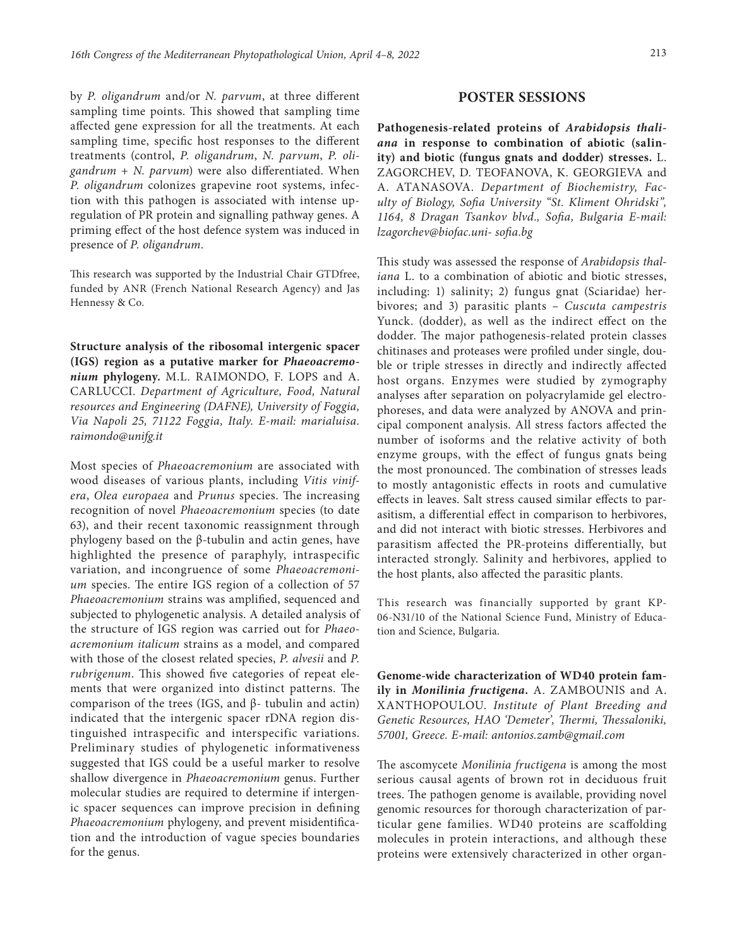by *P. oligandrum* and/or *N. parvum*, at three different sampling time points. This showed that sampling time affected gene expression for all the treatments. At each sampling time, specific host responses to the different treatments (control, *P. oligandrum*, *N. parvum*, *P. oligandrum* + *N. parvum*) were also differentiated. When *P. oligandrum* colonizes grapevine root systems, infection with this pathogen is associated with intense upregulation of PR protein and signalling pathway genes. A priming effect of the host defence system was induced in presence of *P. oligandrum*.

This research was supported by the Industrial Chair GTDfree, funded by ANR (French National Research Agency) and Jas Hennessy & Co.

**Structure analysis of the ribosomal intergenic spacer (IGS) region as a putative marker for** *Phaeoacremonium* **phylogeny.** M.L. RAIMONDO, F. LOPS and A. CARLUCCI. *Department of Agriculture, Food, Natural resources and Engineering (DAFNE), University of Foggia, Via Napoli 25, 71122 Foggia, Italy. E-mail: marialuisa. raimondo@unifg.it*

Most species of *Phaeoacremonium* are associated with wood diseases of various plants, including *Vitis vinifera*, *Olea europaea* and *Prunus* species. The increasing recognition of novel *Phaeoacremonium* species (to date 63), and their recent taxonomic reassignment through phylogeny based on the β-tubulin and actin genes, have highlighted the presence of paraphyly, intraspecific variation, and incongruence of some *Phaeoacremonium* species. The entire IGS region of a collection of 57 *Phaeoacremonium* strains was amplified, sequenced and subjected to phylogenetic analysis. A detailed analysis of the structure of IGS region was carried out for *Phaeoacremonium italicum* strains as a model, and compared with those of the closest related species, *P. alvesii* and *P. rubrigenum*. This showed five categories of repeat elements that were organized into distinct patterns. The comparison of the trees (IGS, and β- tubulin and actin) indicated that the intergenic spacer rDNA region distinguished intraspecific and interspecific variations. Preliminary studies of phylogenetic informativeness suggested that IGS could be a useful marker to resolve shallow divergence in *Phaeoacremonium* genus. Further molecular studies are required to determine if intergenic spacer sequences can improve precision in defining *Phaeoacremonium* phylogeny, and prevent misidentification and the introduction of vague species boundaries for the genus.

## **POSTER SESSIONS**

**Pathogenesis-related proteins of** *Arabidopsis thaliana* **in response to combination of abiotic (salinity) and biotic (fungus gnats and dodder) stresses.** L. ZAGORCHEV, D. TEOFANOVA, K. GEORGIEVA and A. ATANASOVA. *Department of Biochemistry, Faculty of Biology, Sofia University "St. Kliment Ohridski", 1164, 8 Dragan Tsankov blvd., Sofia, Bulgaria E-mail: [lzagorchev@biofac.uni-](mailto:lzagorchev@biofac.uni-) sofia.bg*

This study was assessed the response of *Arabidopsis thaliana* L. to a combination of abiotic and biotic stresses, including: 1) salinity; 2) fungus gnat (Sciaridae) herbivores; and 3) parasitic plants *– Cuscuta campestris* Yunck. (dodder), as well as the indirect effect on the dodder. The major pathogenesis-related protein classes chitinases and proteases were profiled under single, double or triple stresses in directly and indirectly affected host organs. Enzymes were studied by zymography analyses after separation on polyacrylamide gel electrophoreses, and data were analyzed by ANOVA and principal component analysis. All stress factors affected the number of isoforms and the relative activity of both enzyme groups, with the effect of fungus gnats being the most pronounced. The combination of stresses leads to mostly antagonistic effects in roots and cumulative effects in leaves. Salt stress caused similar effects to parasitism, a differential effect in comparison to herbivores, and did not interact with biotic stresses. Herbivores and parasitism affected the PR-proteins differentially, but interacted strongly. Salinity and herbivores, applied to the host plants, also affected the parasitic plants.

This research was financially supported by grant KP-06-N31/10 of the National Science Fund, Ministry of Education and Science, Bulgaria.

**Genome-wide characterization of WD40 protein family in** *Monilinia fructigena***.** A. ZAMBOUNIS and A. XANTHOPOULOU. *Institute of Plant Breeding and Genetic Resources, HAO 'Demeter', Thermi, Thessaloniki, 57001, Greece. E-mail: [antonios.zamb@gmail.com](mailto:antonios.zamb@gmail.com)*

The ascomycete *Monilinia fructigena* is among the most serious causal agents of brown rot in deciduous fruit trees. The pathogen genome is available, providing novel genomic resources for thorough characterization of particular gene families. WD40 proteins are scaffolding molecules in protein interactions, and although these proteins were extensively characterized in other organ-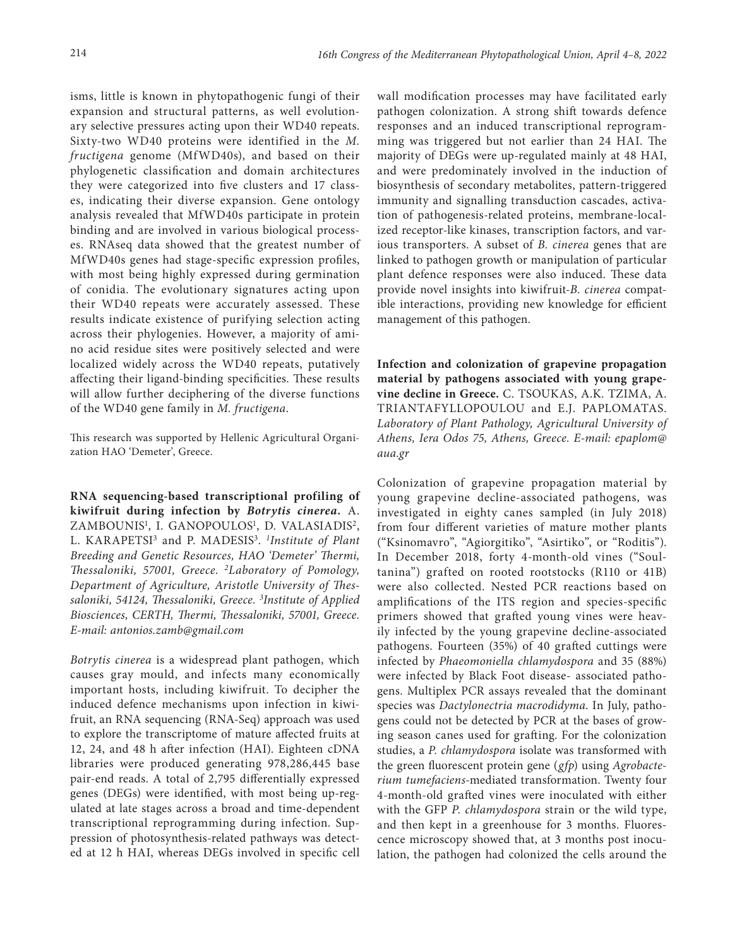isms, little is known in phytopathogenic fungi of their expansion and structural patterns, as well evolutionary selective pressures acting upon their WD40 repeats. Sixty-two WD40 proteins were identified in the *M. fructigena* genome (MfWD40s), and based on their phylogenetic classification and domain architectures they were categorized into five clusters and 17 classes, indicating their diverse expansion. Gene ontology analysis revealed that MfWD40s participate in protein binding and are involved in various biological processes. RNAseq data showed that the greatest number of MfWD40s genes had stage-specific expression profiles, with most being highly expressed during germination of conidia. The evolutionary signatures acting upon their WD40 repeats were accurately assessed. These results indicate existence of purifying selection acting across their phylogenies. However, a majority of amino acid residue sites were positively selected and were localized widely across the WD40 repeats, putatively affecting their ligand-binding specificities. These results will allow further deciphering of the diverse functions of the WD40 gene family in *M. fructigena*.

This research was supported by Hellenic Agricultural Organization HAO 'Demeter', Greece.

**RNA sequencing-based transcriptional profiling of kiwifruit during infection by** *Botrytis cinerea.* A. ZAMBOUNIS<sup>1</sup>, I. GANOPOULOS<sup>1</sup>, D. VALASIADIS<sup>2</sup>, L. KARAPETSI<sup>3</sup> and P. MADESIS<sup>3</sup>. *<sup>1</sup>Institute of Plant Breeding and Genetic Resources, HAO 'Demeter' Thermi, Thessaloniki, 57001, Greece. 2Laboratory of Pomology, Department of Agriculture, Aristotle University of Thessaloniki, 54124, Thessaloniki, Greece. 3 Institute of Applied Biosciences, CERTH, Thermi, Thessaloniki, 57001, Greece. E-mail: [antonios.zamb@gmail.com](mailto:antonios.zamb@gmail.com)*

*Botrytis cinerea* is a widespread plant pathogen, which causes gray mould, and infects many economically important hosts, including kiwifruit. To decipher the induced defence mechanisms upon infection in kiwifruit, an RNA sequencing (RNA-Seq) approach was used to explore the transcriptome of mature affected fruits at 12, 24, and 48 h after infection (HAI). Eighteen cDNA libraries were produced generating 978,286,445 base pair-end reads. A total of 2,795 differentially expressed genes (DEGs) were identified, with most being up-regulated at late stages across a broad and time-dependent transcriptional reprogramming during infection. Suppression of photosynthesis-related pathways was detected at 12 h HAI, whereas DEGs involved in specific cell

wall modification processes may have facilitated early pathogen colonization. A strong shift towards defence responses and an induced transcriptional reprogramming was triggered but not earlier than 24 HAI. The majority of DEGs were up-regulated mainly at 48 HAI, and were predominately involved in the induction of biosynthesis of secondary metabolites, pattern-triggered immunity and signalling transduction cascades, activation of pathogenesis-related proteins, membrane-localized receptor-like kinases, transcription factors, and various transporters. A subset of *B. cinerea* genes that are linked to pathogen growth or manipulation of particular plant defence responses were also induced. These data provide novel insights into kiwifruit-*B. cinerea* compatible interactions, providing new knowledge for efficient management of this pathogen.

**Infection and colonization of grapevine propagation material by pathogens associated with young grapevine decline in Greece.** C. TSOUKAS, A.K. TZIMA, A. TRIANTAFYLLOPOULOU and E.J. PAPLOMATAS. *Laboratory of Plant Pathology, Agricultural University of Athens, Iera Odos 75, Athens, Greece. E-mail: [epaplom@](mailto:epaplom@aua.gr) [aua.gr](mailto:epaplom@aua.gr)*

Colonization of grapevine propagation material by young grapevine decline-associated pathogens, was investigated in eighty canes sampled (in July 2018) from four different varieties of mature mother plants ("Ksinomavro", "Agiorgitiko", "Asirtiko", or "Roditis"). In December 2018, forty 4-month-old vines ("Soultanina") grafted on rooted rootstocks (R110 or 41B) were also collected. Nested PCR reactions based on amplifications of the ITS region and species-specific primers showed that grafted young vines were heavily infected by the young grapevine decline-associated pathogens. Fourteen (35%) of 40 grafted cuttings were infected by *Phaeomoniella chlamydospora* and 35 (88%) were infected by Black Foot disease- associated pathogens. Multiplex PCR assays revealed that the dominant species was *Dactylonectria macrodidyma*. In July, pathogens could not be detected by PCR at the bases of growing season canes used for grafting. For the colonization studies, a *P. chlamydospora* isolate was transformed with the green fluorescent protein gene (*gfp*) using *Agrobacterium tumefaciens*-mediated transformation. Twenty four 4-month-old grafted vines were inoculated with either with the GFP *P. chlamydospora* strain or the wild type, and then kept in a greenhouse for 3 months. Fluorescence microscopy showed that, at 3 months post inoculation, the pathogen had colonized the cells around the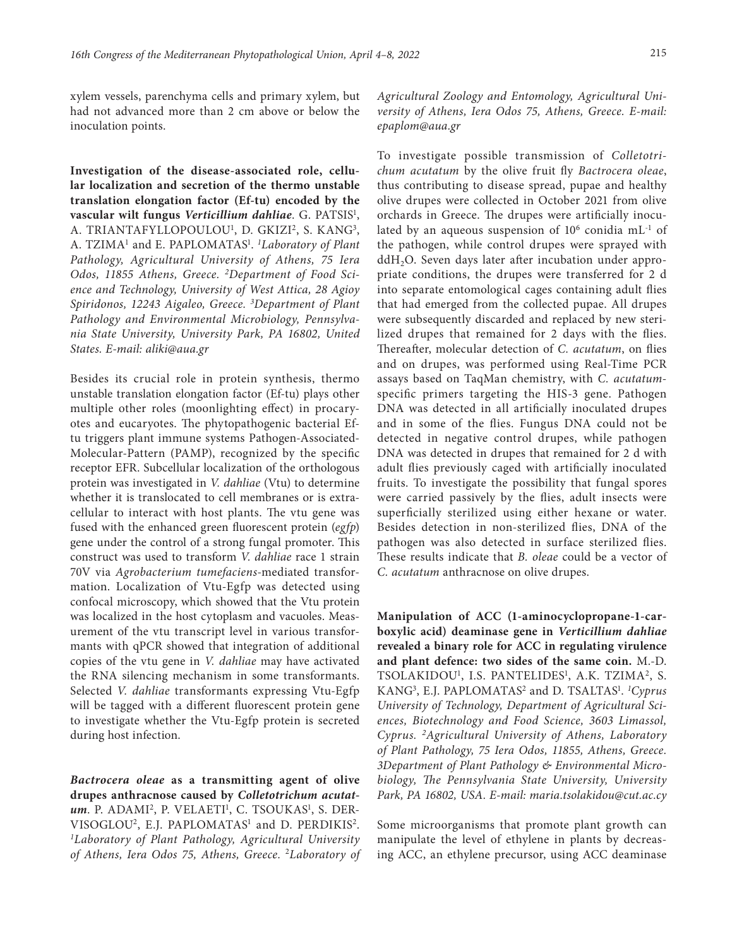xylem vessels, parenchyma cells and primary xylem, but had not advanced more than 2 cm above or below the inoculation points.

**Investigation of the disease-associated role, cellular localization and secretion of the thermo unstable translation elongation factor (Ef-tu) encoded by the vascular wilt fungus** *Verticillium dahliae*. G. PATSIS1 , A. TRIANTAFYLLOPOULOU<sup>1</sup>, D. GKIZI<sup>2</sup>, S. KANG<sup>3</sup>, A. TZIMA<sup>1</sup> and E. PAPLOMATAS<sup>1</sup>. *<sup>1</sup>Laboratory of Plant Pathology, Agricultural University of Athens, 75 Iera Odos, 11855 Athens, Greece. 2[Department of Food Sci](https://www.uniwa.gr/spoydes/scholes-kai-tmimata/ffs/fst/)[ence and Technology,](https://www.uniwa.gr/spoydes/scholes-kai-tmimata/ffs/fst/) University of West Attica, 28 Agioy Spiridonos, 12243 Aigaleo, Greece. 3 Department of Plant Pathology and Environmental Microbiology, [Pennsylva](https://scholar.google.com/citations?view_op=view_org&hl=en&org=380362116364043272)[nia State University](https://scholar.google.com/citations?view_op=view_org&hl=en&org=380362116364043272), University Park, PA 16802, United States. E-mail: [aliki@aua.gr](mailto:patsis.georgios@gmail.com)*

Besides its crucial role in protein synthesis, thermo unstable translation elongation factor (Ef-tu) plays other multiple other roles (moonlighting effect) in procaryotes and eucaryotes. The phytopathogenic bacterial Eftu triggers plant immune systems Pathogen-Associated-Molecular-Pattern (PAMP), recognized by the specific receptor EFR. Subcellular localization of the orthologous protein was investigated in *V. dahliae* (Vtu) to determine whether it is translocated to cell membranes or is extracellular to interact with host plants. The vtu gene was fused with the enhanced green fluorescent protein (*egfp*) gene under the control of a strong fungal promoter. This construct was used to transform *V. dahliae* race 1 strain 70V via *Agrobacterium tumefaciens*-mediated transformation. Localization of Vtu-Egfp was detected using confocal microscopy, which showed that the Vtu protein was localized in the host cytoplasm and vacuoles. Measurement of the vtu transcript level in various transformants with qPCR showed that integration of additional copies of the vtu gene in *V. dahliae* may have activated the RNA silencing mechanism in some transformants. Selected *V. dahliae* transformants expressing Vtu-Egfp will be tagged with a different fluorescent protein gene to investigate whether the Vtu-Egfp protein is secreted during host infection.

*Bactrocera oleae* **as a transmitting agent of olive drupes anthracnose caused by** *Colletotrichum acutat*um. P. ADAMI<sup>2</sup>, P. VELAETI<sup>1</sup>, C. TSOUKAS<sup>1</sup>, S. DER-VISOGLOU<sup>2</sup>, E.J. PAPLOMATAS<sup>1</sup> and D. PERDIKIS<sup>2</sup>. *1 Laboratory of Plant Pathology, Agricultural University of Athens, Iera Odos 75, Athens, Greece.* <sup>2</sup>*Laboratory of*  *Agricultural Zoology and Entomology, Agricultural University of Athens, Iera Odos 75, Athens, Greece. E-mail: [epaplom@aua.gr](mailto:epaplom@aua.gr)*

To investigate possible transmission of *Colletotrichum acutatum* by the olive fruit fly *Bactrocera oleae*, thus contributing to disease spread, pupae and healthy olive drupes were collected in October 2021 from olive orchards in Greece. The drupes were artificially inoculated by an aqueous suspension of  $10^6$  conidia mL<sup>-1</sup> of the pathogen, while control drupes were sprayed with  $ddH<sub>2</sub>O$ . Seven days later after incubation under appropriate conditions, the drupes were transferred for 2 d into separate entomological cages containing adult flies that had emerged from the collected pupae. All drupes were subsequently discarded and replaced by new sterilized drupes that remained for 2 days with the flies. Thereafter, molecular detection of *C. acutatum*, on flies and on drupes, was performed using Real-Time PCR assays based on TaqMan chemistry, with *C. acutatum*specific primers targeting the HIS-3 gene. Pathogen DNA was detected in all artificially inoculated drupes and in some of the flies. Fungus DNA could not be detected in negative control drupes, while pathogen DNA was detected in drupes that remained for 2 d with adult flies previously caged with artificially inoculated fruits. To investigate the possibility that fungal spores were carried passively by the flies, adult insects were superficially sterilized using either hexane or water. Besides detection in non-sterilized flies, DNA of the pathogen was also detected in surface sterilized flies. These results indicate that *B. oleae* could be a vector of *C. acutatum* anthracnose on olive drupes.

**Manipulation of ACC (1-aminocyclopropane-1-carboxylic acid) deaminase gene in** *Verticillium dahliae*  **revealed a binary role for ACC in regulating virulence and plant defence: two sides of the same coin.** M.-D. TSOLAKIDOU<sup>1</sup>, I.S. PANTELIDES<sup>1</sup>, A.K. TZIMA<sup>2</sup>, S. KANG<sup>3</sup>, E.J. PAPLOMATAS<sup>2</sup> and D. TSALTAS<sup>1</sup>. <sup>1</sup>Cyprus *University of Technology, Department of Agricultural Sciences, Biotechnology and Food Science, 3603 Limassol, Cyprus. 2Agricultural University of Athens, Laboratory of Plant Pathology, 75 Iera Odos, 11855, Athens, Greece. 3Department of Plant Pathology & Environmental Microbiology, The Pennsylvania State University, University Park, PA 16802, USA. E-mail: [maria.tsolakidou@cut.ac.cy](mailto:maria.tsolakidou@cut.ac.cy)*

Some microorganisms that promote plant growth can manipulate the level of ethylene in plants by decreasing ACC, an ethylene precursor, using ACC deaminase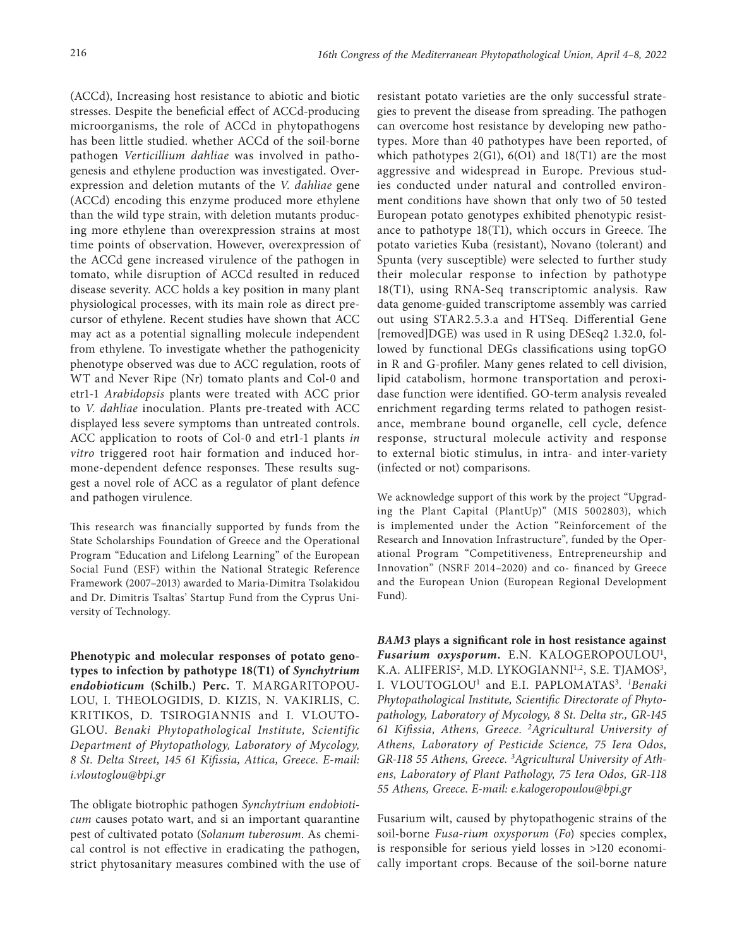(ACCd), Increasing host resistance to abiotic and biotic stresses. Despite the beneficial effect of ACCd-producing microorganisms, the role of ACCd in phytopathogens has been little studied. whether ACCd of the soil-borne pathogen *Verticillium dahliae* was involved in pathogenesis and ethylene production was investigated. Overexpression and deletion mutants of the *V. dahliae* gene (ACCd) encoding this enzyme produced more ethylene than the wild type strain, with deletion mutants producing more ethylene than overexpression strains at most time points of observation. However, overexpression of the ACCd gene increased virulence of the pathogen in tomato, while disruption of ACCd resulted in reduced disease severity. ACC holds a key position in many plant physiological processes, with its main role as direct precursor of ethylene. Recent studies have shown that ACC may act as a potential signalling molecule independent from ethylene. To investigate whether the pathogenicity phenotype observed was due to ACC regulation, roots of WT and Never Ripe (Nr) tomato plants and Col-0 and etr1-1 *Arabidopsis* plants were treated with ACC prior to *V. dahliae* inoculation. Plants pre-treated with ACC displayed less severe symptoms than untreated controls. ACC application to roots of Col-0 and etr1-1 plants *in vitro* triggered root hair formation and induced hormone-dependent defence responses. These results suggest a novel role of ACC as a regulator of plant defence and pathogen virulence.

This research was financially supported by funds from the State Scholarships Foundation of Greece and the Operational Program "Education and Lifelong Learning" of the European Social Fund (ESF) within the National Strategic Reference Framework (2007–2013) awarded to Maria-Dimitra Tsolakidou and Dr. Dimitris Tsaltas' Startup Fund from the Cyprus University of Technology.

**Phenotypic and molecular responses of potato genotypes to infection by pathotype 18(T1) of** *Synchytrium endobioticum* **(Schilb.) Perc.** T. MARGARITOPOU-LOU, I. THEOLOGIDIS, D. KIZIS, N. VAKIRLIS, C. KRITIKOS, D. TSIROGIANNIS and I. VLOUTO-GLOU. *Benaki Phytopathological Institute, Scientific Department of Phytopathology, Laboratory of Mycology, 8 St. Delta Street, 145 61 Kifissia, Attica, Greece. E-mail: [i.vloutoglou@bpi.gr](mailto:i.vloutoglou@bpi.gr)*

The obligate biotrophic pathogen *Synchytrium endobioticum* causes potato wart, and si an important quarantine pest of cultivated potato (*Solanum tuberosum*. As chemical control is not effective in eradicating the pathogen, strict phytosanitary measures combined with the use of

resistant potato varieties are the only successful strategies to prevent the disease from spreading. The pathogen can overcome host resistance by developing new pathotypes. More than 40 pathotypes have been reported, of which pathotypes  $2(G1)$ ,  $6(O1)$  and  $18(T1)$  are the most aggressive and widespread in Europe. Previous studies conducted under natural and controlled environment conditions have shown that only two of 50 tested European potato genotypes exhibited phenotypic resistance to pathotype 18(T1), which occurs in Greece. The potato varieties Kuba (resistant), Novano (tolerant) and Spunta (very susceptible) were selected to further study their molecular response to infection by pathotype 18(T1), using RNA-Seq transcriptomic analysis. Raw data genome-guided transcriptome assembly was carried out using STAR2.5.3.a and HTSeq. Differential Gene [removed]DGE) was used in R using DESeq2 1.32.0, followed by functional DEGs classifications using topGO in R and G-profiler. Many genes related to cell division, lipid catabolism, hormone transportation and peroxidase function were identified. GO-term analysis revealed enrichment regarding terms related to pathogen resistance, membrane bound organelle, cell cycle, defence response, structural molecule activity and response to external biotic stimulus, in intra- and inter-variety (infected or not) comparisons.

We acknowledge support of this work by the project "Upgrading the Plant Capital (PlantUp)" (MIS 5002803), which is implemented under the Action "Reinforcement of the Research and Innovation Infrastructure", funded by the Operational Program "Competitiveness, Entrepreneurship and Innovation" (NSRF 2014–2020) and co- financed by Greece and the European Union (European Regional Development Fund).

*BAM3* **plays a significant role in host resistance against**  *Fusarium oxysporum.* E.N. KALOGEROPOULOU1, K.A. ALIFERIS<sup>2</sup>, M.D. LYKOGIANNI<sup>1,2</sup>, S.E. TJAMOS<sup>3</sup>, I. VLOUTOGLOU1 and E.I. PAPLOMATAS3. *<sup>1</sup> Benaki Phytopathological Institute, Scientific Directorate of Phytopathology, Laboratory of Mycology, 8 St. Delta str., GR-145 61 Kifissia, Athens, Greece. 2Agricultural University of Athens, Laboratory of Pesticide Science, 75 Iera Odos,*  GR-118 55 Athens, Greece. <sup>3</sup>Agricultural University of Ath*ens, Laboratory of Plant Pathology, 75 Iera Odos, GR-118 55 Athens, Greece. E-mail: [e.kalogeropoulou@bpi.gr](mailto:e.kalogeropoulou@bpi.gr)*

Fusarium wilt, caused by phytopathogenic strains of the soil-borne *Fusa-rium oxysporum* (*Fo*) species complex, is responsible for serious yield losses in >120 economically important crops. Because of the soil-borne nature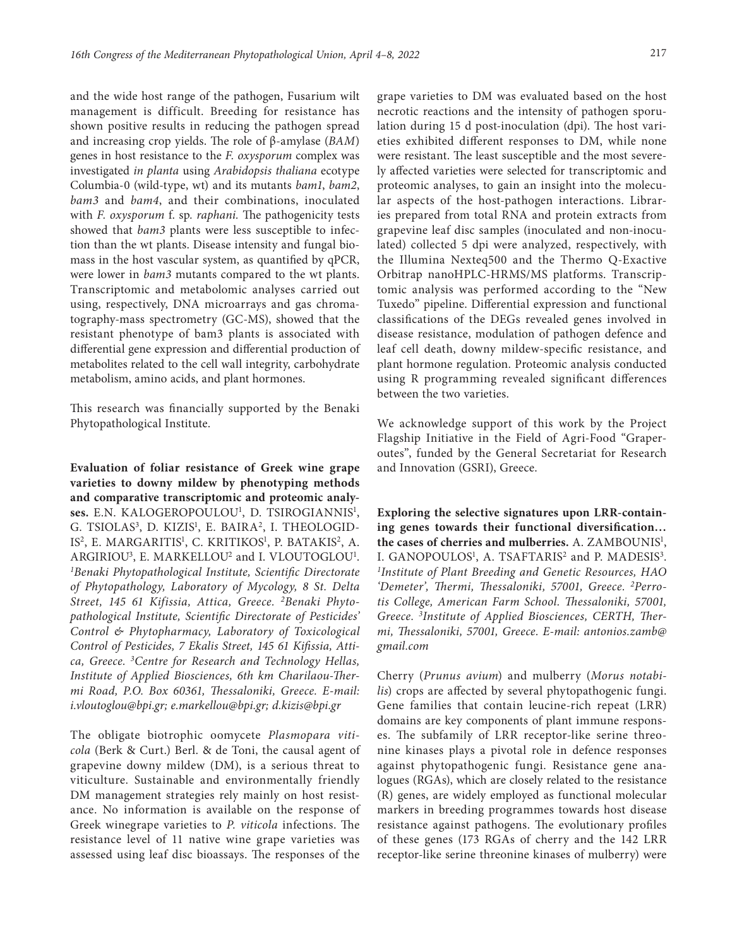and the wide host range of the pathogen, Fusarium wilt management is difficult. Breeding for resistance has shown positive results in reducing the pathogen spread and increasing crop yields. The role of β-amylase (*BAM*) genes in host resistance to the *F. oxysporum* complex was investigated *in planta* using *Arabidopsis thaliana* ecotype Columbia-0 (wild-type, wt) and its mutants *bam1*, *bam2*, *bam3* and *bam4*, and their combinations, inoculated with *F. oxysporum* f. sp*. raphani.* The pathogenicity tests showed that *bam3* plants were less susceptible to infection than the wt plants. Disease intensity and fungal biomass in the host vascular system, as quantified by qPCR, were lower in *bam3* mutants compared to the wt plants. Τranscriptomic and metabolomic analyses carried out using, respectively, DNA microarrays and gas chromatography-mass spectrometry (GC-MS), showed that the resistant phenotype of bam3 plants is associated with differential gene expression and differential production of metabolites related to the cell wall integrity, carbohydrate metabolism, amino acids, and plant hormones.

This research was financially supported by the Benaki Phytopathological Institute.

**Evaluation of foliar resistance of Greek wine grape varieties to downy mildew by phenotyping methods and comparative transcriptomic and proteomic analyses.** E.N. KALOGEROPOULOU1 , D. TSIROGIANNIS1 , G. TSIOLAS<sup>3</sup>, D. KIZIS<sup>1</sup>, E. BAIRA<sup>2</sup>, I. THEOLOGID-IS<sup>2</sup>, E. MARGARITIS<sup>1</sup>, C. KRITIKOS<sup>1</sup>, P. BATAKIS<sup>2</sup>, A. ARGIRIOU<sup>3</sup>, E. MARKELLOU<sup>2</sup> and I. VLOUTOGLOU<sup>1</sup>. *1 Benaki Phytopathological Institute, Scientific Directorate of Phytopathology, Laboratory of Mycology, 8 St. Delta Street, 145 61 Kifissia, Attica, Greece. 2Benaki Phytopathological Institute, Scientific Directorate of Pesticides' Control & Phytopharmacy, Laboratory of Toxicological Control of Pesticides, 7 Ekalis Street, 145 61 Kifissia, Attica, Greece. 3Centre for Research and Technology Hellas, Institute of Applied Biosciences, 6th km Charilaou-Thermi Road, P.O. Box 60361, Thessaloniki, Greece. E-mail: [i.vloutoglou@bpi.gr](mailto:i.vloutoglou@bpi.gr)[; e.markellou@bpi.gr;](mailto:e.markellou@bpi.gr) [d.kizis@bpi.gr](mailto:d.kizis@bpi.gr)*

The obligate biotrophic oomycete *Plasmopara viticola* (Berk & Curt.) Berl. & de Toni, the causal agent of grapevine downy mildew (DM), is a serious threat to viticulture. Sustainable and environmentally friendly DM management strategies rely mainly on host resistance. No information is available on the response of Greek winegrape varieties to *P. viticola* infections. The resistance level of 11 native wine grape varieties was assessed using leaf disc bioassays. The responses of the

grape varieties to DM was evaluated based on the host necrotic reactions and the intensity of pathogen sporulation during 15 d post-inoculation (dpi). The host varieties exhibited different responses to DM, while none were resistant. The least susceptible and the most severely affected varieties were selected for transcriptomic and proteomic analyses, to gain an insight into the molecular aspects of the host-pathogen interactions. Libraries prepared from total RNA and protein extracts from grapevine leaf disc samples (inoculated and non-inoculated) collected 5 dpi were analyzed, respectively, with the Illumina Nexteq500 and the Thermo Q-Exactive Orbitrap nanoHPLC-HRMS/MS platforms. Transcriptomic analysis was performed according to the "New Tuxedo" pipeline. Differential expression and functional classifications of the DEGs revealed genes involved in disease resistance, modulation of pathogen defence and leaf cell death, downy mildew-specific resistance, and plant hormone regulation. Proteomic analysis conducted using R programming revealed significant differences between the two varieties.

We acknowledge support of this work by the Project Flagship Initiative in the Field of Agri-Food "Graperoutes", funded by the General Secretariat for Research and Innovation (GSRI), Greece.

**Exploring the selective signatures upon LRR-containing genes towards their functional diversification…**  the cases of cherries and mulberries. A. ZAMBOUNIS<sup>1</sup>, I. GANOPOULOS<sup>1</sup>, A. TSAFTARIS<sup>2</sup> and P. MADESIS<sup>3</sup>. *1 Institute of Plant Breeding and Genetic Resources, HAO 'Demeter', Thermi, Thessaloniki, 57001, Greece. 2Perrotis College, American Farm School. Thessaloniki, 57001, Greece. 3 Institute of Applied Biosciences, CERTH, Thermi, Thessaloniki, 57001, Greece. E-mail: [antonios.zamb@](mailto:antonios.zamb@gmail.com) [gmail.com](mailto:antonios.zamb@gmail.com)*

Cherry (*Prunus avium*) and mulberry (*Morus notabilis*) crops are affected by several phytopathogenic fungi. Gene families that contain leucine-rich repeat (LRR) domains are key components of plant immune responses. The subfamily of LRR receptor-like serine threonine kinases plays a pivotal role in defence responses against phytopathogenic fungi. Resistance gene analogues (RGAs), which are closely related to the resistance (R) genes, are widely employed as functional molecular markers in breeding programmes towards host disease resistance against pathogens. The evolutionary profiles of these genes (173 RGAs of cherry and the 142 LRR receptor-like serine threonine kinases of mulberry) were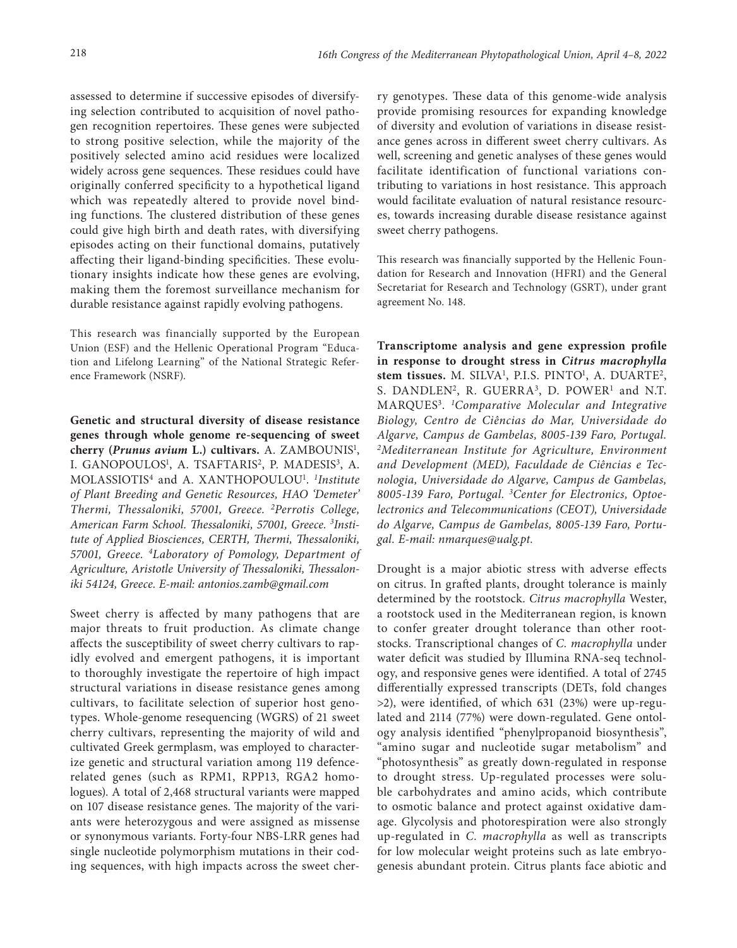assessed to determine if successive episodes of diversifying selection contributed to acquisition of novel pathogen recognition repertoires. These genes were subjected to strong positive selection, while the majority of the positively selected amino acid residues were localized widely across gene sequences. These residues could have originally conferred specificity to a hypothetical ligand which was repeatedly altered to provide novel binding functions. The clustered distribution of these genes could give high birth and death rates, with diversifying episodes acting on their functional domains, putatively affecting their ligand-binding specificities. These evolutionary insights indicate how these genes are evolving, making them the foremost surveillance mechanism for durable resistance against rapidly evolving pathogens.

This research was financially supported by the European Union (ESF) and the Hellenic Operational Program "Education and Lifelong Learning" of the National Strategic Reference Framework (NSRF).

**Genetic and structural diversity of disease resistance genes through whole genome re-sequencing of sweet**  cherry (Prunus avium L.) cultivars. A. ZAMBOUNIS<sup>1</sup>, I. GANOPOULOS<sup>1</sup>, A. TSAFTARIS<sup>2</sup>, P. MADESIS<sup>3</sup>, A. MOLASSIOTIS4 and A. XANTHOPOULOU1 . *1 Institute of Plant Breeding and Genetic Resources, HAO 'Demeter' Thermi, Thessaloniki, 57001, Greece. 2Perrotis College, American Farm School. Thessaloniki, 57001, Greece. 3 Institute of Applied Biosciences, CERTH, Thermi, Thessaloniki, 57001, Greece. 4Laboratory of Pomology, Department of Agriculture, Aristotle University of Thessaloniki, Thessaloniki 54124, Greece. E-mail: [antonios.zamb@gmail.com](mailto:antonios.zamb@gmail.com)*

Sweet cherry is affected by many pathogens that are major threats to fruit production. As climate change affects the susceptibility of sweet cherry cultivars to rapidly evolved and emergent pathogens, it is important to thoroughly investigate the repertoire of high impact structural variations in disease resistance genes among cultivars, to facilitate selection of superior host genotypes. Whole-genome resequencing (WGRS) of 21 sweet cherry cultivars, representing the majority of wild and cultivated Greek germplasm, was employed to characterize genetic and structural variation among 119 defencerelated genes (such as RPM1, RPP13, RGA2 homologues). A total of 2,468 structural variants were mapped on 107 disease resistance genes. The majority of the variants were heterozygous and were assigned as missense or synonymous variants. Forty-four NBS-LRR genes had single nucleotide polymorphism mutations in their coding sequences, with high impacts across the sweet cherry genotypes. These data of this genome-wide analysis provide promising resources for expanding knowledge of diversity and evolution of variations in disease resistance genes across in different sweet cherry cultivars. As well, screening and genetic analyses of these genes would facilitate identification of functional variations contributing to variations in host resistance. This approach would facilitate evaluation of natural resistance resources, towards increasing durable disease resistance against sweet cherry pathogens.

This research was financially supported by the Hellenic Foundation for Research and Innovation (HFRI) and the General Secretariat for Research and Technology (GSRT), under grant agreement No. 148.

**Transcriptome analysis and gene expression profile in response to drought stress in** *Citrus macrophylla*  stem tissues. M. SILVA<sup>1</sup>, P.I.S. PINTO<sup>1</sup>, A. DUARTE<sup>2</sup>, S. DANDLEN<sup>2</sup>, R. GUERRA<sup>3</sup>, D. POWER<sup>1</sup> and N.T. MARQUES3. *<sup>1</sup> Comparative Molecular and Integrative Biology, Centro de Ciências do Mar, Universidade do Algarve, Campus de Gambelas, 8005-139 Faro, Portugal. 2Mediterranean Institute for Agriculture, Environment and Development (MED), Faculdade de Ciências e Tecnologia, Universidade do Algarve, Campus de Gambelas, 8005-139 Faro, Portugal. 3Center for Electronics, Optoelectronics and Telecommunications (CEOT), Universidade do Algarve, Campus de Gambelas, 8005-139 Faro, Portugal. E-mail: [nmarques@ualg.pt.](mailto:nmarques@ualg.pt)*

Drought is a major abiotic stress with adverse effects on citrus. In grafted plants, drought tolerance is mainly determined by the rootstock. *Citrus macrophylla* Wester, a rootstock used in the Mediterranean region, is known to confer greater drought tolerance than other rootstocks. Transcriptional changes of *C. macrophylla* under water deficit was studied by Illumina RNA-seq technology, and responsive genes were identified. A total of 2745 differentially expressed transcripts (DETs, fold changes >2), were identified, of which 631 (23%) were up-regulated and 2114 (77%) were down-regulated. Gene ontology analysis identified "phenylpropanoid biosynthesis", "amino sugar and nucleotide sugar metabolism" and "photosynthesis" as greatly down-regulated in response to drought stress. Up-regulated processes were soluble carbohydrates and amino acids, which contribute to osmotic balance and protect against oxidative damage. Glycolysis and photorespiration were also strongly up-regulated in *C. macrophylla* as well as transcripts for low molecular weight proteins such as late embryogenesis abundant protein. Citrus plants face abiotic and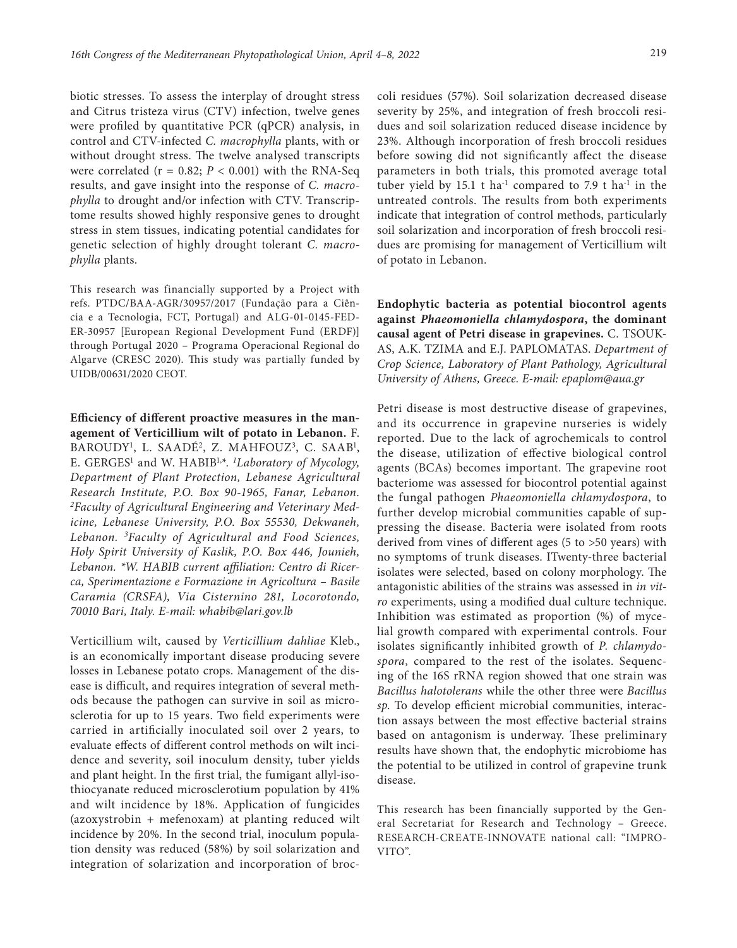biotic stresses. To assess the interplay of drought stress and Citrus tristeza virus (CTV) infection, twelve genes were profiled by quantitative PCR (qPCR) analysis, in control and CTV-infected *C. macrophylla* plants, with or without drought stress. The twelve analysed transcripts were correlated ( $r = 0.82$ ;  $P < 0.001$ ) with the RNA-Seq results, and gave insight into the response of *C. macrophylla* to drought and/or infection with CTV. Transcriptome results showed highly responsive genes to drought stress in stem tissues, indicating potential candidates for genetic selection of highly drought tolerant *C. macrophylla* plants.

This research was financially supported by a Project with refs. PTDC/BAA-AGR/30957/2017 (Fundação para a Ciência e a Tecnologia, FCT, Portugal) and ALG-01-0145-FED-ER-30957 [European Regional Development Fund (ERDF)] through Portugal 2020 – Programa Operacional Regional do Algarve (CRESC 2020). This study was partially funded by UIDB/00631/2020 CEOT.

**Efficiency of different proactive measures in the management of Verticillium wilt of potato in Lebanon.** F. BAROUDY<sup>1</sup>, L. SAADÉ<sup>2</sup>, Z. MAHFOUZ<sup>3</sup>, C. SAAB<sup>1</sup>, E. GERGES<sup>1</sup> and W. HABIB<sup>1,\*</sup>. *<sup>1</sup>Laboratory of Mycology*, *Department of Plant Protection, Lebanese Agricultural Research Institute, P.O. Box 90-1965, Fanar, Lebanon. 2 Faculty of Agricultural Engineering and Veterinary Medicine, Lebanese University, P.O. Box 55530, Dekwaneh, Lebanon. 3Faculty of Agricultural and Food Sciences, Holy Spirit University of Kaslik, P.O. Box 446, Jounieh, Lebanon. \*W. HABIB current affiliation: Centro di Ricerca, Sperimentazione e Formazione in Agricoltura – Basile Caramia (CRSFA), Via Cisternino 281, Locorotondo, 70010 Bari, Italy. E-mail: whabib@lari.gov.lb*

Verticillium wilt, caused by *Verticillium dahliae* Kleb., is an economically important disease producing severe losses in Lebanese potato crops. Management of the disease is difficult, and requires integration of several methods because the pathogen can survive in soil as microsclerotia for up to 15 years. Two field experiments were carried in artificially inoculated soil over 2 years, to evaluate effects of different control methods on wilt incidence and severity, soil inoculum density, tuber yields and plant height. In the first trial, the fumigant allyl-isothiocyanate reduced microsclerotium population by 41% and wilt incidence by 18%. Application of fungicides (azoxystrobin + mefenoxam) at planting reduced wilt incidence by 20%. In the second trial, inoculum population density was reduced (58%) by soil solarization and integration of solarization and incorporation of broccoli residues (57%). Soil solarization decreased disease severity by 25%, and integration of fresh broccoli residues and soil solarization reduced disease incidence by 23%. Although incorporation of fresh broccoli residues before sowing did not significantly affect the disease parameters in both trials, this promoted average total tuber yield by 15.1 t ha<sup>-1</sup> compared to 7.9 t ha<sup>-1</sup> in the untreated controls. The results from both experiments indicate that integration of control methods, particularly soil solarization and incorporation of fresh broccoli residues are promising for management of Verticillium wilt of potato in Lebanon.

**Endophytic bacteria as potential biocontrol agents against** *Phaeomoniella chlamydospora***, the dominant causal agent of Petri disease in grapevines.** C. TSOUK-AS, A.K. TZIMA and E.J. PAPLOMATAS. *Department of Crop Science, Laboratory of Plant Pathology, Agricultural University of Athens, Greece. E-mail: [epaplom@aua.gr](mailto:epaplom@aua.gr)*

Petri disease is most destructive disease of grapevines, and its occurrence in grapevine nurseries is widely reported. Due to the lack of agrochemicals to control the disease, utilization of effective biological control agents (BCAs) becomes important. The grapevine root bacteriome was assessed for biocontrol potential against the fungal pathogen *Phaeomoniella chlamydospora*, to further develop microbial communities capable of suppressing the disease. Bacteria were isolated from roots derived from vines of different ages (5 to >50 years) with no symptoms of trunk diseases. ITwenty-three bacterial isolates were selected, based on colony morphology. The antagonistic abilities of the strains was assessed in *in vitro* experiments, using a modified dual culture technique. Inhibition was estimated as proportion (%) of mycelial growth compared with experimental controls. Four isolates significantly inhibited growth of *P. chlamydospora*, compared to the rest of the isolates. Sequencing of the 16S rRNA region showed that one strain was *Bacillus halotolerans* while the other three were *Bacillus sp*. To develop efficient microbial communities, interaction assays between the most effective bacterial strains based on antagonism is underway. These preliminary results have shown that, the endophytic microbiome has the potential to be utilized in control of grapevine trunk disease.

This research has been financially supported by the General Secretariat for Research and Technology – Greece. RESEARCH-CREATE-INNOVATE national call: "IMPRO-VITO".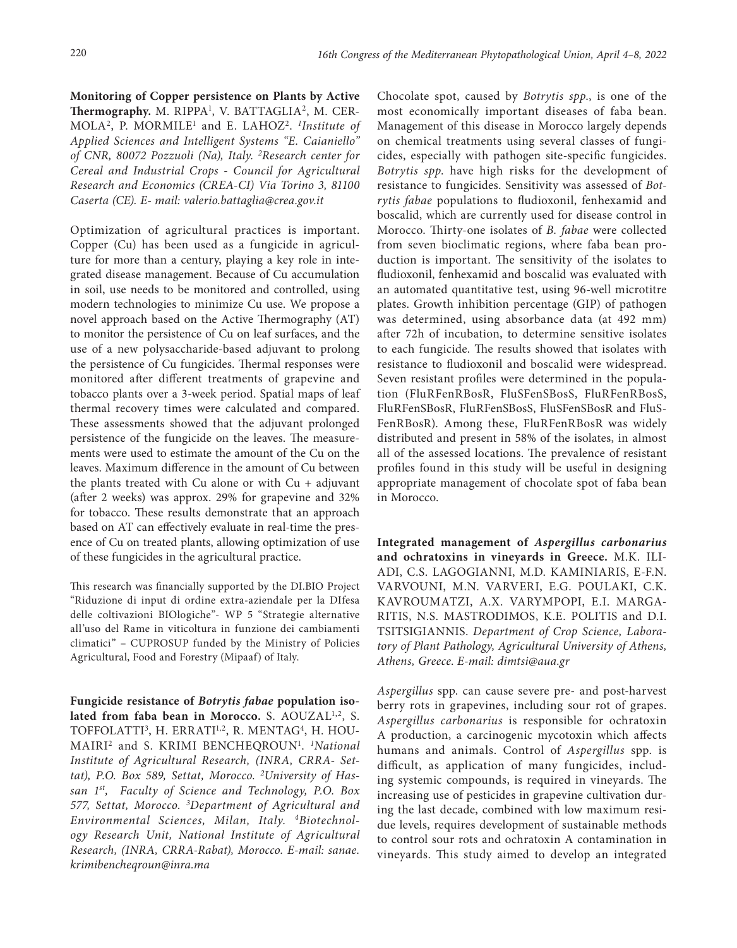**Monitoring of Copper persistence on Plants by Active Thermography.** M. RIPPA<sup>1</sup>, V. BATTAGLIA<sup>2</sup>, M. CER-MOLA2, P. MORMILE1 and E. LAHOZ2. *<sup>1</sup> Institute of Applied Sciences and Intelligent Systems "E. Caianiello" of CNR, 80072 Pozzuoli (Na), Italy. 2Research center for Cereal and Industrial Crops - Council for Agricultural Research and Economics (CREA-CI) Via Torino 3, 81100 Caserta (CE). E- mail: [valerio.battaglia@crea.gov.it](mailto:valerio.battaglia@crea.gov.it)*

Optimization of agricultural practices is important. Copper (Cu) has been used as a fungicide in agriculture for more than a century, playing a key role in integrated disease management. Because of Cu accumulation in soil, use needs to be monitored and controlled, using modern technologies to minimize Cu use. We propose a novel approach based on the Active Thermography (AT) to monitor the persistence of Cu on leaf surfaces, and the use of a new polysaccharide-based adjuvant to prolong the persistence of Cu fungicides. Thermal responses were monitored after different treatments of grapevine and tobacco plants over a 3-week period. Spatial maps of leaf thermal recovery times were calculated and compared. These assessments showed that the adjuvant prolonged persistence of the fungicide on the leaves. The measurements were used to estimate the amount of the Cu on the leaves. Maximum difference in the amount of Cu between the plants treated with Cu alone or with  $Cu +$  adjuvant (after 2 weeks) was approx. 29% for grapevine and 32% for tobacco. These results demonstrate that an approach based on AT can effectively evaluate in real-time the presence of Cu on treated plants, allowing optimization of use of these fungicides in the agricultural practice.

This research was financially supported by the DI.BIO Project "Riduzione di input di ordine extra-aziendale per la DIfesa delle coltivazioni BIOlogiche"- WP 5 "Strategie alternative all'uso del Rame in viticoltura in funzione dei cambiamenti climatici" – CUPROSUP funded by the Ministry of Policies Agricultural, Food and Forestry (Mipaaf) of Italy.

**Fungicide resistance of** *Botrytis fabae* **population isolated from faba bean in Morocco.** S. AOUZAL1**,**2, S. TOFFOLATTI<sup>3</sup>, H. ERRATI<sup>1,2</sup>, R. MENTAG<sup>4</sup>, H. HOU-MAIRI2 and S. KRIMI BENCHEQROUN1 . *1National Institute of Agricultural Research, (INRA, CRRA- Settat), P.O. Box 589, Settat, Morocco. 2 University of Hassan 1st, Faculty of Science and Technology, P.O. Box 577, Settat, Morocco. 3 Department of Agricultural and Environmental Sciences, Milan, Italy. 4Biotechnology Research Unit, National Institute of Agricultural Research, (INRA, CRRA-Rabat), Morocco. E-mail: [sanae.](mailto:sanae.krimibencheqroun@inra.ma) [krimibencheqroun@inra.ma](mailto:sanae.krimibencheqroun@inra.ma)*

Chocolate spot, caused by *Botrytis spp*., is one of the most economically important diseases of faba bean. Management of this disease in Morocco largely depends on chemical treatments using several classes of fungicides, especially with pathogen site-specific fungicides. *Botrytis spp*. have high risks for the development of resistance to fungicides. Sensitivity was assessed of *Botrytis fabae* populations to fludioxonil, fenhexamid and boscalid, which are currently used for disease control in Morocco. Thirty-one isolates of *B. fabae* were collected from seven bioclimatic regions, where faba bean production is important. The sensitivity of the isolates to fludioxonil, fenhexamid and boscalid was evaluated with an automated quantitative test, using 96-well microtitre plates. Growth inhibition percentage (GIP) of pathogen was determined, using absorbance data (at 492 mm) after 72h of incubation, to determine sensitive isolates to each fungicide. The results showed that isolates with resistance to fludioxonil and boscalid were widespread. Seven resistant profiles were determined in the population (FluRFenRBosR, FluSFenSBosS, FluRFenRBosS, FluRFenSBosR, FluRFenSBosS, FluSFenSBosR and FluS-FenRBosR). Among these, FluRFenRBosR was widely distributed and present in 58% of the isolates, in almost all of the assessed locations. The prevalence of resistant profiles found in this study will be useful in designing appropriate management of chocolate spot of faba bean in Morocco.

**Ιntegrated management of** *Aspergillus carbonarius*  **and ochratoxins in vineyards in Greece.** M.K. ILI-ADI, C.S. LAGOGIANNI, M.D. KAMINIARIS, E-F.N. VARVOUNI, M.N. VARVERI, E.G. POULAKI, C.K. KAVROUMATZI, A.X. VARYMPOPI, E.I. MARGA-RITIS, N.S. MASTRODIMOS, K.E. POLITIS and D.I. TSITSIGIANNIS. *Department of Crop Science, Laboratory of Plant Pathology, Agricultural University of Athens, Athens, Greece*. *E-mail: [dimtsi@aua.gr](mailto:dimtsi@aua.gr)*

*Aspergillus* spp. can cause severe pre- and post-harvest berry rots in grapevines, including sour rot of grapes. *Aspergillus carbonarius* is responsible for ochratoxin A production, a carcinogenic mycotoxin which affects humans and animals. Control of *Aspergillus* spp. is difficult, as application of many fungicides, including systemic compounds, is required in vineyards. The increasing use of pesticides in grapevine cultivation during the last decade, combined with low maximum residue levels, requires development of sustainable methods to control sour rots and ochratoxin A contamination in vineyards. This study aimed to develop an integrated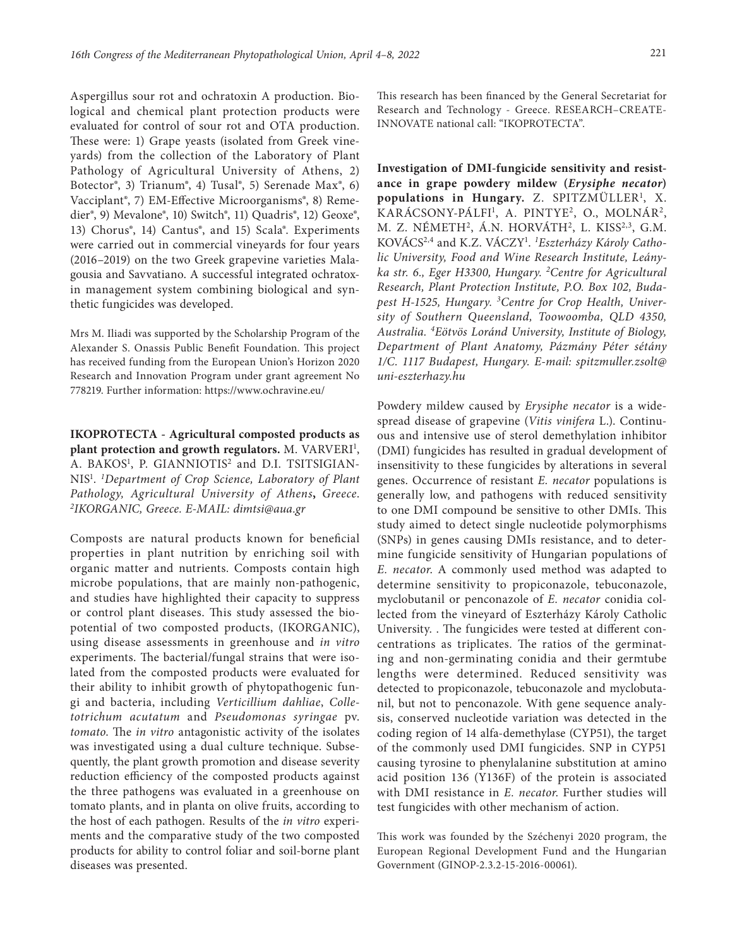Aspergillus sour rot and ochratoxin A production. Biological and chemical plant protection products were evaluated for control of sour rot and OTA production. These were: 1) Grape yeasts (isolated from Greek vineyards) from the collection of the Laboratory of Plant Pathology of Agricultural University of Athens, 2) Botector®, 3) Trianum®, 4) Tusal®, 5) Serenade Max®, 6) Vacciplant®, 7) EM-Effective Microorganisms®, 8) Remedier®, 9) Mevalone®, 10) Switch®, 11) Quadris®, 12) Geoxe®, 13) Chorus®, 14) Cantus®, and 15) Scala®. Experiments were carried out in commercial vineyards for four years (2016–2019) on the two Greek grapevine varieties Malagousia and Savvatiano. A successful integrated ochratoxin management system combining biological and synthetic fungicides was developed.

Mrs M. Iliadi was supported by the Scholarship Program of the Alexander S. Onassis Public Benefit Foundation. This project has received funding from the European Union's Horizon 2020 Research and Innovation Program under grant agreement No 778219. Further information: https:/[/www.ochravine.eu/](http://www.ochravine.eu/)

**IKOPROTECTA - Agricultural composted products as**  plant protection and growth regulators. M. VARVERI<sup>1</sup>, A. BAKOS<sup>1</sup>, P. GIANNIOTIS<sup>2</sup> and D.I. TSITSIGIAN-NIS1 . *1 Department of Crop Science, Laboratory of Plant Pathology, Agricultural University of Athens***,** *Greece*. *2 IKORGANIC, Greece. E-MAIL: [dimtsi@aua.gr](mailto:dimtsi@aua.gr)*

Composts are natural products known for beneficial properties in plant nutrition by enriching soil with organic matter and nutrients. Composts contain high microbe populations, that are mainly non-pathogenic, and studies have highlighted their capacity to suppress or control plant diseases. This study assessed the biopotential of two composted products, (IKORGANIC), using disease assessments in greenhouse and *in vitro* experiments. The bacterial/fungal strains that were isolated from the composted products were evaluated for their ability to inhibit growth of phytopathogenic fungi and bacteria, including *Verticillium dahliae*, *Colletotrichum acutatum* and *Pseudomonas syringae* pv. *tomato*. The *in vitro* antagonistic activity of the isolates was investigated using a dual culture technique. Subsequently, the plant growth promotion and disease severity reduction efficiency of the composted products against the three pathogens was evaluated in a greenhouse on tomato plants, and in planta on olive fruits, according to the host of each pathogen. Results of the *in vitro* experiments and the comparative study of the two composted products for ability to control foliar and soil-borne plant diseases was presented.

This research has been financed by the General Secretariat for Research and Technology - Greece. RESEARCH–CREATE-INNOVATE national call: "IKOPROTECTA".

**Investigation of DMI-fungicide sensitivity and resistance in grape powdery mildew (***Erysiphe necator***)**  populations in Hungary. Z. SPITZMÜLLER<sup>1</sup>, X. KARÁCSONY-PÁLFI<sup>1</sup>, A. PINTYE<sup>2</sup>, O., MOLNÁR<sup>2</sup>, M. Z. NÉMETH<sup>2</sup>, Á.N. HORVÁTH<sup>2</sup>, L. KISS<sup>2,3</sup>, G.M. KOVÁCS2,4 and K.Z. VÁCZY1 . *1 Eszterházy Károly Catholic University, Food and Wine Research Institute, Leányka str. 6., Eger H3300, Hungary. 2Centre for Agricultural Research, Plant Protection Institute, P.O. Box 102, Budapest H-1525, Hungary. 3Centre for Crop Health, University of Southern Queensland, Toowoomba, QLD 4350, Australia. 4Eötvös Loránd University, Institute of Biology, Department of Plant Anatomy, Pázmány Péter sétány 1/C. 1117 Budapest, Hungary. E-mail: [spitzmuller.zsolt@](mailto:spitzmuller.zsolt@uni-eszterhazy.hu) [uni-eszterhazy.hu](mailto:spitzmuller.zsolt@uni-eszterhazy.hu)*

Powdery mildew caused by *Erysiphe necator* is a widespread disease of grapevine (*Vitis vinifera* L.). Continuous and intensive use of sterol demethylation inhibitor (DMI) fungicides has resulted in gradual development of insensitivity to these fungicides by alterations in several genes. Occurrence of resistant *E. necator* populations is generally low, and pathogens with reduced sensitivity to one DMI compound be sensitive to other DMIs. This study aimed to detect single nucleotide polymorphisms (SNPs) in genes causing DMIs resistance, and to determine fungicide sensitivity of Hungarian populations of *E. necator*. A commonly used method was adapted to determine sensitivity to propiconazole, tebuconazole, myclobutanil or penconazole of *E. necator* conidia collected from the vineyard of Eszterházy Károly Catholic University. . The fungicides were tested at different concentrations as triplicates. The ratios of the germinating and non-germinating conidia and their germtube lengths were determined. Reduced sensitivity was detected to propiconazole, tebuconazole and myclobutanil, but not to penconazole. With gene sequence analysis, conserved nucleotide variation was detected in the coding region of 14 alfa-demethylase (CYP51), the target of the commonly used DMI fungicides. SNP in CYP51 causing tyrosine to phenylalanine substitution at amino acid position 136 (Y136F) of the protein is associated with DMI resistance in *E. necator*. Further studies will test fungicides with other mechanism of action.

This work was founded by the Széchenyi 2020 program, the European Regional Development Fund and the Hungarian Government (GINOP-2.3.2-15-2016-00061).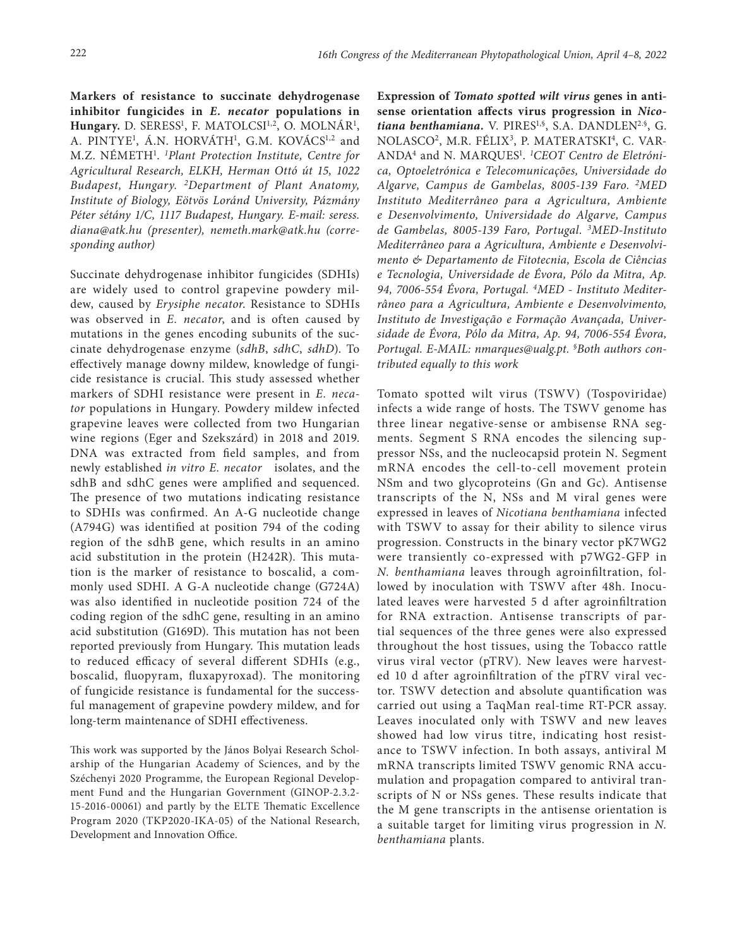**Markers of resistance to succinate dehydrogenase inhibitor fungicides in** *E. necator* **populations in**  Hungary. D. SERESS<sup>1</sup>, F. MATOLCSI<sup>1,2</sup>, O. MOLNÁR<sup>1</sup>, A. PINTYE<sup>1</sup>, A.N. HORVÁTH<sup>1</sup>, G.M. KOVÁCS<sup>1,2</sup> and M.Z. NÉMETH1 . *1 Plant Protection Institute, Centre for Agricultural Research, ELKH, Herman Ottó út 15, 1022 Budapest, Hungary. 2Department of Plant Anatomy, Institute of Biology, Eötvös Loránd University, Pázmány Péter sétány 1/C, 1117 Budapest, Hungary. E-mail: [seress.](mailto:seress.diana@atk.hu) [diana@atk.hu](mailto:seress.diana@atk.hu) (presenter), [nemeth.mark@atk.hu](mailto:nemeth.mark@atk.hu) (corresponding author)*

Succinate dehydrogenase inhibitor fungicides (SDHIs) are widely used to control grapevine powdery mildew, caused by *Erysiphe necator*. Resistance to SDHIs was observed in *E. necator*, and is often caused by mutations in the genes encoding subunits of the succinate dehydrogenase enzyme (*sdhB*, *sdhC*, *sdhD*). To effectively manage downy mildew, knowledge of fungicide resistance is crucial. This study assessed whether markers of SDHI resistance were present in *E. necator* populations in Hungary. Powdery mildew infected grapevine leaves were collected from two Hungarian wine regions (Eger and Szekszárd) in 2018 and 2019. DNA was extracted from field samples, and from newly established *in vitro E. necator* isolates, and the sdhB and sdhC genes were amplified and sequenced. The presence of two mutations indicating resistance to SDHIs was confirmed. An A-G nucleotide change (A794G) was identified at position 794 of the coding region of the sdhB gene, which results in an amino acid substitution in the protein (H242R). This mutation is the marker of resistance to boscalid, a commonly used SDHI. A G-A nucleotide change (G724A) was also identified in nucleotide position 724 of the coding region of the sdhC gene, resulting in an amino acid substitution (G169D). This mutation has not been reported previously from Hungary. This mutation leads to reduced efficacy of several different SDHIs (e.g., boscalid, fluopyram, fluxapyroxad). The monitoring of fungicide resistance is fundamental for the successful management of grapevine powdery mildew, and for long-term maintenance of SDHI effectiveness.

This work was supported by the János Bolyai Research Scholarship of the Hungarian Academy of Sciences, and by the Széchenyi 2020 Programme, the European Regional Development Fund and the Hungarian Government (GINOP-2.3.2- 15-2016-00061) and partly by the ELTE Thematic Excellence Program 2020 (TKP2020-IKA-05) of the National Research, Development and Innovation Office.

**Expression of** *Tomato spotted wilt virus* **genes in antisense orientation affects virus progression in** *Nicotiana benthamiana.* V. PIRES1,§, S.A. DANDLEN2.§, G. NOLASCO<sup>2</sup>, M.R. FÉLIX<sup>3</sup>, P. MATERATSKI<sup>4</sup>, C. VAR-ANDA4 and N. MARQUES1 . *1 CEOT Centro de Eletrónica, Optoeletrónica e Telecomunicações, Universidade do Algarve, Campus de Gambelas, 8005-139 Faro. 2MED Instituto Mediterrâneo para a Agricultura, Ambiente e Desenvolvimento, Universidade do Algarve, Campus de Gambelas, 8005-139 Faro, Portugal. 3 MED-Instituto Mediterrâneo para a Agricultura, Ambiente e Desenvolvimento & Departamento de Fitotecnia, Escola de Ciências e Tecnologia, Universidade de Évora, Pólo da Mitra, Ap. 94, 7006-554 Évora, Portugal. 4MED - Instituto Mediterrâneo para a Agricultura, Ambiente e Desenvolvimento, Instituto de Investigação e Formação Avançada, Universidade de Évora, Pólo da Mitra, Ap. 94, 7006-554 Évora, Portugal. E-MAIL: [nmarques@ualg.pt.](mailto:nmarques@ualg.pt) § Both authors contributed equally to this work*

Tomato spotted wilt virus (TSWV) (Tospoviridae) infects a wide range of hosts. The TSWV genome has three linear negative-sense or ambisense RNA segments. Segment S RNA encodes the silencing suppressor NSs, and the nucleocapsid protein N. Segment mRNA encodes the cell-to-cell movement protein NSm and two glycoproteins (Gn and Gc). Antisense transcripts of the N, NSs and M viral genes were expressed in leaves of *Nicotiana benthamiana* infected with TSWV to assay for their ability to silence virus progression. Constructs in the binary vector pK7WG2 were transiently co-expressed with p7WG2-GFP in *N. benthamiana* leaves through agroinfiltration, followed by inoculation with TSWV after 48h. Inoculated leaves were harvested 5 d after agroinfiltration for RNA extraction. Antisense transcripts of partial sequences of the three genes were also expressed throughout the host tissues, using the Tobacco rattle virus viral vector (pTRV). New leaves were harvested 10 d after agroinfiltration of the pTRV viral vector. TSWV detection and absolute quantification was carried out using a TaqMan real-time RT-PCR assay. Leaves inoculated only with TSWV and new leaves showed had low virus titre, indicating host resistance to TSWV infection. In both assays, antiviral M mRNA transcripts limited TSWV genomic RNA accumulation and propagation compared to antiviral transcripts of N or NSs genes. These results indicate that the M gene transcripts in the antisense orientation is a suitable target for limiting virus progression in *N. benthamiana* plants.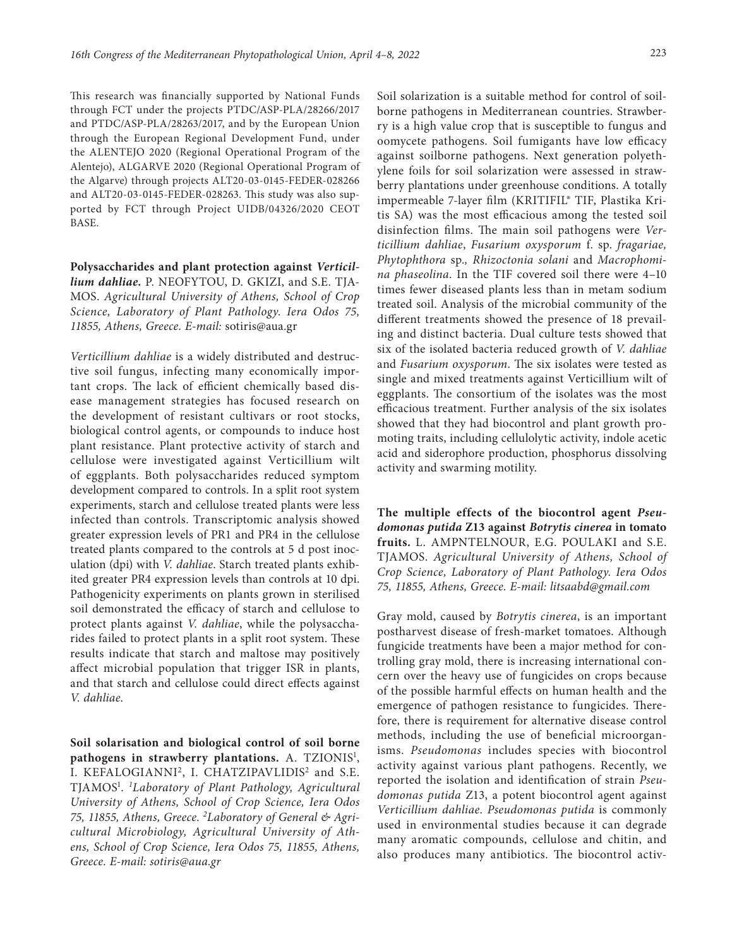This research was financially supported by National Funds through FCT under the projects PTDC/ASP-PLA/28266/2017 and PTDC/ASP-PLA/28263/2017, and by the European Union through the European Regional Development Fund, under the ALENTEJO 2020 (Regional Operational Program of the Alentejo), ALGARVE 2020 (Regional Operational Program of the Algarve) through projects ALT20-03-0145-FEDER-028266 and ALT20-03-0145-FEDER-028263. This study was also supported by FCT through Project UIDB/04326/2020 CEOT BASE.

**Polysaccharides and plant protection against** *Verticillium dahliae.* P. NEOFYTOU, D. GKIZI, and S.E. TJA-MOS. *Agricultural University of Athens, School of Crop Science, Laboratory of Plant Pathology. Iera Odos 75, 11855, Athens, Greece. E-mail:* [sotiris@aua.gr](mailto:sotiris@aua.gr)

*Verticillium dahliae* is a widely distributed and destructive soil fungus, infecting many economically important crops. The lack of efficient chemically based disease management strategies has focused research on the development of resistant cultivars or root stocks, biological control agents, or compounds to induce host plant resistance. Plant protective activity of starch and cellulose were investigated against Verticillium wilt of eggplants. Both polysaccharides reduced symptom development compared to controls. In a split root system experiments, starch and cellulose treated plants were less infected than controls. Transcriptomic analysis showed greater expression levels of PR1 and PR4 in the cellulose treated plants compared to the controls at 5 d post inoculation (dpi) with *V. dahliae*. Starch treated plants exhibited greater PR4 expression levels than controls at 10 dpi. Pathogenicity experiments on plants grown in sterilised soil demonstrated the efficacy of starch and cellulose to protect plants against *V. dahliae*, while the polysaccharides failed to protect plants in a split root system. These results indicate that starch and maltose may positively affect microbial population that trigger ISR in plants, and that starch and cellulose could direct effects against *V. dahliae*.

**Soil solarisation and biological control of soil borne**  pathogens in strawberry plantations. A. TZIONIS<sup>1</sup>, I. KEFALOGIANNI<sup>2</sup>, I. CHATZIPAVLIDIS<sup>2</sup> and S.E. TJAMOS1 . *1 Laboratory of Plant Pathology, Agricultural University of Athens, School of Crop Science, Iera Odos 75, 11855, Athens, Greece. 2 Laboratory of General & Agricultural Microbiology, Agricultural University of Athens, School of Crop Science, Iera Odos 75, 11855, Athens, Greece. E-mail: [sotiris@aua.gr](mailto:sotiris@aua.gr)*

Soil solarization is a suitable method for control of soilborne pathogens in Mediterranean countries. Strawberry is a high value crop that is susceptible to fungus and oomycete pathogens. Soil fumigants have low efficacy against soilborne pathogens. Next generation polyethylene foils for soil solarization were assessed in strawberry plantations under greenhouse conditions. A totally impermeable 7-layer film (KRITIFIL® TIF, Plastika Kritis SA) was the most efficacious among the tested soil disinfection films. The main soil pathogens were *Verticillium dahliae*, *Fusarium oxysporum* f. sp. *fragariae, Phytophthora* sp.*, Rhizoctonia solani* and *Macrophomina phaseolina*. In the TIF covered soil there were 4–10 times fewer diseased plants less than in metam sodium treated soil. Analysis of the microbial community of the different treatments showed the presence of 18 prevailing and distinct bacteria. Dual culture tests showed that six of the isolated bacteria reduced growth of *V. dahliae* and *Fusarium oxysporum*. The six isolates were tested as single and mixed treatments against Verticillium wilt of eggplants. The consortium of the isolates was the most efficacious treatment. Further analysis of the six isolates showed that they had biocontrol and plant growth promoting traits, including cellulolytic activity, indole acetic acid and siderophore production, phosphorus dissolving activity and swarming motility.

**The multiple effects of the biocontrol agent** *Pseudomonas putida* **Z13 against** *Botrytis cinerea* **in tomato fruits.** L. AMPNTELNOUR, E.G. POULAKI and S.E. TJAMOS. *Agricultural University of Athens, School of Crop Science, Laboratory of Plant Pathology. Iera Odos 75, 11855, Athens, Greece. E-mail: [litsaabd@gmail.com](mailto:litsaabd@gmail.com)*

Gray mold, caused by *Botrytis cinerea*, is an important postharvest disease of fresh-market tomatoes. Although fungicide treatments have been a major method for controlling gray mold, there is increasing international concern over the heavy use of fungicides on crops because of the possible harmful effects on human health and the emergence of pathogen resistance to fungicides. Therefore, there is requirement for alternative disease control methods, including the use of beneficial microorganisms. *Pseudomonas* includes species with biocontrol activity against various plant pathogens. Recently, we reported the isolation and identification of strain *Pseudomonas putida* Z13, a potent biocontrol agent against *Verticillium dahliae*. *Pseudomonas putida* is commonly used in environmental studies because it can degrade many aromatic compounds, cellulose and chitin, and also produces many antibiotics. The biocontrol activ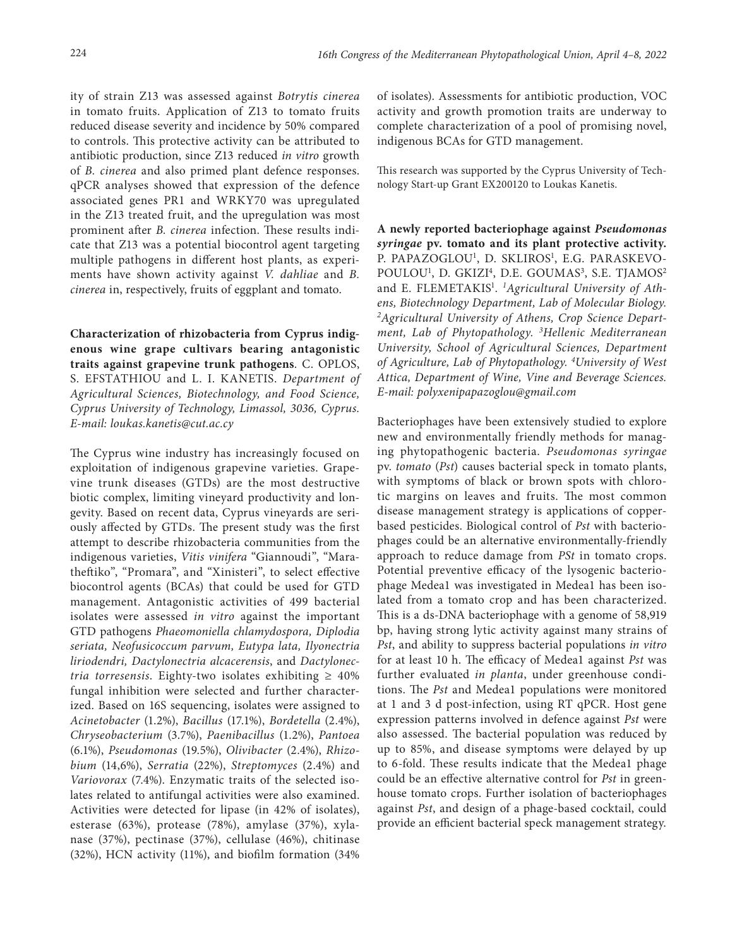ity of strain Z13 was assessed against *Botrytis cinerea* in tomato fruits. Application of Z13 to tomato fruits reduced disease severity and incidence by 50% compared to controls. This protective activity can be attributed to antibiotic production, since Z13 reduced *in vitro* growth of *B. cinerea* and also primed plant defence responses. qPCR analyses showed that expression of the defence associated genes PR1 and WRKY70 was upregulated in the Z13 treated fruit, and the upregulation was most prominent after *B. cinerea* infection. These results indicate that Z13 was a potential biocontrol agent targeting multiple pathogens in different host plants, as experiments have shown activity against *V. dahliae* and *B. cinerea* in, respectively, fruits of eggplant and tomato.

**Characterization of rhizobacteria from Cyprus indigenous wine grape cultivars bearing antagonistic traits against grapevine trunk pathogens**. C. OPLOS, S. EFSTATHIOU and L. I. KANETIS. *Department of Agricultural Sciences, Biotechnology, and Food Science, Cyprus University of Technology, Limassol, 3036, Cyprus. E-mail: [loukas.kanetis@cut.ac.cy](mailto:loukas.kanetis@cut.ac.cy)*

The Cyprus wine industry has increasingly focused on exploitation of indigenous grapevine varieties. Grapevine trunk diseases (GTDs) are the most destructive biotic complex, limiting vineyard productivity and longevity. Based on recent data, Cyprus vineyards are seriously affected by GTDs. The present study was the first attempt to describe rhizobacteria communities from the indigenous varieties, *Vitis vinifera* "Giannoudi", "Maratheftiko", "Promara", and "Xinisteri", to select effective biocontrol agents (BCAs) that could be used for GTD management. Antagonistic activities of 499 bacterial isolates were assessed *in vitro* against the important GTD pathogens *Phaeomoniella chlamydospora, Diplodia seriata, Neofusicoccum parvum, Eutypa lata, Ilyonectria liriodendri, Dactylonectria alcacerensis*, and *Dactylonectria torresensis*. Eighty-two isolates exhibiting  $\geq 40\%$ fungal inhibition were selected and further characterized. Based on 16S sequencing, isolates were assigned to *Acinetobacter* (1.2%), *Bacillus* (17.1%), *Bordetella* (2.4%), *Chryseobacterium* (3.7%), *Paenibacillus* (1.2%), *Pantoea* (6.1%), *Pseudomonas* (19.5%), *Olivibacter* (2.4%), *Rhizobium* (14,6%), *Serratia* (22%), *Streptomyces* (2.4%) and *Variovorax* (7.4%). Enzymatic traits of the selected isolates related to antifungal activities were also examined. Activities were detected for lipase (in 42% of isolates), esterase (63%), protease (78%), amylase (37%), xylanase (37%), pectinase (37%), cellulase (46%), chitinase (32%), HCN activity (11%), and biofilm formation (34%

of isolates). Assessments for antibiotic production, VOC activity and growth promotion traits are underway to complete characterization of a pool of promising novel, indigenous BCAs for GTD management.

This research was supported by the Cyprus University of Technology Start-up Grant EX200120 to Loukas Kanetis.

**A newly reported bacteriophage against** *Pseudomonas syringae* **pv. tomato and its plant protective activity.** P. PAPAZOGLOU<sup>1</sup>, D. SKLIROS<sup>1</sup>, E.G. PARASKEVO-POULOU<sup>1</sup>, D. GKIZI<sup>4</sup>, D.E. GOUMAS<sup>3</sup>, S.E. TJAMOS<sup>2</sup> and E. FLEMETAKIS1 . *1Agricultural University of Athens, Biotechnology Department, Lab of Molecular Biology. 2Agricultural University of Athens, Crop Science Department, Lab of Phytopathology. 3 Hellenic Mediterranean University, School of Agricultural Sciences, Department of Agriculture, Lab of Phytopathology. 4 University of West Attica, Department of Wine, Vine and Beverage Sciences. E-mail: polyxenipapazoglou@gmail.com*

Bacteriophages have been extensively studied to explore new and environmentally friendly methods for managing phytopathogenic bacteria. *Pseudomonas syringae* pv. *tomato* (*Pst*) causes bacterial speck in tomato plants, with symptoms of black or brown spots with chlorotic margins on leaves and fruits. The most common disease management strategy is applications of copperbased pesticides. Biological control of *Pst* with bacteriophages could be an alternative environmentally-friendly approach to reduce damage from *PSt* in tomato crops. Potential preventive efficacy of the lysogenic bacteriophage Medea1 was investigated in Medea1 has been isolated from a tomato crop and has been characterized. This is a ds-DNA bacteriophage with a genome of 58,919 bp, having strong lytic activity against many strains of *Pst*, and ability to suppress bacterial populations *in vitro* for at least 10 h. The efficacy of Medea1 against *Pst* was further evaluated *in planta*, under greenhouse conditions. The *Pst* and Medea1 populations were monitored at 1 and 3 d post-infection, using RT qPCR. Host gene expression patterns involved in defence against *Pst* were also assessed. The bacterial population was reduced by up to 85%, and disease symptoms were delayed by up to 6-fold. These results indicate that the Medea1 phage could be an effective alternative control for *Pst* in greenhouse tomato crops. Further isolation of bacteriophages against *Pst*, and design of a phage-based cocktail, could provide an efficient bacterial speck management strategy.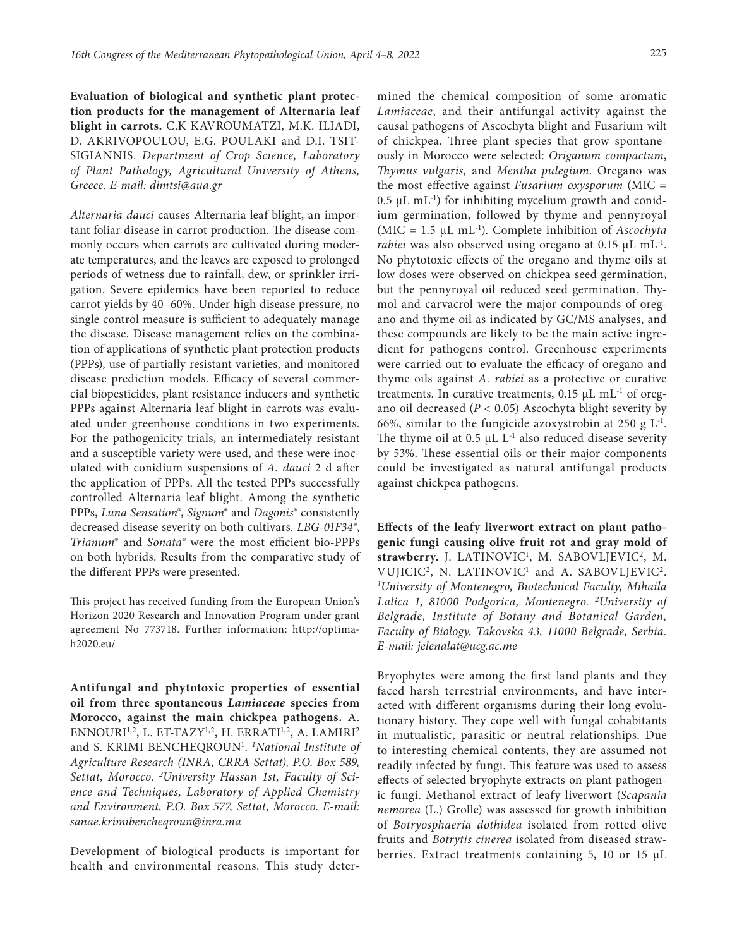**Evaluation of biological and synthetic plant protection products for the management of Alternaria leaf blight in carrots.** C.K KAVROUMATZI, M.K. ILIADI, D. AKRIVOPOULOU, E.G. POULAKI and D.I. TSIT-SIGIANNIS. *Department of Crop Science, Laboratory of Plant Pathology, Agricultural University of Athens, Greece. E-mail: [dimtsi@aua.gr](mailto:dimtsi@aua.gr)*

*Alternaria dauci* causes Alternaria leaf blight, an important foliar disease in carrot production. The disease commonly occurs when carrots are cultivated during moderate temperatures, and the leaves are exposed to prolonged periods of wetness due to rainfall, dew, or sprinkler irrigation. Severe epidemics have been reported to reduce carrot yields by 40–60%. Under high disease pressure, no single control measure is sufficient to adequately manage the disease. Disease management relies on the combination of applications of synthetic plant protection products (PPPs), use of partially resistant varieties, and monitored disease prediction models. Efficacy of several commercial biopesticides, plant resistance inducers and synthetic PPPs against Alternaria leaf blight in carrots was evaluated under greenhouse conditions in two experiments. For the pathogenicity trials, an intermediately resistant and a susceptible variety were used, and these were inoculated with conidium suspensions of *A. dauci* 2 d after the application of PPPs. All the tested PPPs successfully controlled Alternaria leaf blight. Among the synthetic PPPs, *Luna Sensation*®, *Signum*® and *Dagonis*® consistently decreased disease severity on both cultivars. *LBG-01F34*®, *Trianum*® and *Sonata®* were the most efficient bio-PPPs on both hybrids. Results from the comparative study of the different PPPs were presented.

This project has received funding from the European Union's Horizon 2020 Research and Innovation Program under grant agreement No 773718. Further information: [http://optima](http://optima-h2020.eu/)[h2020.eu/](http://optima-h2020.eu/)

**Antifungal and phytotoxic properties of essential oil from three spontaneous** *Lamiaceae* **species from Morocco, against the main chickpea pathogens.** A. ENNOURI<sup>1,2</sup>, L. ET-TAZY<sup>1,2</sup>, H. ERRATI<sup>1,2</sup>, A. LAMIRI<sup>2</sup> and S. KRIMI BENCHEQROUN<sup>1</sup>. *<sup>1</sup>National Institute of Agriculture Research (INRA, CRRA-Settat), P.O. Box 589, Settat, Morocco. 2 University Hassan 1st, Faculty of Science and Techniques, Laboratory of Applied Chemistry and Environment, P.O. Box 577, Settat, Morocco. E-mail: [sanae.krimibencheqroun@inra.ma](mailto:sanae.krimibencheqroun@inra.ma)*

Development of biological products is important for health and environmental reasons. This study deter-

mined the chemical composition of some aromatic *Lamiaceae*, and their antifungal activity against the causal pathogens of Ascochyta blight and Fusarium wilt of chickpea. Three plant species that grow spontaneously in Morocco were selected: *Origanum compactum*, *Thymus vulgaris,* and *Mentha pulegium*. Oregano was the most effective against *Fusarium oxysporum* (MIC =  $0.5 \mu L$  mL<sup>-1</sup>) for inhibiting mycelium growth and conidium germination, followed by thyme and pennyroyal (MIC = 1.5 µL mL-1). Complete inhibition of *Ascochyta rabiei* was also observed using oregano at 0.15 µL mL<sup>-1</sup>. No phytotoxic effects of the oregano and thyme oils at low doses were observed on chickpea seed germination, but the pennyroyal oil reduced seed germination. Thymol and carvacrol were the major compounds of oregano and thyme oil as indicated by GC/MS analyses, and these compounds are likely to be the main active ingredient for pathogens control. Greenhouse experiments were carried out to evaluate the efficacy of oregano and thyme oils against *A. rabiei* as a protective or curative treatments. In curative treatments,  $0.15 \mu L \text{ m} L^{-1}$  of oregano oil decreased  $(P < 0.05)$  Ascochyta blight severity by 66%, similar to the fungicide azoxystrobin at 250 g  $L^{-1}$ . The thyme oil at  $0.5 \mu L L^{-1}$  also reduced disease severity by 53%. These essential oils or their major components could be investigated as natural antifungal products against chickpea pathogens.

**Effects of the leafy liverwort extract on plant pathogenic fungi causing olive fruit rot and gray mold of**  strawberry. J. LATINOVIC<sup>1</sup>, M. SABOVLJEVIC<sup>2</sup>, M. VUJICIC<sup>2</sup>, N. LATINOVIC<sup>1</sup> and A. SABOVLJEVIC<sup>2</sup>. *1 University of Montenegro, Biotechnical Faculty, Mihaila Lalica 1, 81000 Podgorica, Montenegro. 2 University of Belgrade, Institute of Botany and Botanical Garden, Faculty of Biology, Takovska 43, 11000 Belgrade, Serbia. E-mail: [jelenalat@ucg.ac.me](mailto:jelenalat@ucg.ac.me)*

Bryophytes were among the first land plants and they faced harsh terrestrial environments, and have interacted with different organisms during their long evolutionary history. They cope well with fungal cohabitants in mutualistic, parasitic or neutral relationships. Due to interesting chemical contents, they are assumed not readily infected by fungi. This feature was used to assess effects of selected bryophyte extracts on plant pathogenic fungi. Methanol extract of leafy liverwort (*Scapania nemorea* (L.) Grolle) was assessed for growth inhibition of *Botryosphaeria dothidea* isolated from rotted olive fruits and *Botrytis cinerea* isolated from diseased strawberries. Extract treatments containing 5, 10 or 15 µL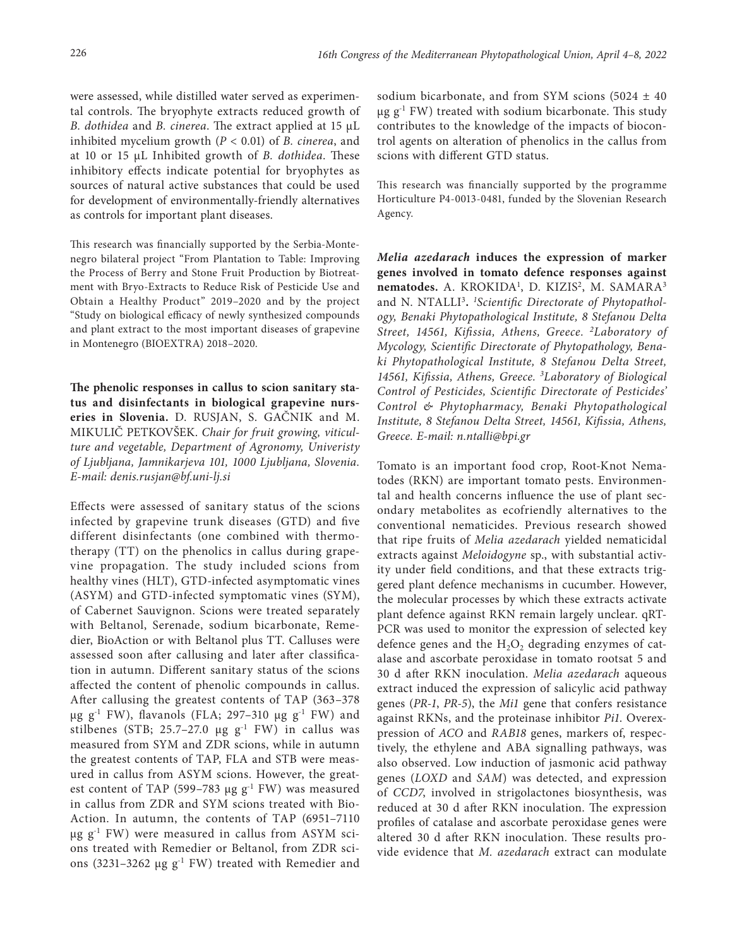were assessed, while distilled water served as experimental controls. The bryophyte extracts reduced growth of *B. dothidea* and *B. cinerea*. The extract applied at 15 µL inhibited mycelium growth (*P* < 0.01) of *B. cinerea*, and at 10 or 15 μL Inhibited growth of *B. dothidea*. These inhibitory effects indicate potential for bryophytes as sources of natural active substances that could be used for development of environmentally-friendly alternatives as controls for important plant diseases.

This research was financially supported by the Serbia-Montenegro bilateral project "From Plantation to Table: Improving the Process of Berry and Stone Fruit Production by Biotreatment with Bryo-Extracts to Reduce Risk of Pesticide Use and Obtain a Healthy Product" 2019–2020 and by the project "Study on biological efficacy of newly synthesized compounds and plant extract to the most important diseases of grapevine in Montenegro (BIOEXTRA) 2018–2020.

**The phenolic responses in callus to scion sanitary status and disinfectants in biological grapevine nurseries in Slovenia.** D. RUSJAN, S. GAČNIK and M. MIKULIČ PETKOVŠEK. *Chair for fruit growing, viticulture and vegetable, Department of Agronomy, Univeristy of Ljubljana, Jamnikarjeva 101, 1000 Ljubljana, Slovenia. E-mail: [denis.rusjan@bf.uni-lj.si](mailto:denis.rusjan@bf.uni-lj.si)*

Effects were assessed of sanitary status of the scions infected by grapevine trunk diseases (GTD) and five different disinfectants (one combined with thermotherapy (TT) on the phenolics in callus during grapevine propagation. The study included scions from healthy vines (HLT), GTD-infected asymptomatic vines (ASYM) and GTD-infected symptomatic vines (SYM), of Cabernet Sauvignon. Scions were treated separately with Beltanol, Serenade, sodium bicarbonate, Remedier, BioAction or with Beltanol plus TT. Calluses were assessed soon after callusing and later after classification in autumn. Different sanitary status of the scions affected the content of phenolic compounds in callus. After callusing the greatest contents of TAP (363–378 μg  $g^{-1}$  FW), flavanols (FLA; 297-310 μg  $g^{-1}$  FW) and stilbenes (STB; 25.7–27.0  $\mu$ g g<sup>-1</sup> FW) in callus was measured from SYM and ZDR scions, while in autumn the greatest contents of TAP, FLA and STB were measured in callus from ASYM scions. However, the greatest content of TAP (599–783  $\mu$ g g<sup>-1</sup> FW) was measured in callus from ZDR and SYM scions treated with Bio-Action. In autumn, the contents of TAP (6951–7110 μg  $g<sup>-1</sup>$  FW) were measured in callus from ASYM scions treated with Remedier or Beltanol, from ZDR scions (3231–3262 μg  $g<sup>-1</sup>$  FW) treated with Remedier and

sodium bicarbonate, and from SYM scions (5024  $\pm$  40  $\mu$ g g<sup>-1</sup> FW) treated with sodium bicarbonate. This study contributes to the knowledge of the impacts of biocontrol agents on alteration of phenolics in the callus from scions with different GTD status.

This research was financially supported by the programme Horticulture P4-0013-0481, funded by the Slovenian Research Agency.

*Melia azedarach* **induces the expression of marker genes involved in tomato defence responses against**  nematodes. A. KROKIDA<sup>1</sup>, D. KIZIS<sup>2</sup>, M. SAMARA<sup>3</sup> and N. NTALLI3**.** *<sup>1</sup> Scientific Directorate of Phytopathology, Benaki Phytopathological Institute, 8 Stefanou Delta Street, 14561, Kifissia, Athens, Greece. 2Laboratory of Mycology, Scientific Directorate of Phytopathology, Benaki Phytopathological Institute, 8 Stefanou Delta Street, 14561, Kifissia, Athens, Greece. 3 Laboratory of Biological Control of Pesticides, Scientific Directorate of Pesticides' Control & Phytopharmacy, Benaki Phytopathological Institute, 8 Stefanou Delta Street, 14561, Kifissia, Athens, Greece. E-mail: [n.ntalli@bpi.gr](mailto:n.ntalli@bpi.gr)*

Tomato is an important food crop, Root-Κnot Nematodes (RKN) are important tomato pests. Environmental and health concerns influence the use of plant secondary metabolites as ecofriendly alternatives to the conventional nematicides. Previous research showed that ripe fruits of *Melia azedarach* yielded nematicidal extracts against *Meloidogyne* sp., with substantial activity under field conditions, and that these extracts triggered plant defence mechanisms in cucumber. However, the molecular processes by which these extracts activate plant defence against RKN remain largely unclear. qRT-PCR was used to monitor the expression of selected key defence genes and the  $H_2O_2$  degrading enzymes of catalase and ascorbate peroxidase in tomato rootsat 5 and 30 d after RKN inoculation. *Melia azedarach* aqueous extract induced the expression of salicylic acid pathway genes (*PR-1*, *PR-5*), the *Mi1* gene that confers resistance against RKNs, and the proteinase inhibitor *Pi1*. Overexpression of *ACO* and *RAB18* genes, markers of, respectively, the ethylene and ABA signalling pathways, was also observed. Low induction of jasmonic acid pathway genes (*LOXD* and *SAM*) was detected, and expression of *CCD7*, involved in strigolactones biosynthesis, was reduced at 30 d after RKN inoculation. The expression profiles of catalase and ascorbate peroxidase genes were altered 30 d after RKN inoculation. These results provide evidence that *M. azedarach* extract can modulate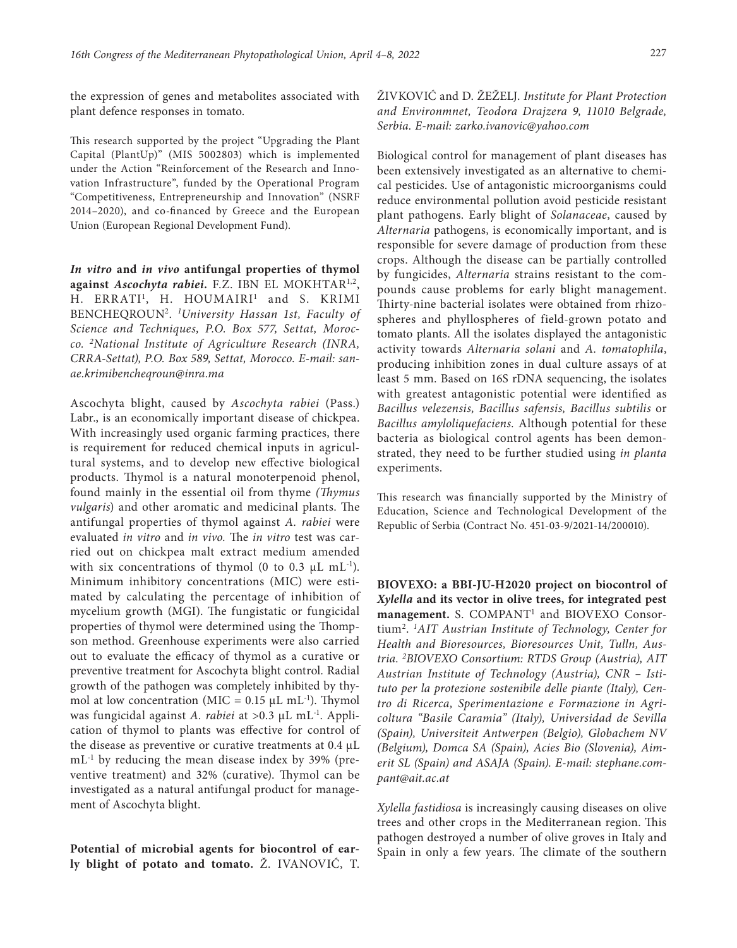the expression of genes and metabolites associated with plant defence responses in tomato.

This research supported by the project "Upgrading the Plant Capital (PlantUp)" (MIS 5002803) which is implemented under the Action "Reinforcement of the Research and Innovation Infrastructure", funded by the Operational Program "Competitiveness, Entrepreneurship and Innovation" (NSRF 2014–2020), and co-financed by Greece and the European Union (European Regional Development Fund).

*In vitro* **and** *in vivo* **antifungal properties of thymol against** *Ascochyta rabiei.* F.Z. IBN EL MOKHTAR1,2, H. ERRATI<sup>1</sup>, H. HOUMAIRI<sup>1</sup> and S. KRIMI BENCHEQROUN2. *<sup>1</sup> University Hassan 1st, Faculty of Science and Techniques, P.O. Box 577, Settat, Morocco. 2National Institute of Agriculture Research (INRA, CRRA-Settat), P.O. Box 589, Settat, Morocco. E-mail: [san](mailto:sanae.krimibencheqroun@inra.ma)[ae.krimibencheqroun@inra.ma](mailto:sanae.krimibencheqroun@inra.ma)*

Ascochyta blight, caused by *Ascochyta rabiei* (Pass.) Labr., is an economically important disease of chickpea. With increasingly used organic farming practices, there is requirement for reduced chemical inputs in agricultural systems, and to develop new effective biological products. Thymol is a natural monoterpenoid phenol, found mainly in the essential oil from thyme *(Thymus vulgaris*) and other aromatic and medicinal plants. The antifungal properties of thymol against *A. rabiei* were evaluated *in vitro* and *in vivo.* The *in vitro* test was carried out on chickpea malt extract medium amended with six concentrations of thymol (0 to 0.3  $\mu$ L mL<sup>-1</sup>). Minimum inhibitory concentrations (MIC) were estimated by calculating the percentage of inhibition of mycelium growth (MGI). The fungistatic or fungicidal properties of thymol were determined using the Thompson method. Greenhouse experiments were also carried out to evaluate the efficacy of thymol as a curative or preventive treatment for Ascochyta blight control*.* Radial growth of the pathogen was completely inhibited by thymol at low concentration (MIC =  $0.15 \mu L \text{ mL}^{-1}$ ). Thymol was fungicidal against *A. rabiei* at >0.3 µL mL-1. Application of thymol to plants was effective for control of the disease as preventive or curative treatments at 0.4 µL  $mL^{-1}$  by reducing the mean disease index by 39% (preventive treatment) and 32% (curative). Thymol can be investigated as a natural antifungal product for management of Ascochyta blight.

**Potential of microbial agents for biocontrol of early blight of potato and tomato.** Ž. IVANOVIĆ, T. ŽIVKOVIĆ and D. ŽEŽELJ. *Institute for Plant Protection and Environmnet, Teodora Drajzera 9, 11010 Belgrade, Serbia. E-mail: zarko.ivanovic@yahoo.com*

Biological control for management of plant diseases has been extensively investigated as an alternative to chemical pesticides. Use of antagonistic microorganisms could reduce environmental pollution avoid pesticide resistant plant pathogens. Early blight of *Solanaceae*, caused by *Alternaria* pathogens, is economically important, and is responsible for severe damage of production from these crops. Although the disease can be partially controlled by fungicides, *Alternaria* strains resistant to the compounds cause problems for early blight management. Thirty-nine bacterial isolates were obtained from rhizospheres and phyllospheres of field-grown potato and tomato plants. All the isolates displayed the antagonistic activity towards *Alternaria solani* and *A. tomatophila*, producing inhibition zones in dual culture assays of at least 5 mm. Based on 16S rDNA sequencing, the isolates with greatest antagonistic potential were identified as *Bacillus velezensis, Bacillus safensis, Bacillus subtilis* or *Bacillus amyloliquefaciens.* Although potential for these bacteria as biological control agents has been demonstrated, they need to be further studied using *in planta*  experiments.

This research was financially supported by the Ministry of Education, Science and Technological Development of the Republic of Serbia (Contract No. 451-03-9/2021-14/200010).

**BIOVEXO: a BBI-JU-H2020 project on biocontrol of**  *Xylella* **and its vector in olive trees, for integrated pest management.** S. COMPANT1 and BIOVEXO Consortium2. *1AIT Austrian Institute of Technology, Center for Health and Bioresources, Bioresources Unit, Tulln, Austria. 2 BIOVEXO Consortium: RTDS Group (Austria), AIT Austrian Institute of Technology (Austria), CNR – Istituto per la protezione sostenibile delle piante (Italy), Centro di Ricerca, Sperimentazione e Formazione in Agricoltura "Basile Caramia" (Italy), Universidad de Sevilla (Spain), Universiteit Antwerpen (Belgio), Globachem NV (Belgium), Domca SA (Spain), Acies Bio (Slovenia), Aimerit SL (Spain) and ASAJA (Spain). E-mail: [stephane.com](mailto:stephane.compant@ait.ac.at)[pant@ait.ac.at](mailto:stephane.compant@ait.ac.at)*

*Xylella fastidiosa* is increasingly causing diseases on olive trees and other crops in the Mediterranean region. This pathogen destroyed a number of olive groves in Italy and Spain in only a few years. The climate of the southern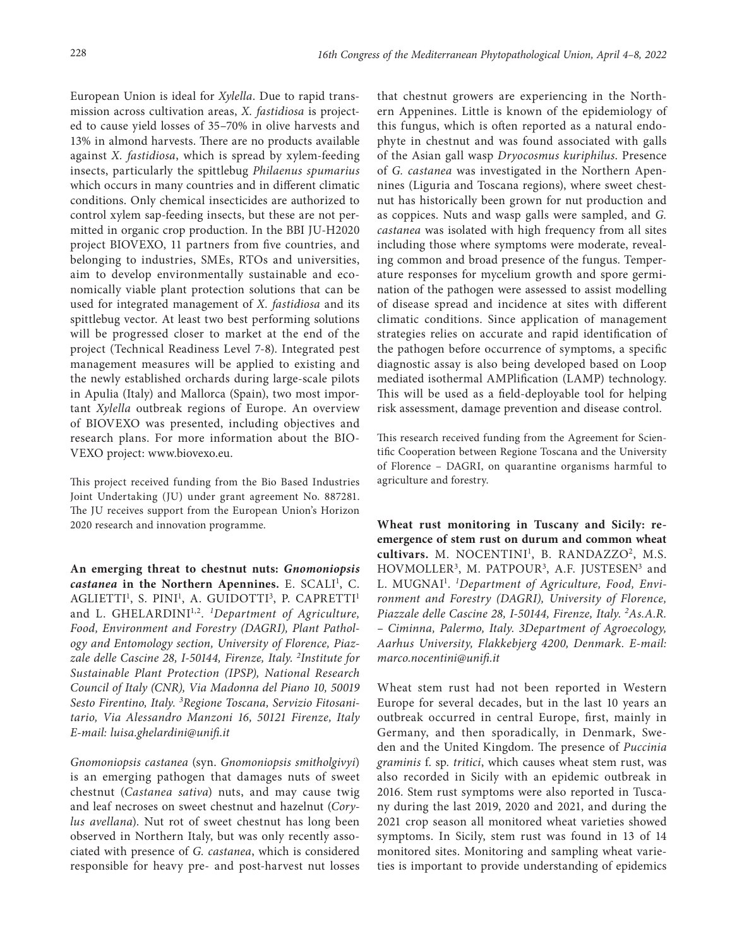European Union is ideal for *Xylella*. Due to rapid transmission across cultivation areas, *X. fastidiosa* is projected to cause yield losses of 35–70% in olive harvests and 13% in almond harvests. There are no products available against *X. fastidiosa*, which is spread by xylem-feeding insects, particularly the spittlebug *Philaenus spumarius*  which occurs in many countries and in different climatic conditions. Only chemical insecticides are authorized to control xylem sap-feeding insects, but these are not permitted in organic crop production. In the BBI JU-H2020 project BIOVEXO, 11 partners from five countries, and belonging to industries, SMEs, RTOs and universities, aim to develop environmentally sustainable and economically viable plant protection solutions that can be used for integrated management of *X. fastidiosa* and its spittlebug vector. At least two best performing solutions will be progressed closer to market at the end of the project (Technical Readiness Level 7-8). Integrated pest management measures will be applied to existing and the newly established orchards during large-scale pilots in Apulia (Italy) and Mallorca (Spain), two most important *Xylella* outbreak regions of Europe. An overview of BIOVEXO was presented, including objectives and research plans. For more information about the BIO-VEXO project: [www.biovexo.eu.](http://www.biovexo.eu/)

This project received funding from the Bio Based Industries Joint Undertaking (JU) under grant agreement No. 887281. The JU receives support from the European Union's Horizon 2020 research and innovation programme.

**An emerging threat to chestnut nuts:** *Gnomoniopsis*  castanea in the Northern Apennines. E. SCALI<sup>1</sup>, C. AGLIETTI<sup>1</sup>, S. PINI<sup>1</sup>, A. GUIDOTTI<sup>3</sup>, P. CAPRETTI<sup>1</sup> and L. GHELARDINI<sup>1,2</sup>. <sup>1</sup>Department of Agriculture, *Food, Environment and Forestry (DAGRI), Plant Pathology and Entomology section, University of Florence, Piazzale delle Cascine 28, I-50144, Firenze, Italy. 2 Institute for Sustainable Plant Protection (IPSP), National Research Council of Italy (CNR), Via Madonna del Piano 10, 50019 Sesto Firentino, Italy. 3 Regione Toscana, Servizio Fitosanitario, Via Alessandro Manzoni 16, 50121 Firenze, Italy E-mail: [luisa.ghelardini@unifi.it](mailto:luisa.ghelardini@unifi.it)*

*Gnomoniopsis castanea* (syn. *Gnomoniopsis smitholgivyi*) is an emerging pathogen that damages nuts of sweet chestnut (*Castanea sativa*) nuts, and may cause twig and leaf necroses on sweet chestnut and hazelnut (*Corylus avellana*). Nut rot of sweet chestnut has long been observed in Northern Italy, but was only recently associated with presence of *G. castanea*, which is considered responsible for heavy pre- and post-harvest nut losses

that chestnut growers are experiencing in the Northern Appenines. Little is known of the epidemiology of this fungus, which is often reported as a natural endophyte in chestnut and was found associated with galls of the Asian gall wasp *Dryocosmus kuriphilus*. Presence of *G. castanea* was investigated in the Northern Apennines (Liguria and Toscana regions), where sweet chestnut has historically been grown for nut production and as coppices. Nuts and wasp galls were sampled, and *G. castanea* was isolated with high frequency from all sites including those where symptoms were moderate, revealing common and broad presence of the fungus. Temperature responses for mycelium growth and spore germination of the pathogen were assessed to assist modelling of disease spread and incidence at sites with different climatic conditions. Since application of management strategies relies on accurate and rapid identification of the pathogen before occurrence of symptoms, a specific diagnostic assay is also being developed based on Loop mediated isothermal AMPlification (LAMP) technology. This will be used as a field-deployable tool for helping risk assessment, damage prevention and disease control.

This research received funding from the Agreement for Scientific Cooperation between Regione Toscana and the University of Florence – DAGRI, on quarantine organisms harmful to agriculture and forestry.

**Wheat rust monitoring in Tuscany and Sicily: reemergence of stem rust on durum and common wheat**  cultivars. M. NOCENTINI<sup>1</sup>, B. RANDAZZO<sup>2</sup>, M.S. HOVMOLLER<sup>3</sup>, M. PATPOUR<sup>3</sup>, A.F. JUSTESEN<sup>3</sup> and L. MUGNAI1 . *1 Department of Agriculture, Food, Environment and Forestry (DAGRI), University of Florence, Piazzale delle Cascine 28, I-50144, Firenze, Italy. 2As.A.R. – Ciminna, Palermo, Italy. 3Department of Agroecology, Aarhus University, Flakkebjerg 4200, Denmark. E-mail: marco.nocentini@unifi.it*

Wheat stem rust had not been reported in Western Europe for several decades, but in the last 10 years an outbreak occurred in central Europe, first, mainly in Germany, and then sporadically, in Denmark, Sweden and the United Kingdom. The presence of *Puccinia graminis* f. sp. *tritici*, which causes wheat stem rust, was also recorded in Sicily with an epidemic outbreak in 2016. Stem rust symptoms were also reported in Tuscany during the last 2019, 2020 and 2021, and during the 2021 crop season all monitored wheat varieties showed symptoms. In Sicily, stem rust was found in 13 of 14 monitored sites. Monitoring and sampling wheat varieties is important to provide understanding of epidemics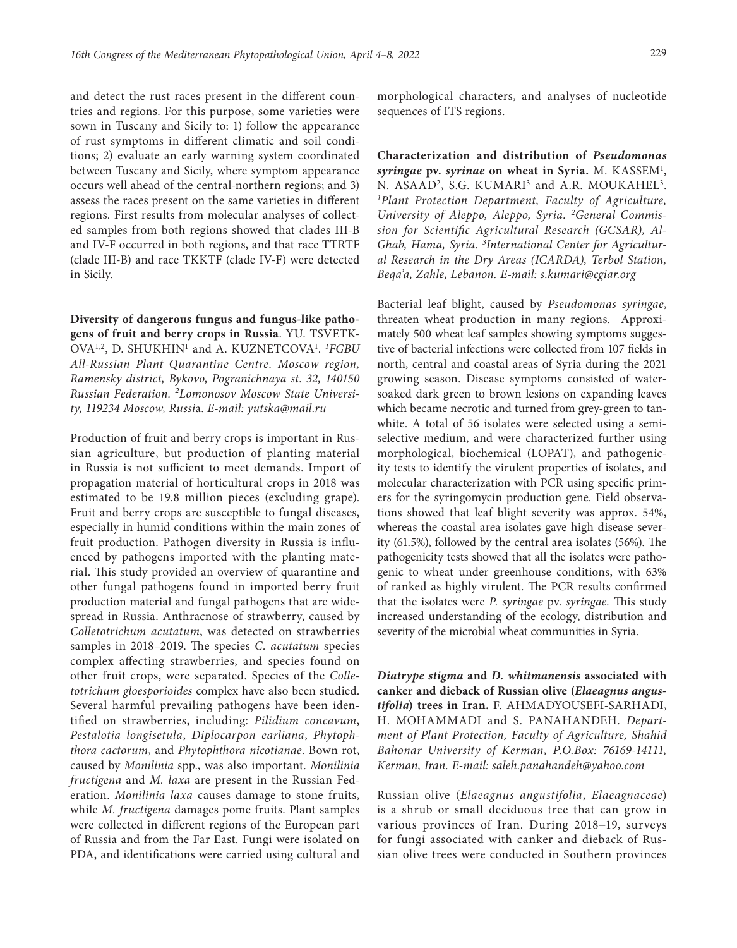and detect the rust races present in the different countries and regions. For this purpose, some varieties were sown in Tuscany and Sicily to: 1) follow the appearance of rust symptoms in different climatic and soil conditions; 2) evaluate an early warning system coordinated between Tuscany and Sicily, where symptom appearance occurs well ahead of the central-northern regions; and 3) assess the races present on the same varieties in different regions. First results from molecular analyses of collected samples from both regions showed that clades III-B and IV-F occurred in both regions, and that race TTRTF (clade III-B) and race TKKTF (clade IV-F) were detected in Sicily.

**Diversity of dangerous fungus and fungus-like pathogens of fruit and berry crops in Russia**. YU. TSVETK-OVA1,2, D. SHUKHIN1 and A. KUZNETCOVA1 . *1 FGBU All-Russian Plant Quarantine Centre. Moscow region, Ramensky district, Bykovo, Pogranichnaya st. 32, 140150 Russian Federation. 2Lomonosov Moscow State University, 119234 Moscow, Russi*a. *E-mail: [yutska@mail.ru](mailto:yutska@mail.ru)*

Production of fruit and berry crops is important in Russian agriculture, but production of planting material in Russia is not sufficient to meet demands. Import of propagation material of horticultural crops in 2018 was estimated to be 19.8 million pieces (excluding grape). Fruit and berry crops are susceptible to fungal diseases, especially in humid conditions within the main zones of fruit production. Pathogen diversity in Russia is influenced by pathogens imported with the planting material. This study provided an overview of quarantine and other fungal pathogens found in imported berry fruit production material and fungal pathogens that are widespread in Russia. Anthracnose of strawberry, caused by *Colletotrichum acutatum*, was detected on strawberries samples in 2018–2019. The species *C. acutatum* species complex affecting strawberries, and species found on other fruit crops, were separated. Species of the *Colletotrichum gloesporioides* complex have also been studied. Several harmful prevailing pathogens have been identified on strawberries, including: *Pilidium concavum*, *Pestalotia longisetula*, *Diplocarpon earliana*, *Phytophthora cactorum*, and *Phytophthora nicotianae*. Bown rot, caused by *Monilinia* spp., was also important. *Monilinia fructigena* and *M. laxa* are present in the Russian Federation. *Monilinia laxa* causes damage to stone fruits, while *M. fructigena* damages pome fruits. Plant samples were collected in different regions of the European part of Russia and from the Far East. Fungi were isolated on PDA, and identifications were carried using cultural and morphological characters, and analyses of nucleotide sequences of ITS regions.

**Characterization and distribution of** *Pseudomonas syringae* **pv.** *syrinae* **on wheat in Syria.** M. KASSEM1 , N. ASAAD<sup>2</sup>, S.G. KUMARI<sup>3</sup> and A.R. MOUKAHEL<sup>3</sup>. *1Plant Protection Department, Faculty of Agriculture, University of Aleppo, Aleppo, Syria. 2General Commission for Scientific Agricultural Research (GCSAR), Al-Ghab, Hama, Syria. 3 International Center for Agricultural Research in the Dry Areas (ICARDA), Terbol Station, Beqa'a, Zahle, Lebanon. E-mail: [s.kumari@cgiar.org](mailto:s.kumari@cgiar.org)*

Bacterial leaf blight, caused by *Pseudomonas syringae*, threaten wheat production in many regions. Approximately 500 wheat leaf samples showing symptoms suggestive of bacterial infections were collected from 107 fields in north, central and coastal areas of Syria during the 2021 growing season. Disease symptoms consisted of watersoaked dark green to brown lesions on expanding leaves which became necrotic and turned from grey-green to tanwhite. A total of 56 isolates were selected using a semiselective medium, and were characterized further using morphological, biochemical (LOPAT), and pathogenicity tests to identify the virulent properties of isolates, and molecular characterization with PCR using specific primers for the syringomycin production gene. Field observations showed that leaf blight severity was approx. 54%, whereas the coastal area isolates gave high disease severity (61.5%), followed by the central area isolates (56%). The pathogenicity tests showed that all the isolates were pathogenic to wheat under greenhouse conditions, with 63% of ranked as highly virulent. The PCR results confirmed that the isolates were *P. syringae* pv. *syringae.* This study increased understanding of the ecology, distribution and severity of the microbial wheat communities in Syria.

*Diatrype stigma* **and** *D. whitmanensis* **associated with canker and dieback of Russian olive (***Elaeagnus angustifolia***) trees in Iran.** F. AHMADYOUSEFI-SARHADI, H. MOHAMMADI and S. PANAHANDEH. *Department of Plant Protection, Faculty of Agriculture, Shahid Bahonar University of Kerman, P.O.Box: 76169-14111, Kerman, Iran. E-mail: [saleh.panahandeh@yahoo.com](mailto:saleh.panahandeh@yahoo.com)*

Russian olive (*Elaeagnus angustifolia*, *Elaeagnaceae*) is a shrub or small deciduous tree that can grow in various provinces of Iran. During 2018−19, surveys for fungi associated with canker and dieback of Russian olive trees were conducted in Southern provinces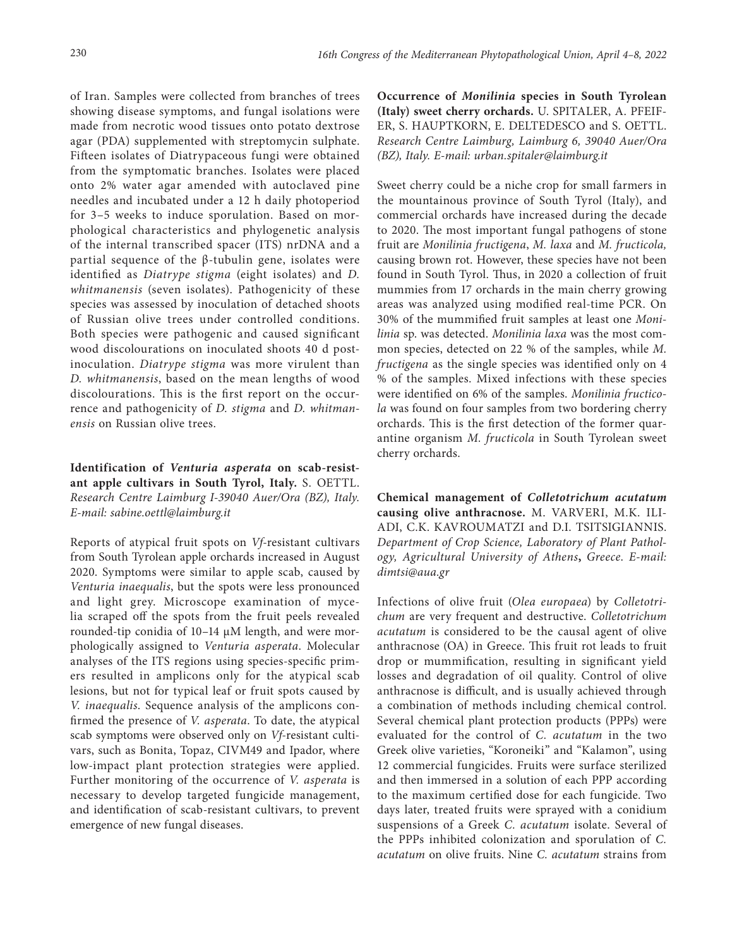of Iran. Samples were collected from branches of trees showing disease symptoms, and fungal isolations were made from necrotic wood tissues onto potato dextrose agar (PDA) supplemented with streptomycin sulphate. Fifteen isolates of Diatrypaceous fungi were obtained from the symptomatic branches. Isolates were placed onto 2% water agar amended with autoclaved pine needles and incubated under a 12 h daily photoperiod for 3–5 weeks to induce sporulation. Based on morphological characteristics and phylogenetic analysis of the internal transcribed spacer (ITS) nrDNA and a partial sequence of the β-tubulin gene, isolates were identified as *Diatrype stigma* (eight isolates) and *D. whitmanensis* (seven isolates). Pathogenicity of these species was assessed by inoculation of detached shoots of Russian olive trees under controlled conditions. Both species were pathogenic and caused significant wood discolourations on inoculated shoots 40 d postinoculation. *Diatrype stigma* was more virulent than *D. whitmanensis*, based on the mean lengths of wood discolourations. This is the first report on the occurrence and pathogenicity of *D. stigma* and *D. whitmanensis* on Russian olive trees.

**Identification of** *Venturia asperata* **on scab-resistant apple cultivars in South Tyrol, Italy.** S. OETTL. *Research Centre Laimburg I-39040 Auer/Ora (BZ), Italy. E-mail: [sabine.oettl@laimburg.it](mailto:sabine.oettl@laimburg.it)*

Reports of atypical fruit spots on *Vf*-resistant cultivars from South Tyrolean apple orchards increased in August 2020. Symptoms were similar to apple scab, caused by *Venturia inaequalis*, but the spots were less pronounced and light grey. Microscope examination of mycelia scraped off the spots from the fruit peels revealed rounded-tip conidia of 10–14 µM length, and were morphologically assigned to *Venturia asperata*. Molecular analyses of the ITS regions using species-specific primers resulted in amplicons only for the atypical scab lesions, but not for typical leaf or fruit spots caused by *V. inaequalis*. Sequence analysis of the amplicons confirmed the presence of *V. asperata*. To date, the atypical scab symptoms were observed only on *Vf*-resistant cultivars, such as Bonita, Topaz, CIVM49 and Ipador, where low-impact plant protection strategies were applied. Further monitoring of the occurrence of *V. asperata* is necessary to develop targeted fungicide management, and identification of scab-resistant cultivars, to prevent emergence of new fungal diseases.

**Occurrence of** *Monilinia* **species in South Tyrolean (Italy) sweet cherry orchards.** U. SPITALER, A. PFEIF-ER, S. HAUPTKORN, E. DELTEDESCO and S. OETTL. *Research Centre Laimburg, Laimburg 6, 39040 Auer/Ora (BZ), Italy. E-mail: [urban.spitaler@laimburg.it](mailto:urban.spitaler@laimburg.it)*

Sweet cherry could be a niche crop for small farmers in the mountainous province of South Tyrol (Italy), and commercial orchards have increased during the decade to 2020. The most important fungal pathogens of stone fruit are *Monilinia fructigena*, *M. laxa* and *M. fructicola,*  causing brown rot. However, these species have not been found in South Tyrol. Thus, in 2020 a collection of fruit mummies from 17 orchards in the main cherry growing areas was analyzed using modified real-time PCR. On 30% of the mummified fruit samples at least one *Monilinia* sp. was detected. *Monilinia laxa* was the most common species, detected on 22 % of the samples, while *M. fructigena* as the single species was identified only on 4 % of the samples. Mixed infections with these species were identified on 6% of the samples. *Monilinia fructicola* was found on four samples from two bordering cherry orchards. This is the first detection of the former quarantine organism *M. fructicola* in South Tyrolean sweet cherry orchards.

**Chemical management of** *Colletotrichum acutatum*  **causing olive anthracnose.** M. VARVERI, M.K. ILI-ADI, C.K. KAVROUMATZI and D.I. TSITSIGIANNIS. *Department of Crop Science, Laboratory of Plant Pathology, Agricultural University of Athens***,** *Greece*. *E-mail: [dimtsi@aua.gr](mailto:dimtsi@aua.gr)*

Infections of olive fruit (*Olea europaea*) by *Colletotrichum* are very frequent and destructive. *Colletotrichum acutatum* is considered to be the causal agent of olive anthracnose (OA) in Greece. This fruit rot leads to fruit drop or mummification, resulting in significant yield losses and degradation of oil quality. Control of olive anthracnose is difficult, and is usually achieved through a combination of methods including chemical control. Several chemical plant protection products (PPPs) were evaluated for the control of *C. acutatum* in the two Greek olive varieties, "Koroneiki" and "Kalamon", using 12 commercial fungicides. Fruits were surface sterilized and then immersed in a solution of each PPP according to the maximum certified dose for each fungicide. Two days later, treated fruits were sprayed with a conidium suspensions of a Greek *C. acutatum* isolate. Several of the PPPs inhibited colonization and sporulation of *C. acutatum* on olive fruits. Nine *C. acutatum* strains from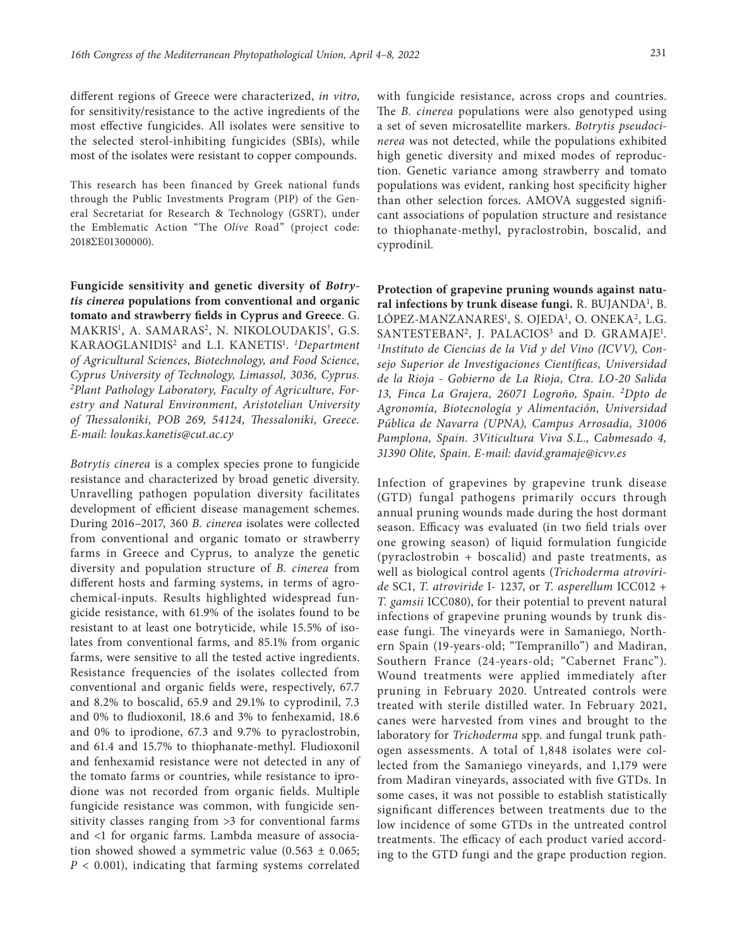different regions of Greece were characterized, *in vitro*, for sensitivity/resistance to the active ingredients of the most effective fungicides. All isolates were sensitive to the selected sterol-inhibiting fungicides (SBIs), while most of the isolates were resistant to copper compounds.

This research has been financed by Greek national funds through the Public Investments Program (PIP) of the General Secretariat for Research & Technology (GSRT), under the Emblematic Action "The *Οlive* Road" (project code: 2018ΣΕ01300000).

**Fungicide sensitivity and genetic diversity of** *Botrytis cinerea* **populations from conventional and organic tomato and strawberry fields in Cyprus and Greece**. G. MAKRIS1 , A. SAMARAS2, N. NIKOLOUDAKIS**?** , G.S. KARAOGLANIDIS2 and L.I. KANETIS1 . *1 Department of Agricultural Sciences, Biotechnology, and Food Science, Cyprus University of Technology, Limassol, 3036, Cyprus. 2Plant Pathology Laboratory, Faculty of Agriculture, Forestry and Natural Environment, Aristotelian University of Thessaloniki, POB 269, 54124, Thessaloniki, Greece. E-mail: [loukas.kanetis@cut.ac.cy](mailto:loukas.kanetis@cut.ac.cy)*

*Botrytis cinerea* is a complex species prone to fungicide resistance and characterized by broad genetic diversity. Unravelling pathogen population diversity facilitates development of efficient disease management schemes. During 2016–2017, 360 *B. cinerea* isolates were collected from conventional and organic tomato or strawberry farms in Greece and Cyprus, to analyze the genetic diversity and population structure of *B. cinerea* from different hosts and farming systems, in terms of agrochemical-inputs. Results highlighted widespread fungicide resistance, with 61.9% of the isolates found to be resistant to at least one botryticide, while 15.5% of isolates from conventional farms, and 85.1% from organic farms, were sensitive to all the tested active ingredients. Resistance frequencies of the isolates collected from conventional and organic fields were, respectively, 67.7 and 8.2% to boscalid, 65.9 and 29.1% to cyprodinil, 7.3 and 0% to fludioxonil, 18.6 and 3% to fenhexamid, 18.6 and 0% to iprodione, 67.3 and 9.7% to pyraclostrobin, and 61.4 and 15.7% to thiophanate-methyl. Fludioxonil and fenhexamid resistance were not detected in any of the tomato farms or countries, while resistance to iprodione was not recorded from organic fields. Multiple fungicide resistance was common, with fungicide sensitivity classes ranging from >3 for conventional farms and <1 for organic farms. Lambda measure of association showed showed a symmetric value  $(0.563 \pm 0.065)$ ; *P* < 0.001), indicating that farming systems correlated

with fungicide resistance, across crops and countries. The *B. cinerea* populations were also genotyped using a set of seven microsatellite markers. *Botrytis pseudocinerea* was not detected, while the populations exhibited high genetic diversity and mixed modes of reproduction. Genetic variance among strawberry and tomato populations was evident, ranking host specificity higher than other selection forces. AMOVA suggested significant associations of population structure and resistance to thiophanate-methyl, pyraclostrobin, boscalid, and cyprodinil.

**Protection of grapevine pruning wounds against natu**ral infections by trunk disease fungi. R. BUJANDA<sup>1</sup>, B. LÓPEZ-MANZANARES<sup>1</sup>, S. OJEDA<sup>1</sup>, O. ONEKA<sup>2</sup>, L.G.  $SANTESTEBAN<sup>2</sup>$ , J. PALACIOS<sup>3</sup> and D. GRAMAJE<sup>1</sup>. *1 Instituto de Ciencias de la Vid y del Vino (ICVV), Consejo Superior de Investigaciones Científicas, Universidad de la Rioja - Gobierno de La Rioja, Ctra. LO-20 Salida 13, Finca La Grajera, 26071 Logroño, Spain. 2Dpto de Agronomía, Biotecnología y Alimentación, Universidad Pública de Navarra (UPNA), Campus Arrosadia, 31006 Pamplona, Spain. 3Viticultura Viva S.L., Cabmesado 4, 31390 Olite, Spain. E-mail: [david.gramaje@icvv.es](mailto:david.gramaje@icvv.es)*

Infection of grapevines by grapevine trunk disease (GTD) fungal pathogens primarily occurs through annual pruning wounds made during the host dormant season. Efficacy was evaluated (in two field trials over one growing season) of liquid formulation fungicide (pyraclostrobin + boscalid) and paste treatments, as well as biological control agents (*Trichoderma atroviride* SC1, *T. atroviride* I- 1237, or *T. asperellum* ICC012 + *T. gamsii* ICC080), for their potential to prevent natural infections of grapevine pruning wounds by trunk disease fungi. The vineyards were in Samaniego, Northern Spain (19-years-old; "Tempranillo") and Madiran, Southern France (24-years-old; "Cabernet Franc"). Wound treatments were applied immediately after pruning in February 2020. Untreated controls were treated with sterile distilled water. In February 2021, canes were harvested from vines and brought to the laboratory for *Trichoderma* spp. and fungal trunk pathogen assessments. A total of 1,848 isolates were collected from the Samaniego vineyards, and 1,179 were from Madiran vineyards, associated with five GTDs. In some cases, it was not possible to establish statistically significant differences between treatments due to the low incidence of some GTDs in the untreated control treatments. The efficacy of each product varied according to the GTD fungi and the grape production region.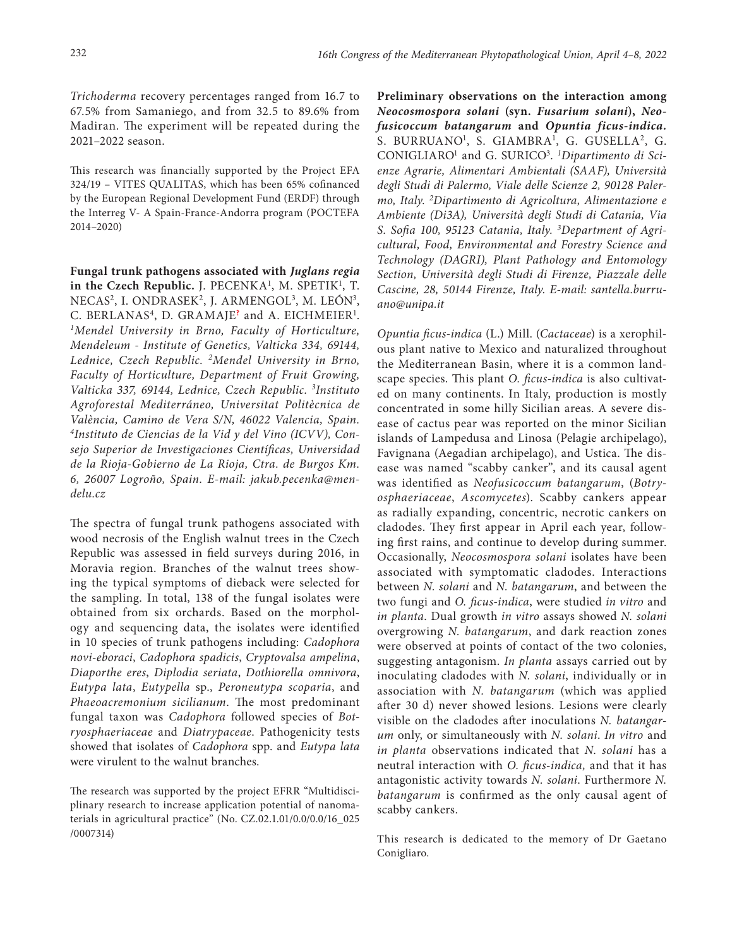*Trichoderma* recovery percentages ranged from 16.7 to 67.5% from Samaniego, and from 32.5 to 89.6% from Madiran. The experiment will be repeated during the 2021–2022 season.

This research was financially supported by the Project EFA 324/19 – VITES QUALITAS, which has been 65% cofinanced by the European Regional Development Fund (ERDF) through the Interreg V- A Spain-France-Andorra program (POCTEFA 2014–2020)

**Fungal trunk pathogens associated with** *Juglans regia*  **in the Czech Republic.** J. PECENKA<sup>1</sup>, M. SPETIK<sup>1</sup>, T. NECAS<sup>2</sup>, I. ONDRASEK<sup>2</sup>, J. ARMENGOL<sup>3</sup>, M. LEÓN<sup>3</sup>, C. BERLANAS<sup>4</sup>, D. GRAMAJE<sup>?</sup> and A. EICHMEIER<sup>1</sup>. *1Mendel University in Brno, Faculty of Horticulture, Mendeleum - Institute of Genetics, Valticka 334, 69144, Lednice, Czech Republic. 2Mendel University in Brno, Faculty of Horticulture, Department of Fruit Growing, Valticka 337, 69144, Lednice, Czech Republic. 3 Instituto Agroforestal Mediterráneo, Universitat Politècnica de València, Camino de Vera S/N, 46022 Valencia, Spain. 4Instituto de Ciencias de la Vid y del Vino (ICVV), Consejo Superior de Investigaciones Científicas, Universidad de la Rioja-Gobierno de La Rioja, Ctra. de Burgos Km. 6, 26007 Logroño, Spain. E-mail: [jakub.pecenka@men](mailto:jakubpecenka@gmail.com)[delu.cz](mailto:jakubpecenka@gmail.com)*

The spectra of fungal trunk pathogens associated with wood necrosis of the English walnut trees in the Czech Republic was assessed in field surveys during 2016, in Moravia region. Branches of the walnut trees showing the typical symptoms of dieback were selected for the sampling. In total, 138 of the fungal isolates were obtained from six orchards. Based on the morphology and sequencing data, the isolates were identified in 10 species of trunk pathogens including: *Cadophora novi-eboraci*, *Cadophora spadicis*, *Cryptovalsa ampelina*, *Diaporthe eres*, *Diplodia seriata*, *Dothiorella omnivora*, *Eutypa lata*, *Eutypella* sp., *Peroneutypa scoparia*, and *Phaeoacremonium sicilianum*. The most predominant fungal taxon was *Cadophora* followed species of *Botryosphaeriaceae* and *Diatrypaceae*. Pathogenicity tests showed that isolates of *Cadophora* spp. and *Eutypa lata*  were virulent to the walnut branches.

The research was supported by the project EFRR "Multidisciplinary research to increase application potential of nanomaterials in agricultural practice" (No. CZ.02.1.01/0.0/0.0/16\_025 /0007314)

**Preliminary observations on the interaction among**  *Neocosmospora solani* **(syn.** *Fusarium solani***),** *Neofusicoccum batangarum* **and** *Opuntia ficus-indica.*  S. BURRUANO<sup>1</sup>, S. GIAMBRA<sup>1</sup>, G. GUSELLA<sup>2</sup>, G. CONIGLIARO<sup>1</sup> and G. SURICO<sup>3</sup>. <sup>1</sup>Dipartimento di Sci*enze Agrarie, Alimentari Ambientali (SAAF), Università degli Studi di Palermo, Viale delle Scienze 2, 90128 Palermo, Italy. 2Dipartimento di Agricoltura, Alimentazione e Ambiente (Di3A), Università degli Studi di Catania, Via S. Sofia 100, 95123 Catania, Italy. 3 Department of Agricultural, Food, Environmental and Forestry Science and Technology (DAGRI), Plant Pathology and Entomology Section, Università degli Studi di Firenze, Piazzale delle Cascine, 28, 50144 Firenze, Italy. E-mail: [santella.burru](mailto:santella.burruano@unipa.it)[ano@unipa.it](mailto:santella.burruano@unipa.it)*

*Opuntia ficus-indica* (L.) Mill. (*Cactaceae*) is a xerophilous plant native to Mexico and naturalized throughout the Mediterranean Basin, where it is a common landscape species. This plant *O. ficus-indica* is also cultivated on many continents. In Italy, production is mostly concentrated in some hilly Sicilian areas. A severe disease of cactus pear was reported on the minor Sicilian islands of Lampedusa and Linosa (Pelagie archipelago), Favignana (Aegadian archipelago), and Ustica. The disease was named "scabby canker", and its causal agent was identified as *Neofusicoccum batangarum*, (*Botryosphaeriaceae*, *Ascomycetes*). Scabby cankers appear as radially expanding, concentric, necrotic cankers on cladodes. They first appear in April each year, following first rains, and continue to develop during summer. Occasionally, *Neocosmospora solani* isolates have been associated with symptomatic cladodes. Interactions between *N. solani* and *N. batangarum*, and between the two fungi and *O. ficus-indica*, were studied *in vitro* and *in planta*. Dual growth *in vitro* assays showed *N. solani*  overgrowing *N. batangarum*, and dark reaction zones were observed at points of contact of the two colonies, suggesting antagonism. *In planta* assays carried out by inoculating cladodes with *N. solani*, individually or in association with *N. batangarum* (which was applied after 30 d) never showed lesions. Lesions were clearly visible on the cladodes after inoculations *N. batangarum* only, or simultaneously with *N. solani*. *In vitro* and *in planta* observations indicated that *N. solani* has a neutral interaction with *O. ficus-indica,* and that it has antagonistic activity towards *N. solani*. Furthermore *N. batangarum* is confirmed as the only causal agent of scabby cankers.

This research is dedicated to the memory of Dr Gaetano Conigliaro.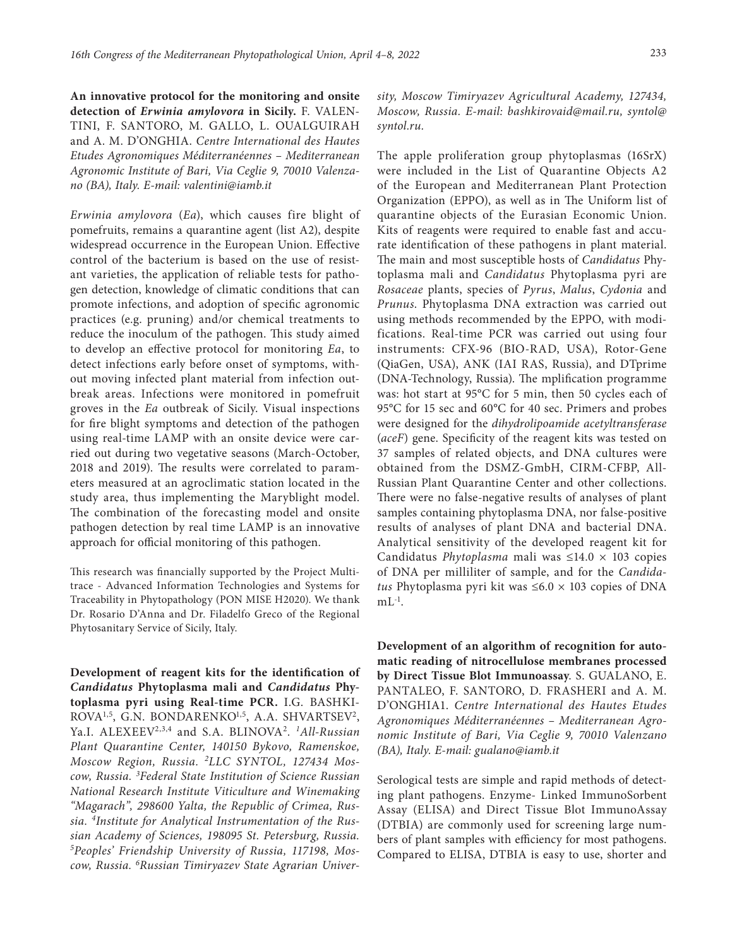**An innovative protocol for the monitoring and onsite detection of** *Erwinia amylovora* **in Sicily.** F. VALEN-TINI, F. SANTORO, M. GALLO, L. OUALGUIRAH and A. M. D'ONGHIA. *Centre International des Hautes Etudes Agronomiques Méditerranéennes – Mediterranean Agronomic Institute of Bari, Via Ceglie 9, 70010 Valenzano (BA), Italy. E-mail: [valentini@iamb.it](mailto:valentini@iamb.it)*

*Erwinia amylovora* (*Ea*), which causes fire blight of pomefruits, remains a quarantine agent (list A2), despite widespread occurrence in the European Union. Effective control of the bacterium is based on the use of resistant varieties, the application of reliable tests for pathogen detection, knowledge of climatic conditions that can promote infections, and adoption of specific agronomic practices (e.g. pruning) and/or chemical treatments to reduce the inoculum of the pathogen. This study aimed to develop an effective protocol for monitoring *Ea*, to detect infections early before onset of symptoms, without moving infected plant material from infection outbreak areas. Infections were monitored in pomefruit groves in the *Ea* outbreak of Sicily. Visual inspections for fire blight symptoms and detection of the pathogen using real-time LAMP with an onsite device were carried out during two vegetative seasons (March-October, 2018 and 2019). The results were correlated to parameters measured at an agroclimatic station located in the study area, thus implementing the Maryblight model. The combination of the forecasting model and onsite pathogen detection by real time LAMP is an innovative approach for official monitoring of this pathogen.

This research was financially supported by the Project Multitrace - Advanced Information Technologies and Systems for Traceability in Phytopathology (PON MISE H2020). We thank Dr. Rosario D'Anna and Dr. Filadelfo Greco of the Regional Phytosanitary Service of Sicily, Italy.

**Development of reagent kits for the identification of**  *Candidatus* **Phytoplasma mali and** *Candidatus* **Phytoplasma pyri using Real-time PCR.** I.G. BASHKI-ROVA<sup>1,5</sup>, G.N. BONDARENKO<sup>1,5</sup>, A.A. SHVARTSEV<sup>2</sup>, Ya.I. ALEXEEV2,3,4 and S.A. BLINOVA2*. 1All-Russian Plant Quarantine Center, 140150 Bykovo, Ramenskoe, Moscow Region, Russia. 2LLC SYNTOL, 127434 Moscow, Russia. 3 Federal State Institution of Science Russian National Research Institute Viticulture and Winemaking "Magarach", 298600 Yalta, the Republic of Crimea, Russia. 4Institute for Analytical Instrumentation of the Russian Academy of Sciences, 198095 St. Petersburg, Russia. 5 Peoples' Friendship University of Russia, 117198, Moscow, Russia. 6Russian Timiryazev State Agrarian Univer-*

*sity, Moscow Timiryazev Agricultural Academy, 127434, Moscow, Russia. E-mail: [bashkirovaid@mail.ru,](mailto:bashkirovaid@mail.ru) [syntol@](mailto:syntol@syntol.ru) [syntol.ru.](mailto:syntol@syntol.ru)*

The apple proliferation group phytoplasmas (16SrX) were included in the List of Quarantine Objects A2 of the European and Mediterranean Plant Protection Organization (EPPO), as well as in The Uniform list of quarantine objects of the Eurasian Economic Union. Kits of reagents were required to enable fast and accurate identification of these pathogens in plant material. The main and most susceptible hosts of *Candidatus* Phytoplasma mali and *Candidatus* Phytoplasma pyri are *Rosaceae* plants, species of *Pyrus*, *Malus*, *Cydonia* and *Prunus*. Phytoplasma DNA extraction was carried out using methods recommended by the EPPO, with modifications. Real-time PCR was carried out using four instruments: CFX-96 (BIO-RAD, USA), Rotor-Gene (QiaGen, USA), ANK (IAI RAS, Russia), and DTprime (DNA-Technology, Russia). The mplification programme was: hot start at 95°C for 5 min, then 50 cycles each of 95°C for 15 sec and 60°C for 40 sec. Primers and probes were designed for the *dihydrolipoamide acetyltransferase*  (*aceF*) gene. Specificity of the reagent kits was tested on 37 samples of related objects, and DNA cultures were obtained from the DSMZ-GmbH, CIRM-CFBP, All-Russian Plant Quarantine Center and other collections. There were no false-negative results of analyses of plant samples containing phytoplasma DNA, nor false-positive results of analyses of plant DNA and bacterial DNA. Analytical sensitivity of the developed reagent kit for Candidatus *Phytoplasma* mali was ≤14.0 × 103 copies of DNA per milliliter of sample, and for the *Candidatus* Phytoplasma pyri kit was  $\leq 6.0 \times 103$  copies of DNA  $mL^{-1}$ .

**Development of an algorithm of recognition for automatic reading of nitrocellulose membranes processed by Direct Tissue Blot Immunoassay**. S. GUALANO, E. PANTALEO, F. SANTORO, D. FRASHERI and A. M. D'ONGHIA1. *Centre International des Hautes Etudes Agronomiques Méditerranéennes – Mediterranean Agronomic Institute of Bari, Via Ceglie 9, 70010 Valenzano (BA), Italy. E-mail: [gualano@iamb.it](mailto:gualano@iamb.it)*

Serological tests are simple and rapid methods of detecting plant pathogens. Enzyme- Linked ImmunoSorbent Assay (ELISA) and Direct Tissue Blot ImmunoAssay (DTBIA) are commonly used for screening large numbers of plant samples with efficiency for most pathogens. Compared to ELISA, DTBIA is easy to use, shorter and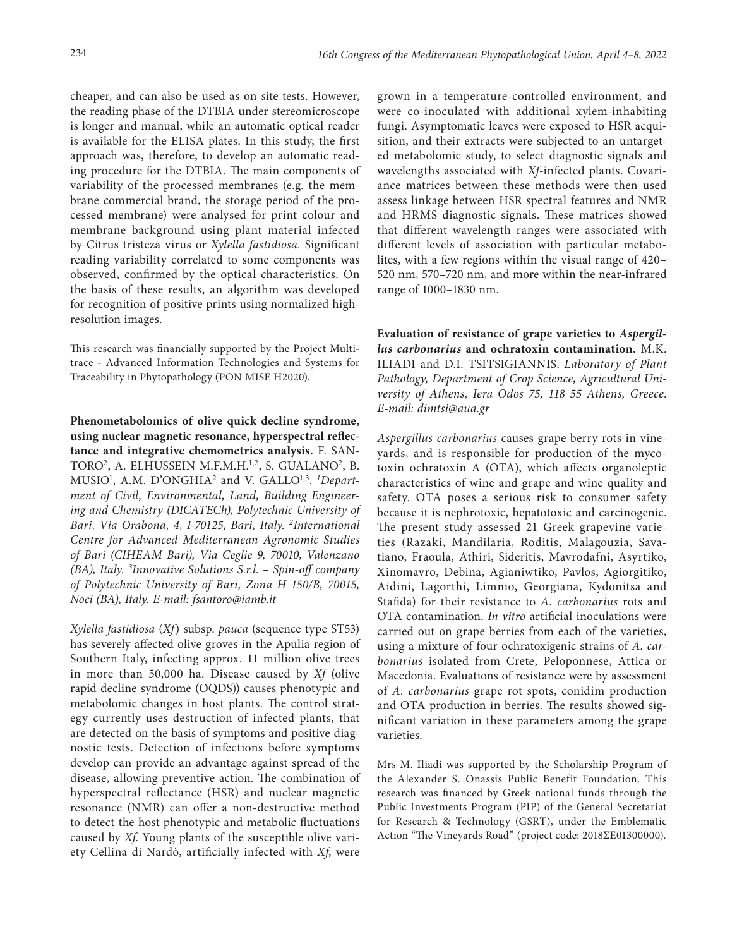cheaper, and can also be used as on-site tests. However, the reading phase of the DTBIA under stereomicroscope is longer and manual, while an automatic optical reader is available for the ELISA plates. In this study, the first approach was, therefore, to develop an automatic reading procedure for the DTBIA. The main components of variability of the processed membranes (e.g. the membrane commercial brand, the storage period of the processed membrane) were analysed for print colour and membrane background using plant material infected by Citrus tristeza virus or *Xylella fastidiosa.* Significant reading variability correlated to some components was observed, confirmed by the optical characteristics. On the basis of these results, an algorithm was developed for recognition of positive prints using normalized highresolution images.

This research was financially supported by the Project Multitrace - Advanced Information Technologies and Systems for Traceability in Phytopathology (PON MISE H2020).

**Phenometabolomics of olive quick decline syndrome, using nuclear magnetic resonance, hyperspectral reflectance and integrative chemometrics analysis.** F. SAN-TORO<sup>2</sup>, A. ELHUSSEIN M.F.M.H.<sup>1,2</sup>, S. GUALANO<sup>2</sup>, B. MUSIO1 , A.M. D'ONGHIA2 and V. GALLO1,3. *<sup>1</sup> Department of Civil, Environmental, Land, Building Engineering and Chemistry (DICATECh), Polytechnic University of Bari, Via Orabona, 4, I-70125, Bari, Italy. 2 International Centre for Advanced Mediterranean Agronomic Studies of Bari (CIHEAM Bari), Via Ceglie 9, 70010, Valenzano (BA), Italy. 3 Innovative Solutions S.r.l. – Spin-off company of Polytechnic University of Bari, Zona H 150/B, 70015, Noci (BA), Italy. E-mail: [fsantoro@iamb.it](mailto:fsantoro@iamb.it)*

*Xylella fastidiosa* (*Xf*) subsp. *pauca* (sequence type ST53) has severely affected olive groves in the Apulia region of Southern Italy, infecting approx. 11 million olive trees in more than 50,000 ha. Disease caused by *Xf* (olive rapid decline syndrome (OQDS)) causes phenotypic and metabolomic changes in host plants. The control strategy currently uses destruction of infected plants, that are detected on the basis of symptoms and positive diagnostic tests. Detection of infections before symptoms develop can provide an advantage against spread of the disease, allowing preventive action. The combination of hyperspectral reflectance (HSR) and nuclear magnetic resonance (NMR) can offer a non-destructive method to detect the host phenotypic and metabolic fluctuations caused by *Xf*. Young plants of the susceptible olive variety Cellina di Nardò, artificially infected with *Xf*, were

grown in a temperature-controlled environment, and were co-inoculated with additional xylem-inhabiting fungi. Asymptomatic leaves were exposed to HSR acquisition, and their extracts were subjected to an untargeted metabolomic study, to select diagnostic signals and wavelengths associated with *Xf*-infected plants. Covariance matrices between these methods were then used assess linkage between HSR spectral features and NMR and HRMS diagnostic signals. These matrices showed that different wavelength ranges were associated with different levels of association with particular metabolites, with a few regions within the visual range of 420– 520 nm, 570–720 nm, and more within the near-infrared range of 1000–1830 nm.

**Evaluation of resistance of grape varieties to** *Aspergillus carbonarius* **and ochratoxin contamination.** M.K. ILIADI and D.I. TSITSIGIANNIS. *Laboratory of Plant Pathology, Department of Crop Science, Agricultural University of Athens, Iera Odos 75, 118 55 Athens, Greece*. *E-mail: [dimtsi@aua.gr](mailto:dimtsi@aua.gr)*

*Aspergillus carbonarius* causes grape berry rots in vineyards, and is responsible for production of the mycotoxin ochratoxin A (OTA), which affects organoleptic characteristics of wine and grape and wine quality and safety. OTA poses a serious risk to consumer safety because it is nephrotoxic, hepatotoxic and carcinogenic. The present study assessed 21 Greek grapevine varieties (Razaki, Mandilaria, Roditis, Malagouzia, Savatiano, Fraoula, Athiri, Sideritis, Mavrodafni, Asyrtiko, Xinomavro, Debina, Agianiwtiko, Pavlos, Agiorgitiko, Aidini, Lagorthi, Limnio, Georgiana, Kydonitsa and Stafida) for their resistance to *A. carbonarius* rots and OTA contamination. *In vitro* artificial inoculations were carried out on grape berries from each of the varieties, using a mixture of four ochratoxigenic strains of *A. carbonarius* isolated from Crete, Peloponnese, Attica or Macedonia. Evaluations of resistance were by assessment of *A. carbonarius* grape rot spots, conidim production and OTA production in berries. The results showed significant variation in these parameters among the grape varieties.

Mrs M. Iliadi was supported by the Scholarship Program of the Alexander S. Onassis Public Benefit Foundation. This research was financed by Greek national funds through the Public Investments Program (PIP) of the General Secretariat for Research & Technology (GSRT), under the Emblematic Αction "The Vineyards Road" (project code: 2018ΣΕ01300000).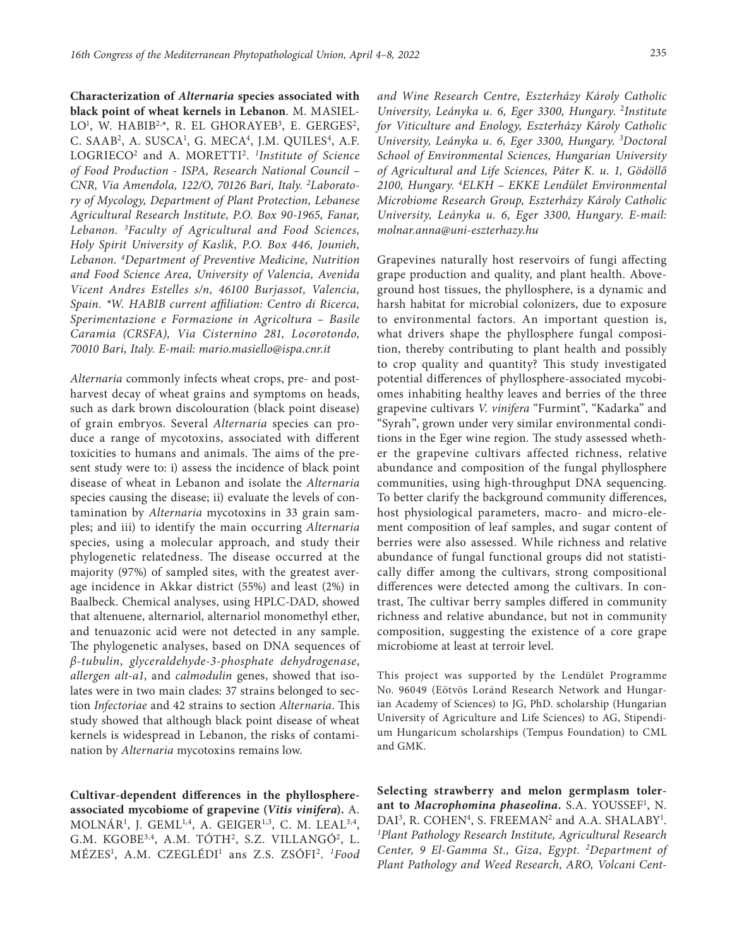**Characterization of** *Alternaria* **species associated with black point of wheat kernels in Lebanon**. M. MASIEL-LO<sup>1</sup>, W. HABIB<sup>2,\*</sup>, R. EL GHORAYEB<sup>3</sup>, E. GERGES<sup>2</sup>, C. SAAB<sup>2</sup>, A. SUSCA<sup>1</sup>, G. MECA<sup>4</sup>, J.M. QUILES<sup>4</sup>, A.F. LOGRIECO2 and A. MORETTI2. *<sup>1</sup> Institute of Science of Food Production - ISPA, Research National Council – CNR, Via Amendola, 122/O, 70126 Bari, Italy. 2 Laboratory of Mycology, Department of Plant Protection, Lebanese Agricultural Research Institute, P.O. Box 90-1965, Fanar, Lebanon. 3Faculty of Agricultural and Food Sciences, Holy Spirit University of Kaslik, P.O. Box 446, Jounieh, Lebanon. 4Department of Preventive Medicine, Nutrition and Food Science Area, University of Valencia, Avenida Vicent Andres Estelles s/n, 46100 Burjassot, Valencia, Spain. \*W. HABIB current affiliation: Centro di Ricerca, Sperimentazione e Formazione in Agricoltura – Basile Caramia (CRSFA), Via Cisternino 281, Locorotondo, 70010 Bari, Italy. E-mail: [mario.masiello@ispa.cnr.it](mailto:mario.masiello@ispa.cnr.it)*

*Alternaria* commonly infects wheat crops, pre- and postharvest decay of wheat grains and symptoms on heads, such as dark brown discolouration (black point disease) of grain embryos. Several *Alternaria* species can produce a range of mycotoxins, associated with different toxicities to humans and animals. The aims of the present study were to: i) assess the incidence of black point disease of wheat in Lebanon and isolate the *Alternaria*  species causing the disease; ii) evaluate the levels of contamination by *Alternaria* mycotoxins in 33 grain samples; and iii) to identify the main occurring *Alternaria*  species, using a molecular approach, and study their phylogenetic relatedness. The disease occurred at the majority (97%) of sampled sites, with the greatest average incidence in Akkar district (55%) and least (2%) in Baalbeck. Chemical analyses, using HPLC-DAD, showed that altenuene, alternariol, alternariol monomethyl ether, and tenuazonic acid were not detected in any sample. The phylogenetic analyses, based on DNA sequences of *β-tubulin*, *glyceraldehyde-3-phosphate dehydrogenase*, *allergen alt-a1*, and *calmodulin* genes, showed that isolates were in two main clades: 37 strains belonged to section *Infectoriae* and 42 strains to section *Alternaria*. This study showed that although black point disease of wheat kernels is widespread in Lebanon, the risks of contamination by *Alternaria* mycotoxins remains low.

**Cultivar-dependent differences in the phyllosphereassociated mycobiome of grapevine (***Vitis vinifera***).** A.  $MOLNAR<sup>1</sup>$ , J. GEML<sup>1,4</sup>, A. GEIGER<sup>1,3</sup>, C. M. LEAL<sup>3,4</sup>, G.M. KGOBE<sup>3,4</sup>, A.M. TÓTH<sup>2</sup>, S.Z. VILLANGÓ<sup>2</sup>, L. MÉZES1 , A.M. CZEGLÉDI1 ans Z.S. ZSÓFI2. *1Food* 

*and Wine Research Centre, Eszterházy Károly Catholic University, Leányka u. 6, Eger 3300, Hungary*. 2*Institute for Viticulture and Enology, Eszterházy Károly Catholic University, Leányka u. 6, Eger 3300, Hungary*. *<sup>3</sup> Doctoral School of Environmental Sciences, Hungarian University of Agricultural and Life Sciences, Páter K. u. 1, Gödöllő 2100, Hungary*. *4ELKH – EKKE Lendület Environmental Microbiome Research Group, Eszterházy Károly Catholic University, Leányka u. 6, Eger 3300, Hungary*. *E-mail: [molnar.anna@uni-eszterhazy.hu](mailto:molnar.anna@uni-eszterhazy.hu)*

Grapevines naturally host reservoirs of fungi affecting grape production and quality, and plant health. Aboveground host tissues, the phyllosphere, is a dynamic and harsh habitat for microbial colonizers, due to exposure to environmental factors. An important question is, what drivers shape the phyllosphere fungal composition, thereby contributing to plant health and possibly to crop quality and quantity? This study investigated potential differences of phyllosphere-associated mycobiomes inhabiting healthy leaves and berries of the three grapevine cultivars *V. vinifera* "Furmint", "Kadarka" and "Syrah", grown under very similar environmental conditions in the Eger wine region. The study assessed whether the grapevine cultivars affected richness, relative abundance and composition of the fungal phyllosphere communities, using high-throughput DNA sequencing. To better clarify the background community differences, host physiological parameters, macro- and micro-element composition of leaf samples, and sugar content of berries were also assessed. While richness and relative abundance of fungal functional groups did not statistically differ among the cultivars, strong compositional differences were detected among the cultivars. In contrast, The cultivar berry samples differed in community richness and relative abundance, but not in community composition, suggesting the existence of a core grape microbiome at least at terroir level.

This project was supported by the Lendület Programme No. 96049 (Eötvös Loránd Research Network and Hungarian Academy of Sciences) to JG, PhD. scholarship (Hungarian University of Agriculture and Life Sciences) to AG, Stipendium Hungaricum scholarships (Tempus Foundation) to CML and GMK.

**Selecting strawberry and melon germplasm toler**ant to *Macrophomina phaseolina*. S.A. YOUSSEF<sup>1</sup>, N. DAI<sup>3</sup>, R. COHEN<sup>4</sup>, S. FREEMAN<sup>2</sup> and A.A. SHALABY<sup>1</sup>. *1 Plant Pathology Research Institute, Agricultural Research Center, 9 El-Gamma St., Giza, Egypt. 2Department of Plant Pathology and Weed Research, ARO, Volcani Cent-*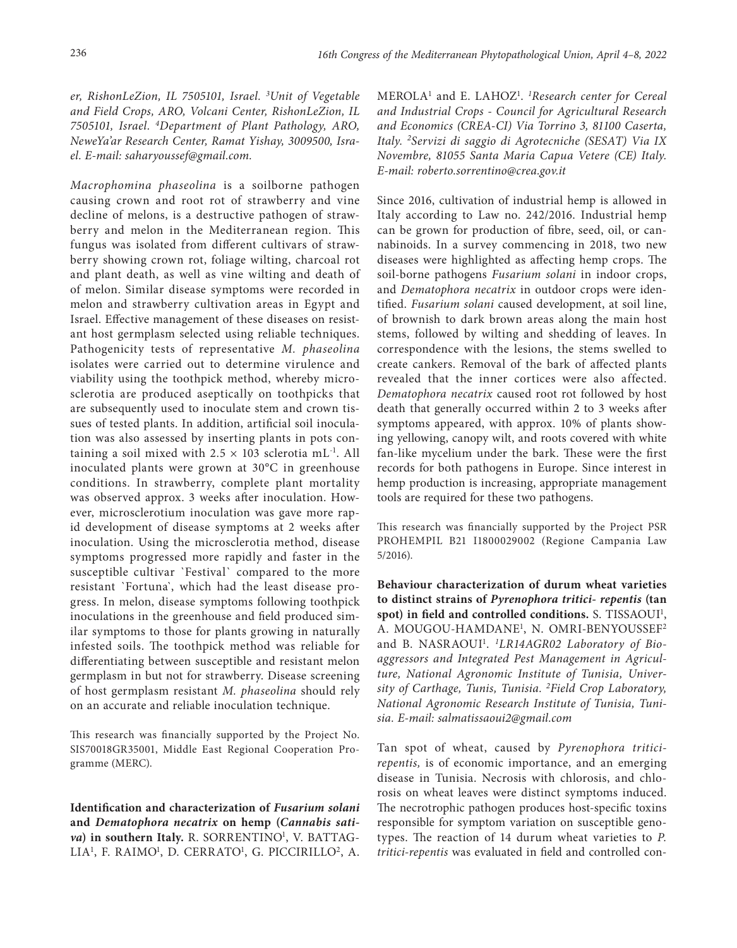*er, RishonLeZion, IL 7505101, Israel. 3 Unit of Vegetable and Field Crops, ARO, Volcani Center, RishonLeZion, IL 7505101, Israel. 4Department of Plant Pathology, ARO, NeweYa'ar Research Center, Ramat Yishay, 3009500, Israel. E-mail: saharyoussef@gmail.com.*

*Macrophomina phaseolina* is a soilborne pathogen causing crown and root rot of strawberry and vine decline of melons, is a destructive pathogen of strawberry and melon in the Mediterranean region. This fungus was isolated from different cultivars of strawberry showing crown rot, foliage wilting, charcoal rot and plant death, as well as vine wilting and death of of melon. Similar disease symptoms were recorded in melon and strawberry cultivation areas in Egypt and Israel. Effective management of these diseases on resistant host germplasm selected using reliable techniques. Pathogenicity tests of representative *M. phaseolina*  isolates were carried out to determine virulence and viability using the toothpick method, whereby microsclerotia are produced aseptically on toothpicks that are subsequently used to inoculate stem and crown tissues of tested plants. In addition, artificial soil inoculation was also assessed by inserting plants in pots containing a soil mixed with  $2.5 \times 103$  sclerotia mL<sup>-1</sup>. All inoculated plants were grown at 30°C in greenhouse conditions. In strawberry, complete plant mortality was observed approx. 3 weeks after inoculation. However, microsclerotium inoculation was gave more rapid development of disease symptoms at 2 weeks after inoculation. Using the microsclerotia method, disease symptoms progressed more rapidly and faster in the susceptible cultivar `Festival` compared to the more resistant `Fortuna`, which had the least disease progress. In melon, disease symptoms following toothpick inoculations in the greenhouse and field produced similar symptoms to those for plants growing in naturally infested soils. The toothpick method was reliable for differentiating between susceptible and resistant melon germplasm in but not for strawberry. Disease screening of host germplasm resistant *M. phaseolina* should rely on an accurate and reliable inoculation technique.

This research was financially supported by the Project No. SIS70018GR35001, Middle East Regional Cooperation Programme (MERC).

**Identification and characterization of** *Fusarium solani*  **and** *Dematophora necatrix* **on hemp (***Cannabis sati*va) in southern Italy. R. SORRENTINO<sup>1</sup>, V. BATTAG-LIA<sup>1</sup>, F. RAIMO<sup>1</sup>, D. CERRATO<sup>1</sup>, G. PICCIRILLO<sup>2</sup>, A.

MEROLA1 and E. LAHOZ1 . *1 Research center for Cereal and Industrial Crops - Council for Agricultural Research and Economics (CREA-CI) Via Torrino 3, 81100 Caserta, Italy. 2Servizi di saggio di Agrotecniche (SESAT) Via IX Novembre, 81055 Santa Maria Capua Vetere (CE) Italy. E-mail: [roberto.sorrentino@crea.gov.it](mailto:roberto.sorrentino@crea.gov.it)*

Since 2016, cultivation of industrial hemp is allowed in Italy according to Law no. 242/2016. Industrial hemp can be grown for production of fibre, seed, oil, or cannabinoids. In a survey commencing in 2018, two new diseases were highlighted as affecting hemp crops. The soil-borne pathogens *Fusarium solani* in indoor crops, and *Dematophora necatrix* in outdoor crops were identified. *Fusarium solani* caused development, at soil line, of brownish to dark brown areas along the main host stems, followed by wilting and shedding of leaves. In correspondence with the lesions, the stems swelled to create cankers. Removal of the bark of affected plants revealed that the inner cortices were also affected. *Dematophora necatrix* caused root rot followed by host death that generally occurred within 2 to 3 weeks after symptoms appeared, with approx. 10% of plants showing yellowing, canopy wilt, and roots covered with white fan-like mycelium under the bark. These were the first records for both pathogens in Europe. Since interest in hemp production is increasing, appropriate management tools are required for these two pathogens.

This research was financially supported by the Project PSR PROHEMPIL B21 I1800029002 (Regione Campania Law 5/2016).

**Behaviour characterization of durum wheat varieties to distinct strains of** *Pyrenophora tritici- repentis* **(tan**  spot) in field and controlled conditions. S. TISSAOUI<sup>1</sup>, A. MOUGOU-HAMDANE<sup>1</sup>, N. OMRI-BENYOUSSEF<sup>2</sup> and B. NASRAOUI<sup>1</sup>. <sup>1</sup>LR14AGR02 Laboratory of Bio*aggressors and Integrated Pest Management in Agriculture, National Agronomic Institute of Tunisia, University of Carthage, Tunis, Tunisia. 2Field Crop Laboratory, National Agronomic Research Institute of Tunisia, Tunisia. E-m[ail: salmatissaoui2@gmail.com](mailto:salmatissaoui2@gmail.com)*

Tan spot of wheat, caused by *Pyrenophora triticirepentis,* is of economic importance, and an emerging disease in Tunisia. Necrosis with chlorosis, and chlorosis on wheat leaves were distinct symptoms induced. The necrotrophic pathogen produces host-specific toxins responsible for symptom variation on susceptible genotypes. The reaction of 14 durum wheat varieties to *P. tritici-repentis* was evaluated in field and controlled con-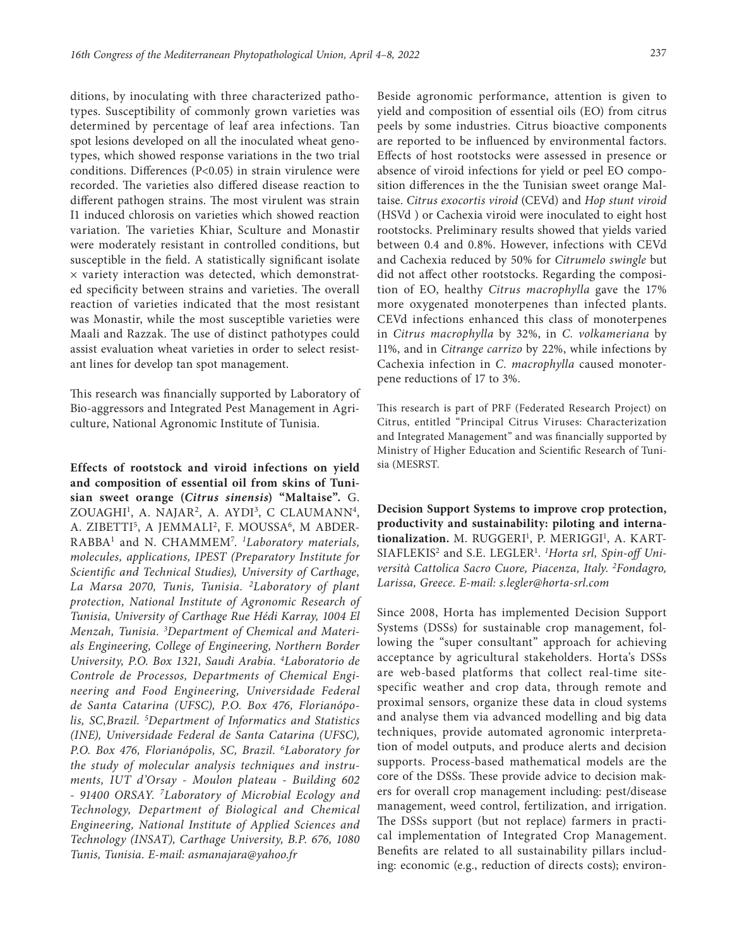ditions, by inoculating with three characterized pathotypes. Susceptibility of commonly grown varieties was determined by percentage of leaf area infections. Tan spot lesions developed on all the inoculated wheat genotypes, which showed response variations in the two trial conditions. Differences (P<0.05) in strain virulence were recorded. The varieties also differed disease reaction to different pathogen strains. The most virulent was strain I1 induced chlorosis on varieties which showed reaction variation. The varieties Khiar, Sculture and Monastir were moderately resistant in controlled conditions, but susceptible in the field. A statistically significant isolate × variety interaction was detected, which demonstrated specificity between strains and varieties. The overall reaction of varieties indicated that the most resistant was Monastir, while the most susceptible varieties were Maali and Razzak. The use of distinct pathotypes could assist evaluation wheat varieties in order to select resistant lines for develop tan spot management.

This research was financially supported by Laboratory of Bio-aggressors and Integrated Pest Management in Agriculture, National Agronomic Institute of Tunisia.

**Effects of rootstock and viroid infections on yield and composition of essential oil from skins of Tunisian sweet orange (***Citrus sinensis***) "Maltaise".** G. ZOUAGHI<sup>1</sup>, A. NAJAR<sup>2</sup>, A. AYDI<sup>3</sup>, C CLAUMANN<sup>4</sup>, A. ZIBETTI<sup>5</sup>, A JEMMALI<sup>2</sup>, F. MOUSSA<sup>6</sup>, M ABDER-RABBA1 and N. CHAMMEM7 . *1 Laboratory materials, molecules, applications, IPEST (Preparatory Institute for Scientific and Technical Studies), University of Carthage, La Marsa 2070, Tunis, Tunisia. 2Laboratory of plant protection, National Institute of Agronomic Research of Tunisia, University of Carthage Rue Hédi Karray, 1004 El Menzah, Tunisia. 3 Department of Chemical and Materials Engineering, College of Engineering, Northern Border University, P.O. Box 1321, Saudi Arabia. 4Laboratorio de Controle de Processos, Departments of Chemical Engineering and Food Engineering, Universidade Federal de Santa Catarina (UFSC), P.O. Box 476, Florianópolis, SC,Brazil. 5 Department of Informatics and Statistics (INE), Universidade Federal de Santa Catarina (UFSC), P.O. Box 476, Florianópolis, SC, Brazil. 6Laboratory for the study of molecular analysis techniques and instruments, IUT d'Orsay - Moulon plateau - Building 602 - 91400 ORSAY. 7Laboratory of Microbial Ecology and Technology, Department of Biological and Chemical Engineering, National Institute of Applied Sciences and Technology (INSAT), Carthage University, B.P. 676, 1080 Tunis, Tunisia. E-mail: [asmanajara@yahoo.fr](mailto:asmanajara@yahoo.fr)*

Beside agronomic performance, attention is given to yield and composition of essential oils (EO) from citrus peels by some industries. Citrus bioactive components are reported to be influenced by environmental factors. Effects of host rootstocks were assessed in presence or absence of viroid infections for yield or peel EO composition differences in the the Tunisian sweet orange Maltaise. *Citrus exocortis viroid* (CEVd) and *Hop stunt viroid*  (HSVd ) or Cachexia viroid were inoculated to eight host rootstocks. Preliminary results showed that yields varied between 0.4 and 0.8%. However, infections with CEVd and Cachexia reduced by 50% for *Citrumelo swingle* but did not affect other rootstocks. Regarding the composition of EO, healthy *Citrus macrophylla* gave the 17% more oxygenated monoterpenes than infected plants. CEVd infections enhanced this class of monoterpenes in *Citrus macrophylla* by 32%, in *C. volkameriana* by 11%, and in *Citrange carrizo* by 22%, while infections by Cachexia infection in *C. macrophylla* caused monoterpene reductions of 17 to 3%.

This research is part of PRF (Federated Research Project) on Citrus, entitled "Principal Citrus Viruses: Characterization and Integrated Management" and was financially supported by Ministry of Higher Education and Scientific Research of Tunisia (MESRST.

**Decision Support Systems to improve crop protection, productivity and sustainability: piloting and interna**tionalization. M. RUGGERI<sup>1</sup>, P. MERIGGI<sup>1</sup>, A. KART-SIAFLEKIS<sup>2</sup> and S.E. LEGLER<sup>1</sup>. <sup>1</sup>Horta srl, Spin-off Uni*versità Cattolica Sacro Cuore, Piacenza, Italy. 2 Fondagro, Larissa, Greece. E-mail: [s.legler@horta-srl.com](mailto:s.legler@horta-srl.com)*

Since 2008, Horta has implemented Decision Support Systems (DSSs) for sustainable crop management, following the "super consultant" approach for achieving acceptance by agricultural stakeholders. Horta's DSSs are web-based platforms that collect real-time sitespecific weather and crop data, through remote and proximal sensors, organize these data in cloud systems and analyse them via advanced modelling and big data techniques, provide automated agronomic interpretation of model outputs, and produce alerts and decision supports. Process-based mathematical models are the core of the DSSs. These provide advice to decision makers for overall crop management including: pest/disease management, weed control, fertilization, and irrigation. The DSSs support (but not replace) farmers in practical implementation of Integrated Crop Management. Benefits are related to all sustainability pillars including: economic (e.g., reduction of directs costs); environ-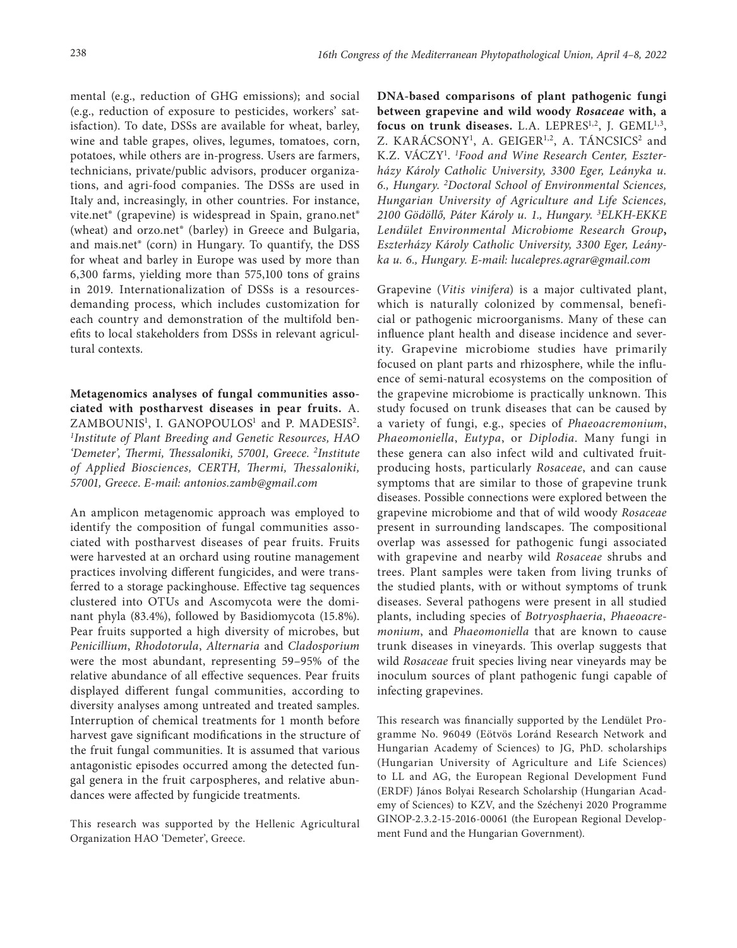mental (e.g., reduction of GHG emissions); and social (e.g., reduction of exposure to pesticides, workers' satisfaction). To date, DSSs are available for wheat, barley, wine and table grapes, olives, legumes, tomatoes, corn, potatoes, while others are in-progress. Users are farmers, technicians, private/public advisors, producer organizations, and agri-food companies. The DSSs are used in Italy and, increasingly, in other countries. For instance, vite.net® (grapevine) is widespread in Spain, grano.net® (wheat) and orzo.net® (barley) in Greece and Bulgaria, and mais.net® (corn) in Hungary. To quantify, the DSS for wheat and barley in Europe was used by more than 6,300 farms, yielding more than 575,100 tons of grains in 2019. Internationalization of DSSs is a resourcesdemanding process, which includes customization for each country and demonstration of the multifold benefits to local stakeholders from DSSs in relevant agricultural contexts.

**Metagenomics analyses of fungal communities associated with postharvest diseases in pear fruits.** A. ZAMBOUNIS<sup>1</sup>, I. GANOPOULOS<sup>1</sup> and P. MADESIS<sup>2</sup>. *1 Institute of Plant Breeding and Genetic Resources, HAO 'Demeter', Thermi, Thessaloniki, 57001, Greece. 2Institute of Applied Biosciences, CERTH, Thermi, Thessaloniki, 57001, Greece*. *E-mail: [antonios.zamb@gmail.com](mailto:antonios.zamb@gmail.com)*

An amplicon metagenomic approach was employed to identify the composition of fungal communities associated with postharvest diseases of pear fruits. Fruits were harvested at an orchard using routine management practices involving different fungicides, and were transferred to a storage packinghouse. Effective tag sequences clustered into OTUs and Ascomycota were the dominant phyla (83.4%), followed by Basidiomycota (15.8%). Pear fruits supported a high diversity of microbes, but *Penicillium*, *Rhodotorula*, *Alternaria* and *Cladosporium*  were the most abundant, representing 59–95% of the relative abundance of all effective sequences. Pear fruits displayed different fungal communities, according to diversity analyses among untreated and treated samples. Interruption of chemical treatments for 1 month before harvest gave significant modifications in the structure of the fruit fungal communities. It is assumed that various antagonistic episodes occurred among the detected fungal genera in the fruit carpospheres, and relative abundances were affected by fungicide treatments.

This research was supported by the Hellenic Agricultural Organization HAO 'Demeter', Greece.

**DNA-based comparisons of plant pathogenic fungi between grapevine and wild woody** *Rosaceae* **with, a**  focus on trunk diseases. L.A. LEPRES<sup>1,2</sup>, J. GEML<sup>1,3</sup>, Z. KARÁCSONY<sup>1</sup>, A. GEIGER<sup>1,2</sup>, A. TÁNCSICS<sup>2</sup> and K.Z. VÁCZY1 . *1 Food and Wine Research Center, Eszterházy Károly Catholic University, 3300 Eger, Leányka u. 6., Hungary. 2 Doctoral School of Environmental Sciences, Hungarian University of Agriculture and Life Sciences, 2100 Gödöllő, Páter Károly u. 1., Hungary. 3 ELKH-EKKE Lendület Environmental Microbiome Research Group***,**  *Eszterházy Károly Catholic University, 3300 Eger, Leányka u. 6., Hungary. E-mail: lucalepres.agrar@gmail.com*

Grapevine (*Vitis vinifera*) is a major cultivated plant, which is naturally colonized by commensal, beneficial or pathogenic microorganisms. Many of these can influence plant health and disease incidence and severity. Grapevine microbiome studies have primarily focused on plant parts and rhizosphere, while the influence of semi-natural ecosystems on the composition of the grapevine microbiome is practically unknown. This study focused on trunk diseases that can be caused by a variety of fungi, e.g., species of *Phaeoacremonium*, *Phaeomoniella*, *Eutypa*, or *Diplodia*. Many fungi in these genera can also infect wild and cultivated fruitproducing hosts, particularly *Rosaceae*, and can cause symptoms that are similar to those of grapevine trunk diseases. Possible connections were explored between the grapevine microbiome and that of wild woody *Rosaceae* present in surrounding landscapes. The compositional overlap was assessed for pathogenic fungi associated with grapevine and nearby wild *Rosaceae* shrubs and trees. Plant samples were taken from living trunks of the studied plants, with or without symptoms of trunk diseases. Several pathogens were present in all studied plants, including species of *Botryosphaeria*, *Phaeoacremonium*, and *Phaeomoniella* that are known to cause trunk diseases in vineyards. This overlap suggests that wild *Rosaceae* fruit species living near vineyards may be inoculum sources of plant pathogenic fungi capable of infecting grapevines.

This research was financially supported by the Lendület Programme No. 96049 (Eötvös Loránd Research Network and Hungarian Academy of Sciences) to JG, PhD. scholarships (Hungarian University of Agriculture and Life Sciences) to LL and AG, the European Regional Development Fund (ERDF) János Bolyai Research Scholarship (Hungarian Academy of Sciences) to KZV, and the Széchenyi 2020 Programme GINOP-2.3.2-15-2016-00061 (the European Regional Development Fund and the Hungarian Government).